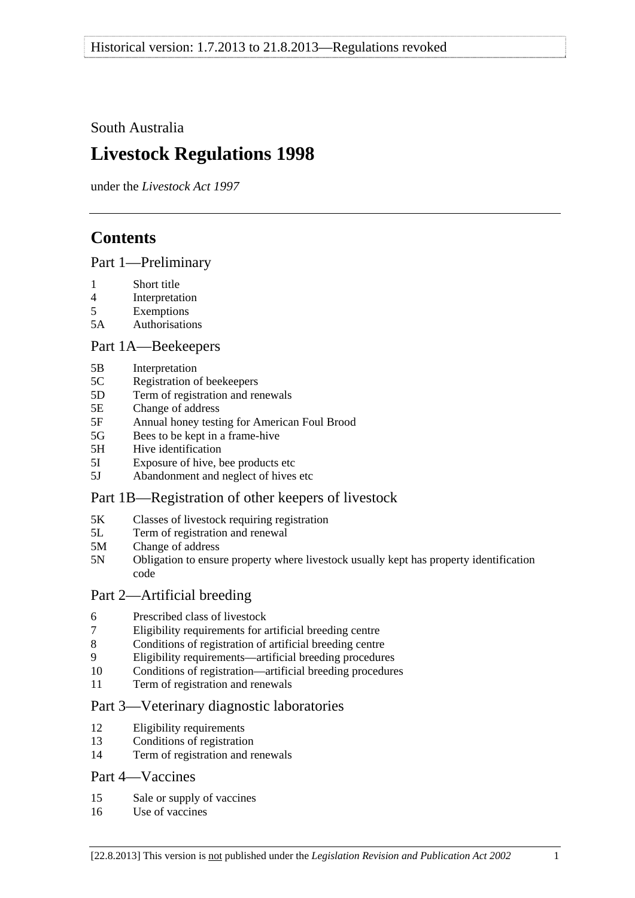<span id="page-0-0"></span>South Australia

# **Livestock Regulations 1998**

under the *Livestock Act 1997*

# **Contents**

[Part 1—Preliminary](#page-3-0)

- [1 Short title](#page-3-0)
- [4 Interpretation](#page-3-0)
- [5 Exemptions](#page-5-0)
- [5A Authorisations](#page-5-0)

## [Part 1A—Beekeepers](#page-6-0)

- [5B Interpretation](#page-6-0)
- [5C Registration of beekeepers](#page-6-0)
- [5D Term of registration and renewals](#page-6-0)
- [5E Change of address](#page-7-0)
- [5F Annual honey testing for American Foul Brood](#page-7-0)
- [5G Bees to be kept in a frame-hive](#page-8-0)
- [5H Hive identification](#page-8-0)
- [5I Exposure of hive, bee products etc](#page-9-0)
- [5J Abandonment and neglect of hives etc](#page-9-0)

## [Part 1B—Registration of other keepers of livestock](#page-10-0)

- [5K Classes of livestock requiring registration](#page-10-0)
- [5L Term of registration and renewal](#page-10-0)
- [5M Change of address](#page-11-0)
- [5N Obligation to ensure property where livestock usually kept has property identification](#page-11-0)  [code](#page-11-0)

## [Part 2—Artificial breeding](#page-11-0)

- [6 Prescribed class of livestock](#page-11-0)
- [7 Eligibility requirements for artificial breeding centre](#page-11-0)
- [8 Conditions of registration of artificial breeding centre](#page-12-0)
- [9 Eligibility requirements—artificial breeding procedures](#page-12-0)
- [10 Conditions of registration—artificial breeding procedures](#page-13-0)
- [11 Term of registration and renewals](#page-13-0)

## [Part 3—Veterinary diagnostic laboratories](#page-13-0)

- [12 Eligibility requirements](#page-13-0)
- [13 Conditions of registration](#page-14-0)
- [14 Term of registration and renewals](#page-14-0)

## [Part 4—Vaccines](#page-15-0)

- [15 Sale or supply of vaccines](#page-15-0)
- [16 Use of vaccines](#page-15-0)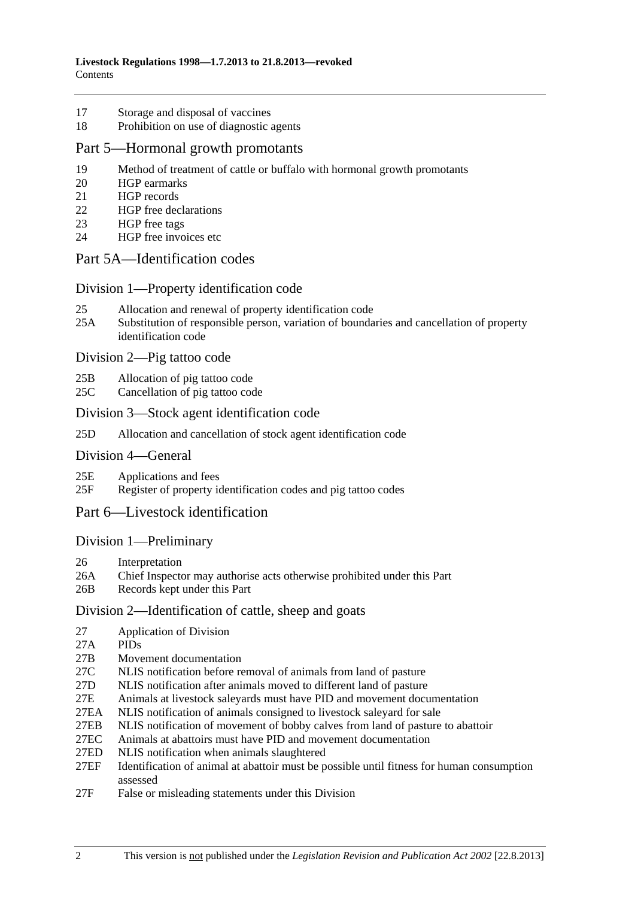- [17 Storage and disposal of vaccines](#page-15-0)
- [18 Prohibition on use of diagnostic agents](#page-15-0)

#### [Part 5—Hormonal growth promotants](#page-16-0)

- [19 Method of treatment of cattle or buffalo with hormonal growth promotants](#page-16-0)
- [20 HGP earmarks](#page-16-0)
- [21 HGP records](#page-16-0)
- [22 HGP free declarations](#page-17-0)
- [23 HGP free tags](#page-18-0)
- [24 HGP free invoices etc](#page-18-0)

## [Part 5A—Identification codes](#page-19-0)

#### [Division 1—Property identification code](#page-19-0)

- [25 Allocation and renewal of property identification code](#page-19-0)
- [25A Substitution of responsible person, variation of boundaries and cancellation of property](#page-20-0)  [identification code](#page-20-0)

#### [Division 2—Pig tattoo code](#page-20-0)

- [25B Allocation of pig tattoo code](#page-20-0)
- [25C Cancellation of pig tattoo code](#page-20-0)

#### [Division 3—Stock agent identification code](#page-21-0)

[25D Allocation and cancellation of stock agent identification code](#page-21-0)

#### [Division 4—General](#page-21-0)

- [25E Applications and fees](#page-21-0)
- [25F Register of property identification codes and pig tattoo codes](#page-21-0)

## [Part 6—Livestock identification](#page-22-0)

#### [Division 1—Preliminary](#page-22-0)

- [26 Interpretation](#page-22-0)
- [26A Chief Inspector may authorise acts otherwise prohibited under this Part](#page-24-0)
- [26B Records kept under this Part](#page-25-0)

#### [Division 2—Identification of cattle, sheep and goats](#page-25-0)

- [27 Application of Division](#page-25-0)
- [27A PIDs](#page-25-0)
- [27B Movement documentation](#page-25-0)
- [27C NLIS notification before removal of animals from land of pasture](#page-28-0)
- [27D NLIS notification after animals moved to different land of pasture](#page-28-0)
- [27E Animals at livestock saleyards must have PID and movement documentation](#page-30-0)
- [27EA NLIS notification of animals consigned to livestock saleyard for sale](#page-31-0)
- [27EB NLIS notification of movement of bobby calves from land of pasture to abattoir](#page-34-0)
- [27EC Animals at abattoirs must have PID and movement documentation](#page-34-0)
- [27ED NLIS notification when animals slaughtered](#page-35-0)
- [27EF Identification of animal at abattoir must be possible until fitness for human consumption](#page-36-0)  [assessed](#page-36-0)
- [27F False or misleading statements under this Division](#page-36-0)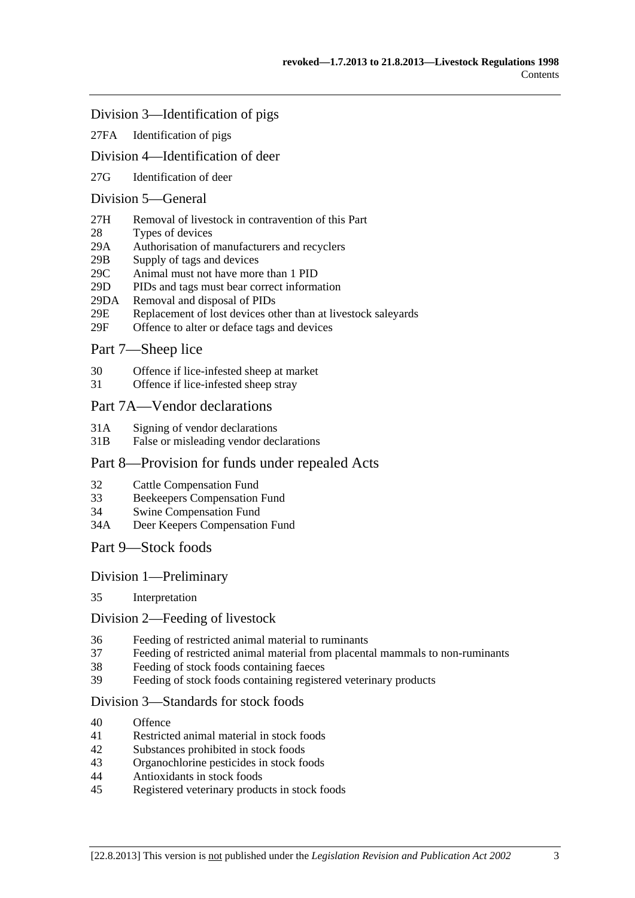### [Division 3—Identification of pigs](#page-37-0)

[27FA Identification of pigs](#page-37-0)

## [Division 4—Identification of deer](#page-37-0)

[27G Identification of deer](#page-37-0) 

## [Division 5—General](#page-38-0)

- [27H Removal of livestock in contravention of this Part](#page-38-0)
- [28 Types of devices](#page-38-0)
- [29A Authorisation of manufacturers and recyclers](#page-38-0)
- [29B Supply of tags and devices](#page-38-0)
- [29C Animal must not have more than 1 PID](#page-39-0)
- [29D PIDs and tags must bear correct information](#page-39-0)
- [29DA Removal and disposal of PIDs](#page-39-0)
- [29E Replacement of lost devices other than at livestock saleyards](#page-40-0)
- [29F Offence to alter or deface tags and devices](#page-40-0)

## [Part 7—Sheep lice](#page-40-0)

- [30 Offence if lice-infested sheep at market](#page-40-0)
- [31 Offence if lice-infested sheep stray](#page-41-0)

#### [Part 7A—Vendor declarations](#page-41-0)

- [31A Signing of vendor declarations](#page-41-0)
- [31B False or misleading vendor declarations](#page-41-0)

#### [Part 8—Provision for funds under repealed Acts](#page-42-0)

- [32 Cattle Compensation Fund](#page-42-0)
- [33 Beekeepers Compensation Fund](#page-42-0)
- [34 Swine Compensation Fund](#page-42-0)
- [34A Deer Keepers Compensation Fund](#page-42-0)
- [Part 9—Stock foods](#page-42-0)

#### [Division 1—Preliminary](#page-42-0)

[35 Interpretation](#page-42-0) 

#### [Division 2—Feeding of livestock](#page-43-0)

- [36 Feeding of restricted animal material to ruminants](#page-43-0)
- [37 Feeding of restricted animal material from placental mammals to non-ruminants](#page-43-0)
- [38 Feeding of stock foods containing faeces](#page-43-0)
- [39 Feeding of stock foods containing registered veterinary products](#page-44-0)

#### [Division 3—Standards for stock foods](#page-44-0)

- [40 Offence](#page-44-0)
- [41 Restricted animal material in stock foods](#page-44-0)
- [42 Substances prohibited in stock foods](#page-44-0)
- [43 Organochlorine pesticides in stock foods](#page-44-0)
- [44 Antioxidants in stock foods](#page-44-0)
- [45 Registered veterinary products in stock foods](#page-45-0)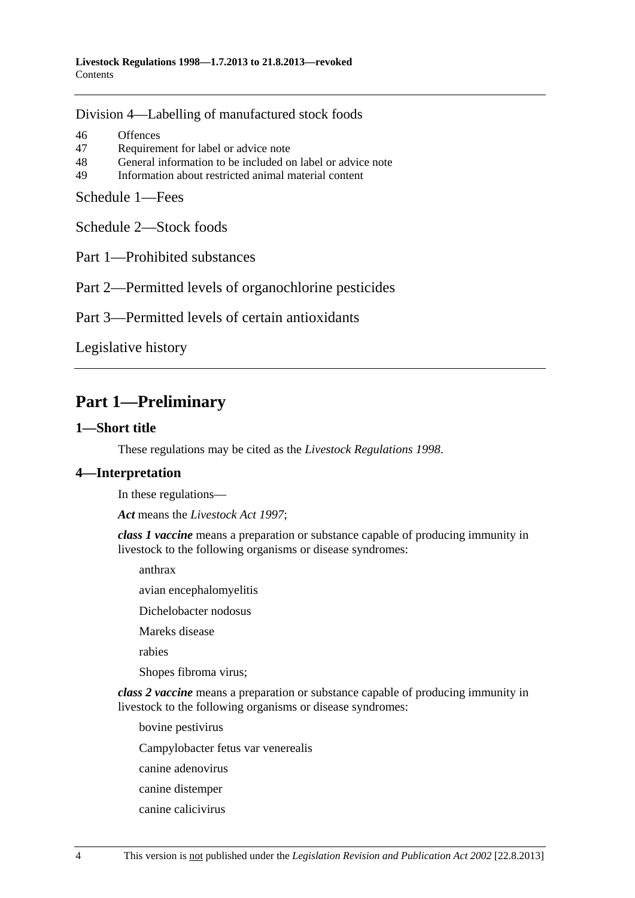<span id="page-3-0"></span>[Division 4—Labelling of manufactured stock foods](#page-45-0)

[46 Offences](#page-45-0) [47 Requirement for label or advice note](#page-45-0) [48 General information to be included on label or advice note](#page-46-0) [49 Information about restricted animal material content](#page-46-0) 

[Schedule 1—Fees](#page-46-0)

[Schedule 2—Stock foods](#page-47-0)

[Part 1—Prohibited substances](#page-0-0) 

[Part 2—Permitted levels of organochlorine pesticides](#page-0-0) 

[Part 3—Permitted levels of certain antioxidants](#page-0-0)

[Legislative history](#page-49-0) 

## **Part 1—Preliminary**

## **1—Short title**

These regulations may be cited as the *Livestock Regulations 1998*.

## **4—Interpretation**

In these regulations—

*Act* means the *[Livestock Act 1997](http://www.legislation.sa.gov.au/index.aspx?action=legref&type=act&legtitle=Livestock%20Act%201997)*;

*class 1 vaccine* means a preparation or substance capable of producing immunity in livestock to the following organisms or disease syndromes:

anthrax

avian encephalomyelitis

Dichelobacter nodosus

Mareks disease

rabies

Shopes fibroma virus;

*class 2 vaccine* means a preparation or substance capable of producing immunity in livestock to the following organisms or disease syndromes:

bovine pestivirus

Campylobacter fetus var venerealis

canine adenovirus

- canine distemper
- canine calicivirus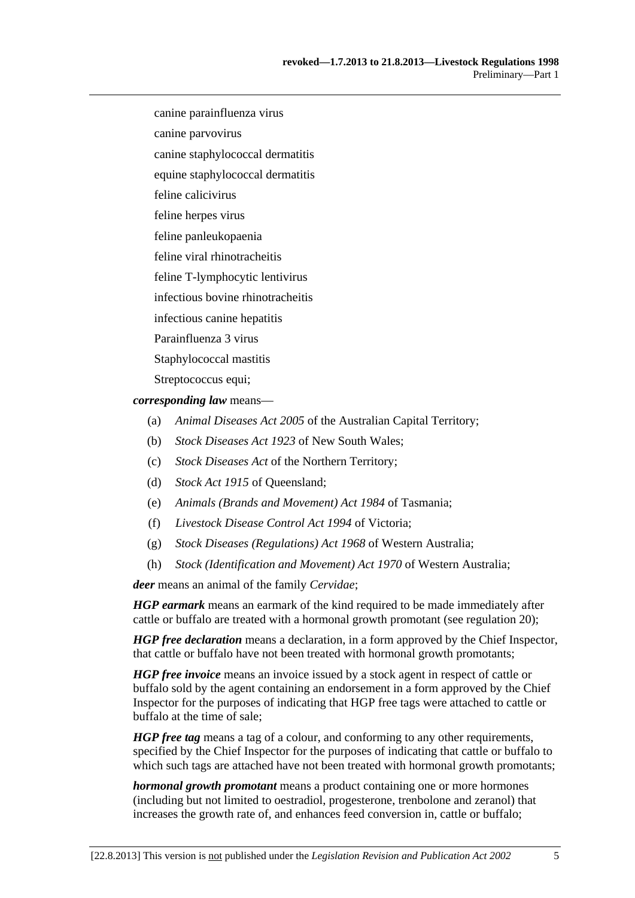canine parainfluenza virus

canine parvovirus

canine staphylococcal dermatitis

equine staphylococcal dermatitis

feline calicivirus

feline herpes virus

feline panleukopaenia

feline viral rhinotracheitis

feline T-lymphocytic lentivirus

infectious bovine rhinotracheitis

infectious canine hepatitis

Parainfluenza 3 virus

Staphylococcal mastitis

Streptococcus equi;

*corresponding law* means—

- (a) *Animal Diseases Act 2005* of the Australian Capital Territory;
- (b) *Stock Diseases Act 1923* of New South Wales;
- (c) *Stock Diseases Act* of the Northern Territory;
- (d) *Stock Act 1915* of Queensland;
- (e) *Animals (Brands and Movement) Act 1984* of Tasmania;
- (f) *Livestock Disease Control Act 1994* of Victoria;
- (g) *Stock Diseases (Regulations) Act 1968* of Western Australia;
- (h) *Stock (Identification and Movement) Act 1970* of Western Australia;

*deer* means an animal of the family *Cervidae*;

*HGP earmark* means an earmark of the kind required to be made immediately after cattle or buffalo are treated with a hormonal growth promotant (see [regulation 20](#page-16-0));

*HGP free declaration* means a declaration, in a form approved by the Chief Inspector, that cattle or buffalo have not been treated with hormonal growth promotants;

*HGP free invoice* means an invoice issued by a stock agent in respect of cattle or buffalo sold by the agent containing an endorsement in a form approved by the Chief Inspector for the purposes of indicating that HGP free tags were attached to cattle or buffalo at the time of sale;

*HGP free tag* means a tag of a colour, and conforming to any other requirements, specified by the Chief Inspector for the purposes of indicating that cattle or buffalo to which such tags are attached have not been treated with hormonal growth promotants;

*hormonal growth promotant* means a product containing one or more hormones (including but not limited to oestradiol, progesterone, trenbolone and zeranol) that increases the growth rate of, and enhances feed conversion in, cattle or buffalo;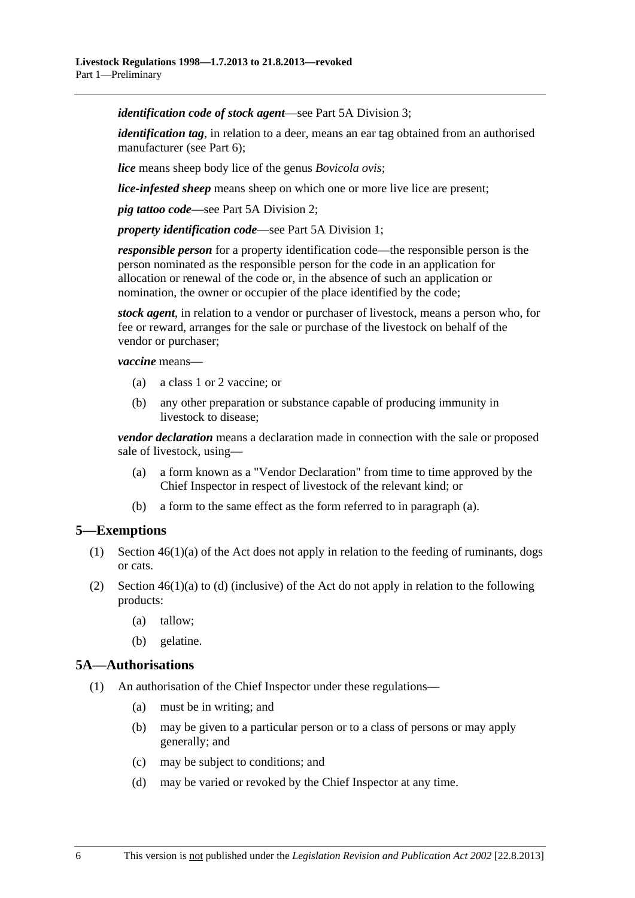<span id="page-5-0"></span>*identification code of stock agent*—see [Part 5A Division 3;](#page-21-0)

*identification tag*, in relation to a deer, means an ear tag obtained from an authorised manufacturer (see [Part 6](#page-22-0));

*lice* means sheep body lice of the genus *Bovicola ovis*;

*lice-infested sheep* means sheep on which one or more live lice are present;

*pig tattoo code*—see [Part 5A Division 2](#page-20-0);

*property identification code*—see [Part 5A Division 1;](#page-19-0)

*responsible person* for a property identification code—the responsible person is the person nominated as the responsible person for the code in an application for allocation or renewal of the code or, in the absence of such an application or nomination, the owner or occupier of the place identified by the code;

*stock agent*, in relation to a vendor or purchaser of livestock, means a person who, for fee or reward, arranges for the sale or purchase of the livestock on behalf of the vendor or purchaser;

*vaccine* means—

- (a) a class 1 or 2 vaccine; or
- (b) any other preparation or substance capable of producing immunity in livestock to disease;

*vendor declaration* means a declaration made in connection with the sale or proposed sale of livestock, using—

- (a) a form known as a "Vendor Declaration" from time to time approved by the Chief Inspector in respect of livestock of the relevant kind; or
- (b) a form to the same effect as the form referred to in [paragraph \(a\).](#page-5-0)

## **5—Exemptions**

- (1) Section 46(1)(a) of the Act does not apply in relation to the feeding of ruminants, dogs or cats.
- (2) Section  $46(1)(a)$  to (d) (inclusive) of the Act do not apply in relation to the following products:
	- (a) tallow;
	- (b) gelatine.

#### **5A—Authorisations**

- (1) An authorisation of the Chief Inspector under these regulations—
	- (a) must be in writing; and
	- (b) may be given to a particular person or to a class of persons or may apply generally; and
	- (c) may be subject to conditions; and
	- (d) may be varied or revoked by the Chief Inspector at any time.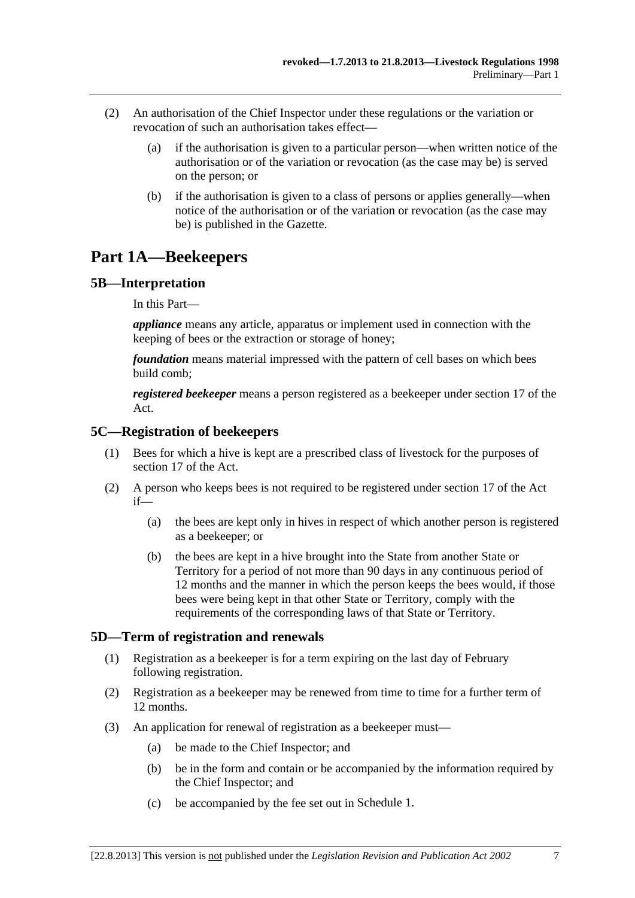- <span id="page-6-0"></span> (2) An authorisation of the Chief Inspector under these regulations or the variation or revocation of such an authorisation takes effect—
	- (a) if the authorisation is given to a particular person—when written notice of the authorisation or of the variation or revocation (as the case may be) is served on the person; or
	- (b) if the authorisation is given to a class of persons or applies generally—when notice of the authorisation or of the variation or revocation (as the case may be) is published in the Gazette.

# **Part 1A—Beekeepers**

## **5B—Interpretation**

In this Part—

*appliance* means any article, apparatus or implement used in connection with the keeping of bees or the extraction or storage of honey;

*foundation* means material impressed with the pattern of cell bases on which bees build comb;

*registered beekeeper* means a person registered as a beekeeper under section 17 of the Act.

## **5C—Registration of beekeepers**

- (1) Bees for which a hive is kept are a prescribed class of livestock for the purposes of section 17 of the Act.
- (2) A person who keeps bees is not required to be registered under section 17 of the Act if—
	- (a) the bees are kept only in hives in respect of which another person is registered as a beekeeper; or
	- (b) the bees are kept in a hive brought into the State from another State or Territory for a period of not more than 90 days in any continuous period of 12 months and the manner in which the person keeps the bees would, if those bees were being kept in that other State or Territory, comply with the requirements of the corresponding laws of that State or Territory.

## **5D—Term of registration and renewals**

- (1) Registration as a beekeeper is for a term expiring on the last day of February following registration.
- (2) Registration as a beekeeper may be renewed from time to time for a further term of 12 months.
- (3) An application for renewal of registration as a beekeeper must—
	- (a) be made to the Chief Inspector; and
	- (b) be in the form and contain or be accompanied by the information required by the Chief Inspector; and
	- (c) be accompanied by the fee set out in [Schedule 1.](#page-0-0)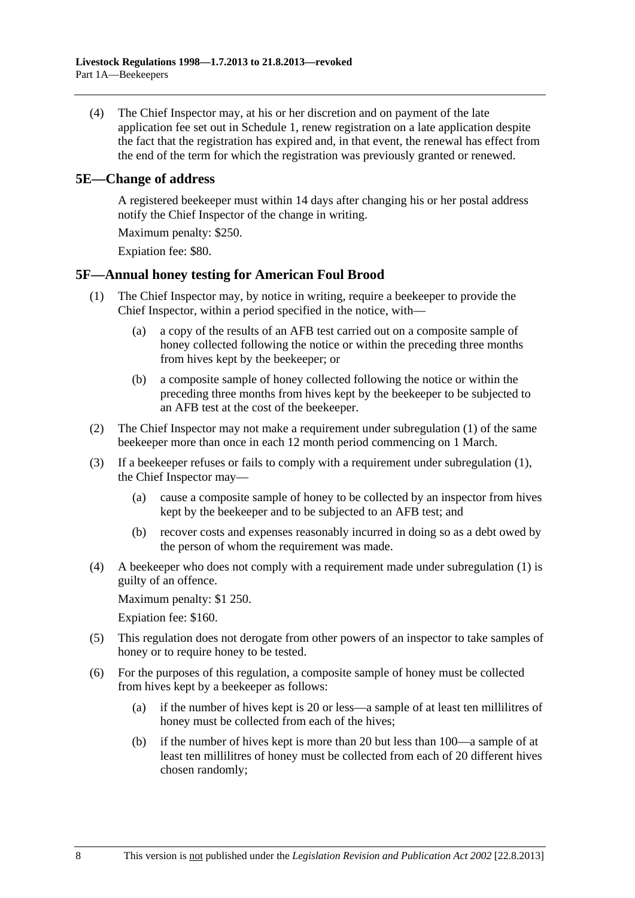<span id="page-7-0"></span> (4) The Chief Inspector may, at his or her discretion and on payment of the late application fee set out in [Schedule 1](#page-0-0), renew registration on a late application despite the fact that the registration has expired and, in that event, the renewal has effect from the end of the term for which the registration was previously granted or renewed.

### **5E—Change of address**

A registered beekeeper must within 14 days after changing his or her postal address notify the Chief Inspector of the change in writing.

Maximum penalty: \$250.

Expiation fee: \$80.

## **5F—Annual honey testing for American Foul Brood**

- (1) The Chief Inspector may, by notice in writing, require a beekeeper to provide the Chief Inspector, within a period specified in the notice, with—
	- (a) a copy of the results of an AFB test carried out on a composite sample of honey collected following the notice or within the preceding three months from hives kept by the beekeeper; or
	- (b) a composite sample of honey collected following the notice or within the preceding three months from hives kept by the beekeeper to be subjected to an AFB test at the cost of the beekeeper.
- (2) The Chief Inspector may not make a requirement under [subregulation \(1\)](#page-7-0) of the same beekeeper more than once in each 12 month period commencing on 1 March.
- (3) If a beekeeper refuses or fails to comply with a requirement under [subregulation \(1\)](#page-7-0), the Chief Inspector may—
	- (a) cause a composite sample of honey to be collected by an inspector from hives kept by the beekeeper and to be subjected to an AFB test; and
	- (b) recover costs and expenses reasonably incurred in doing so as a debt owed by the person of whom the requirement was made.
- (4) A beekeeper who does not comply with a requirement made under [subregulation \(1\)](#page-7-0) is guilty of an offence.

Maximum penalty: \$1 250.

Expiation fee: \$160.

- (5) This regulation does not derogate from other powers of an inspector to take samples of honey or to require honey to be tested.
- (6) For the purposes of this regulation, a composite sample of honey must be collected from hives kept by a beekeeper as follows:
	- (a) if the number of hives kept is 20 or less—a sample of at least ten millilitres of honey must be collected from each of the hives;
	- (b) if the number of hives kept is more than 20 but less than 100—a sample of at least ten millilitres of honey must be collected from each of 20 different hives chosen randomly;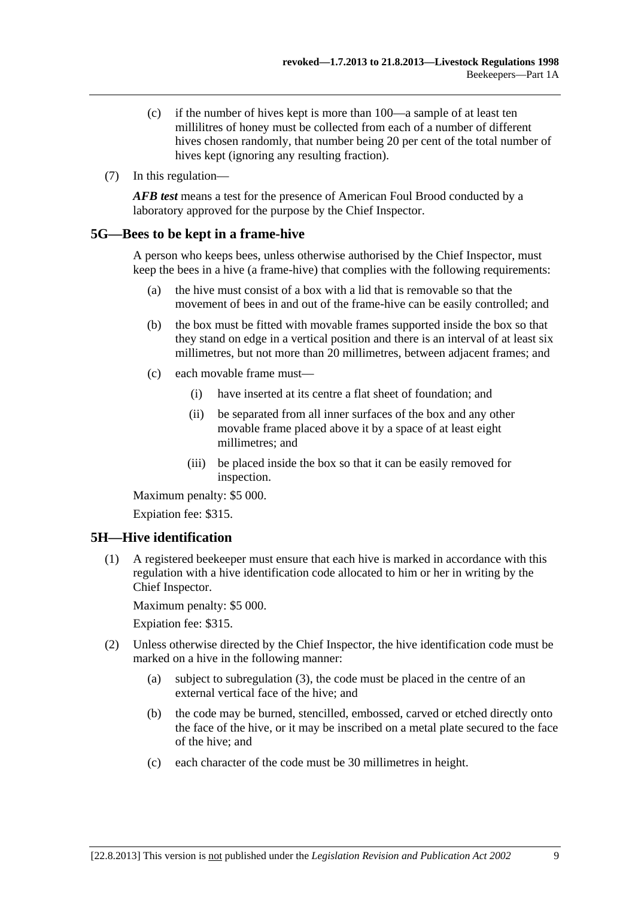- <span id="page-8-0"></span> (c) if the number of hives kept is more than 100—a sample of at least ten millilitres of honey must be collected from each of a number of different hives chosen randomly, that number being 20 per cent of the total number of hives kept (ignoring any resulting fraction).
- (7) In this regulation—

*AFB test* means a test for the presence of American Foul Brood conducted by a laboratory approved for the purpose by the Chief Inspector.

## **5G—Bees to be kept in a frame-hive**

A person who keeps bees, unless otherwise authorised by the Chief Inspector, must keep the bees in a hive (a frame-hive) that complies with the following requirements:

- (a) the hive must consist of a box with a lid that is removable so that the movement of bees in and out of the frame-hive can be easily controlled; and
- (b) the box must be fitted with movable frames supported inside the box so that they stand on edge in a vertical position and there is an interval of at least six millimetres, but not more than 20 millimetres, between adjacent frames; and
- (c) each movable frame must—
	- (i) have inserted at its centre a flat sheet of foundation; and
	- (ii) be separated from all inner surfaces of the box and any other movable frame placed above it by a space of at least eight millimetres; and
	- (iii) be placed inside the box so that it can be easily removed for inspection.

Maximum penalty: \$5 000.

Expiation fee: \$315.

## **5H—Hive identification**

 (1) A registered beekeeper must ensure that each hive is marked in accordance with this regulation with a hive identification code allocated to him or her in writing by the Chief Inspector.

Maximum penalty: \$5 000.

- (2) Unless otherwise directed by the Chief Inspector, the hive identification code must be marked on a hive in the following manner:
	- (a) subject to [subregulation \(3\),](#page-9-0) the code must be placed in the centre of an external vertical face of the hive; and
	- (b) the code may be burned, stencilled, embossed, carved or etched directly onto the face of the hive, or it may be inscribed on a metal plate secured to the face of the hive; and
	- (c) each character of the code must be 30 millimetres in height.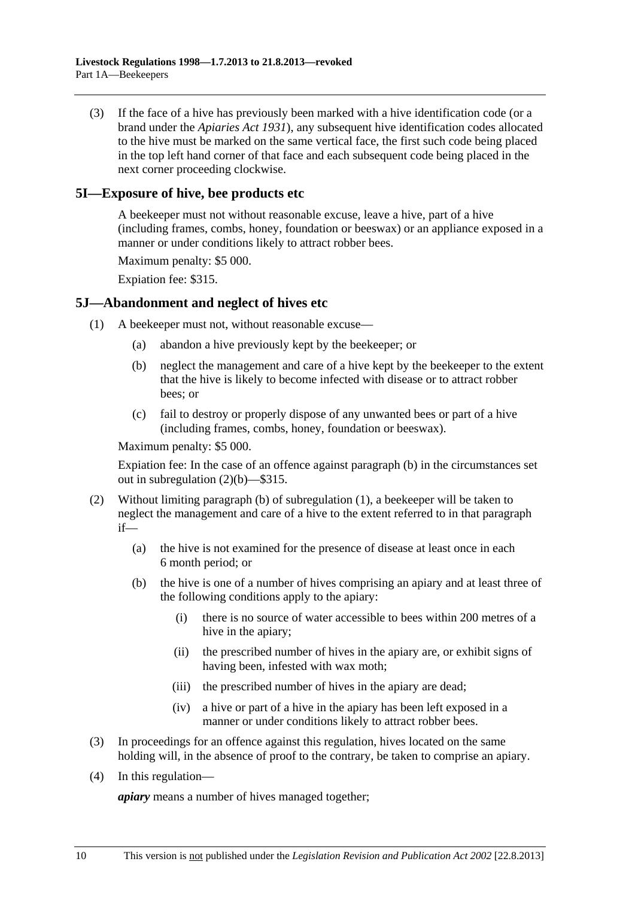<span id="page-9-0"></span> (3) If the face of a hive has previously been marked with a hive identification code (or a brand under the *[Apiaries Act 1931](http://www.legislation.sa.gov.au/index.aspx?action=legref&type=act&legtitle=Apiaries%20Act%201931)*), any subsequent hive identification codes allocated to the hive must be marked on the same vertical face, the first such code being placed in the top left hand corner of that face and each subsequent code being placed in the next corner proceeding clockwise.

## **5I—Exposure of hive, bee products etc**

A beekeeper must not without reasonable excuse, leave a hive, part of a hive (including frames, combs, honey, foundation or beeswax) or an appliance exposed in a manner or under conditions likely to attract robber bees.

Maximum penalty: \$5 000.

Expiation fee: \$315.

#### **5J—Abandonment and neglect of hives etc**

- (1) A beekeeper must not, without reasonable excuse—
	- (a) abandon a hive previously kept by the beekeeper; or
	- (b) neglect the management and care of a hive kept by the beekeeper to the extent that the hive is likely to become infected with disease or to attract robber bees; or
	- (c) fail to destroy or properly dispose of any unwanted bees or part of a hive (including frames, combs, honey, foundation or beeswax).

Maximum penalty: \$5 000.

Expiation fee: In the case of an offence against [paragraph \(b\)](#page-9-0) in the circumstances set out in [subregulation \(2\)\(b\)](#page-9-0)—\$315.

- (2) Without limiting [paragraph \(b\)](#page-9-0) of [subregulation \(1\),](#page-9-0) a beekeeper will be taken to neglect the management and care of a hive to the extent referred to in that paragraph if—
	- (a) the hive is not examined for the presence of disease at least once in each 6 month period; or
	- (b) the hive is one of a number of hives comprising an apiary and at least three of the following conditions apply to the apiary:
		- (i) there is no source of water accessible to bees within 200 metres of a hive in the apiary;
		- (ii) the prescribed number of hives in the apiary are, or exhibit signs of having been, infested with wax moth;
		- (iii) the prescribed number of hives in the apiary are dead;
		- (iv) a hive or part of a hive in the apiary has been left exposed in a manner or under conditions likely to attract robber bees.
- (3) In proceedings for an offence against this regulation, hives located on the same holding will, in the absence of proof to the contrary, be taken to comprise an apiary.
- (4) In this regulation—

*apiary* means a number of hives managed together;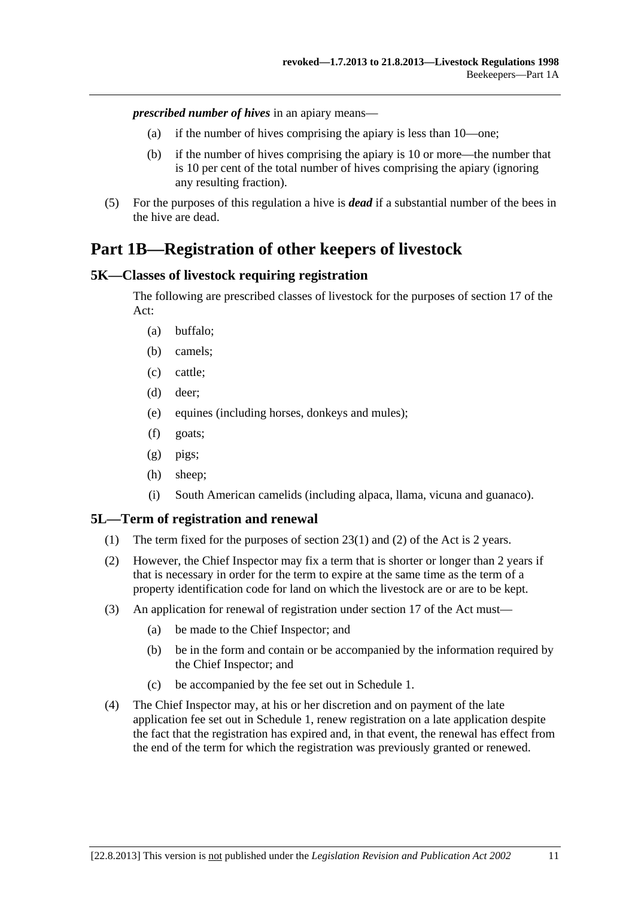<span id="page-10-0"></span>*prescribed number of hives* in an apiary means—

- (a) if the number of hives comprising the apiary is less than 10—one;
- (b) if the number of hives comprising the apiary is 10 or more—the number that is 10 per cent of the total number of hives comprising the apiary (ignoring any resulting fraction).
- (5) For the purposes of this regulation a hive is *dead* if a substantial number of the bees in the hive are dead.

# **Part 1B—Registration of other keepers of livestock**

## **5K—Classes of livestock requiring registration**

The following are prescribed classes of livestock for the purposes of section 17 of the Act:

- (a) buffalo;
- (b) camels;
- (c) cattle;
- (d) deer;
- (e) equines (including horses, donkeys and mules);
- (f) goats;
- (g) pigs;
- (h) sheep;
- (i) South American camelids (including alpaca, llama, vicuna and guanaco).

## **5L—Term of registration and renewal**

- (1) The term fixed for the purposes of section 23(1) and (2) of the Act is 2 years.
- (2) However, the Chief Inspector may fix a term that is shorter or longer than 2 years if that is necessary in order for the term to expire at the same time as the term of a property identification code for land on which the livestock are or are to be kept.
- (3) An application for renewal of registration under section 17 of the Act must—
	- (a) be made to the Chief Inspector; and
	- (b) be in the form and contain or be accompanied by the information required by the Chief Inspector; and
	- (c) be accompanied by the fee set out in [Schedule 1.](#page-0-0)
- (4) The Chief Inspector may, at his or her discretion and on payment of the late application fee set out in [Schedule 1,](#page-0-0) renew registration on a late application despite the fact that the registration has expired and, in that event, the renewal has effect from the end of the term for which the registration was previously granted or renewed.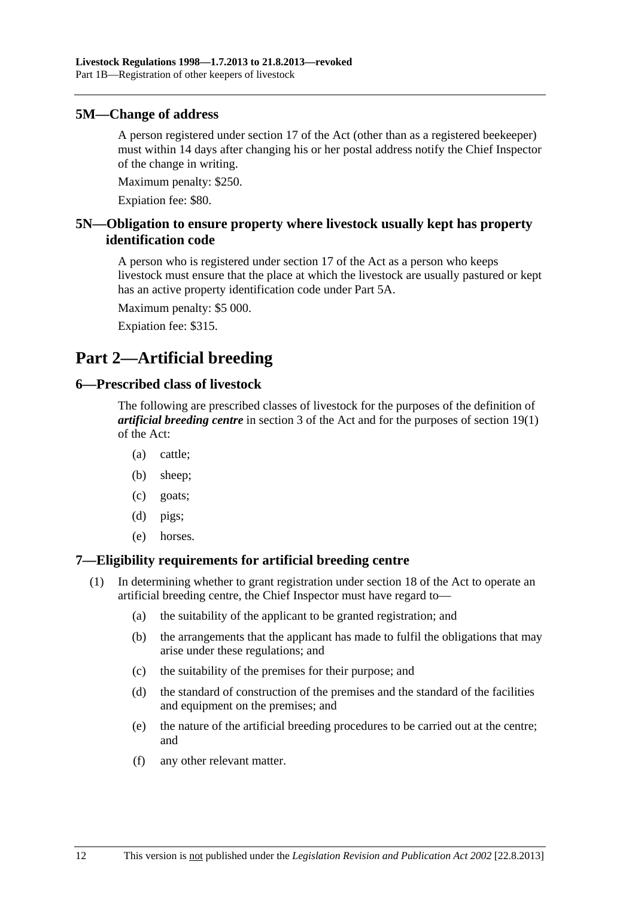#### <span id="page-11-0"></span>**5M—Change of address**

A person registered under section 17 of the Act (other than as a registered beekeeper) must within 14 days after changing his or her postal address notify the Chief Inspector of the change in writing.

Maximum penalty: \$250.

Expiation fee: \$80.

## **5N—Obligation to ensure property where livestock usually kept has property identification code**

A person who is registered under section 17 of the Act as a person who keeps livestock must ensure that the place at which the livestock are usually pastured or kept has an active property identification code under [Part 5A](#page-19-0).

Maximum penalty: \$5 000.

Expiation fee: \$315.

## **Part 2—Artificial breeding**

#### **6—Prescribed class of livestock**

The following are prescribed classes of livestock for the purposes of the definition of *artificial breeding centre* in section 3 of the Act and for the purposes of section 19(1) of the Act:

- (a) cattle;
- (b) sheep;
- (c) goats;
- (d) pigs;
- (e) horses.

## **7—Eligibility requirements for artificial breeding centre**

- (1) In determining whether to grant registration under section 18 of the Act to operate an artificial breeding centre, the Chief Inspector must have regard to—
	- (a) the suitability of the applicant to be granted registration; and
	- (b) the arrangements that the applicant has made to fulfil the obligations that may arise under these regulations; and
	- (c) the suitability of the premises for their purpose; and
	- (d) the standard of construction of the premises and the standard of the facilities and equipment on the premises; and
	- (e) the nature of the artificial breeding procedures to be carried out at the centre; and
	- (f) any other relevant matter.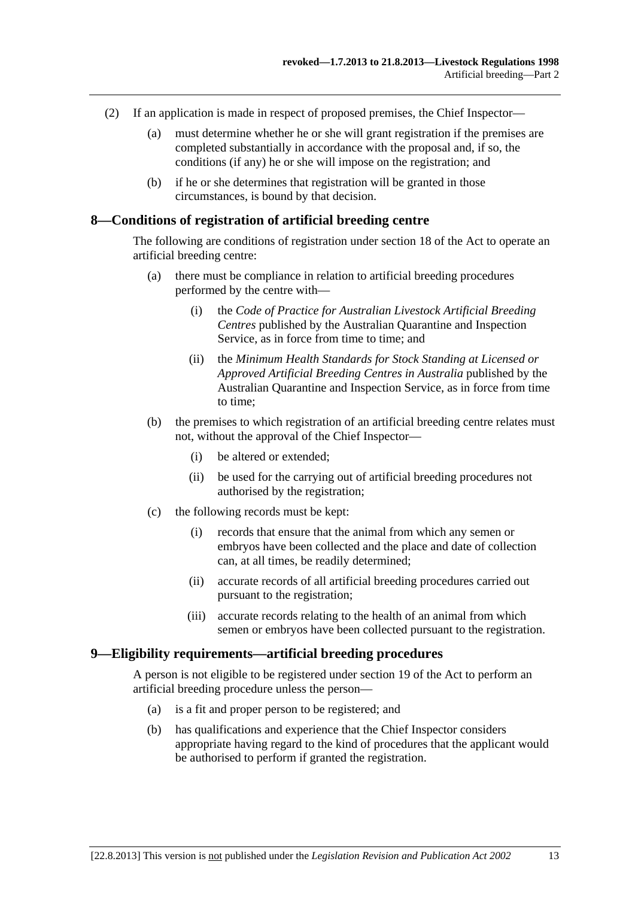- <span id="page-12-0"></span> (2) If an application is made in respect of proposed premises, the Chief Inspector—
	- (a) must determine whether he or she will grant registration if the premises are completed substantially in accordance with the proposal and, if so, the conditions (if any) he or she will impose on the registration; and
	- (b) if he or she determines that registration will be granted in those circumstances, is bound by that decision.

#### **8—Conditions of registration of artificial breeding centre**

The following are conditions of registration under section 18 of the Act to operate an artificial breeding centre:

- (a) there must be compliance in relation to artificial breeding procedures performed by the centre with—
	- (i) the *Code of Practice for Australian Livestock Artificial Breeding Centres* published by the Australian Quarantine and Inspection Service, as in force from time to time; and
	- (ii) the *Minimum Health Standards for Stock Standing at Licensed or Approved Artificial Breeding Centres in Australia* published by the Australian Quarantine and Inspection Service, as in force from time to time;
- (b) the premises to which registration of an artificial breeding centre relates must not, without the approval of the Chief Inspector—
	- (i) be altered or extended;
	- (ii) be used for the carrying out of artificial breeding procedures not authorised by the registration;
- (c) the following records must be kept:
	- (i) records that ensure that the animal from which any semen or embryos have been collected and the place and date of collection can, at all times, be readily determined;
	- (ii) accurate records of all artificial breeding procedures carried out pursuant to the registration;
	- (iii) accurate records relating to the health of an animal from which semen or embryos have been collected pursuant to the registration.

#### **9—Eligibility requirements—artificial breeding procedures**

A person is not eligible to be registered under section 19 of the Act to perform an artificial breeding procedure unless the person—

- (a) is a fit and proper person to be registered; and
- (b) has qualifications and experience that the Chief Inspector considers appropriate having regard to the kind of procedures that the applicant would be authorised to perform if granted the registration.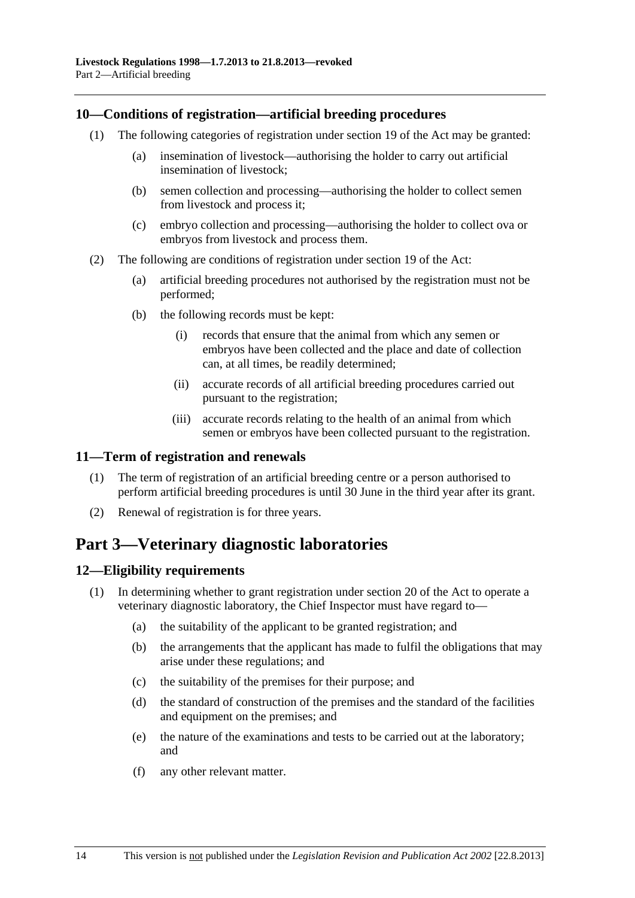### <span id="page-13-0"></span>**10—Conditions of registration—artificial breeding procedures**

- (1) The following categories of registration under section 19 of the Act may be granted:
	- (a) insemination of livestock—authorising the holder to carry out artificial insemination of livestock;
	- (b) semen collection and processing—authorising the holder to collect semen from livestock and process it;
	- (c) embryo collection and processing—authorising the holder to collect ova or embryos from livestock and process them.
- (2) The following are conditions of registration under section 19 of the Act:
	- (a) artificial breeding procedures not authorised by the registration must not be performed;
	- (b) the following records must be kept:
		- (i) records that ensure that the animal from which any semen or embryos have been collected and the place and date of collection can, at all times, be readily determined;
		- (ii) accurate records of all artificial breeding procedures carried out pursuant to the registration;
		- (iii) accurate records relating to the health of an animal from which semen or embryos have been collected pursuant to the registration.

## **11—Term of registration and renewals**

- (1) The term of registration of an artificial breeding centre or a person authorised to perform artificial breeding procedures is until 30 June in the third year after its grant.
- (2) Renewal of registration is for three years.

## **Part 3—Veterinary diagnostic laboratories**

## **12—Eligibility requirements**

- (1) In determining whether to grant registration under section 20 of the Act to operate a veterinary diagnostic laboratory, the Chief Inspector must have regard to—
	- (a) the suitability of the applicant to be granted registration; and
	- (b) the arrangements that the applicant has made to fulfil the obligations that may arise under these regulations; and
	- (c) the suitability of the premises for their purpose; and
	- (d) the standard of construction of the premises and the standard of the facilities and equipment on the premises; and
	- (e) the nature of the examinations and tests to be carried out at the laboratory; and
	- (f) any other relevant matter.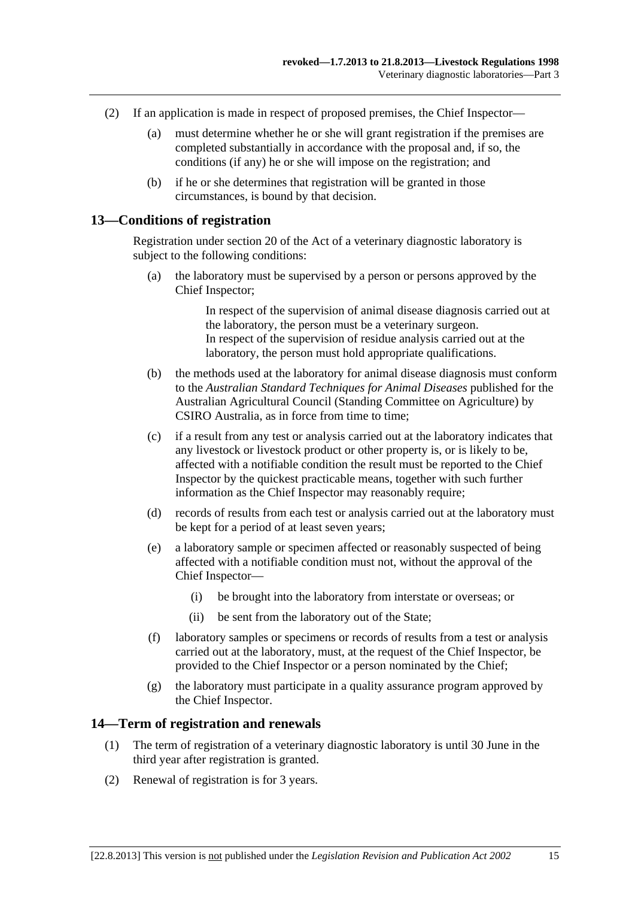- <span id="page-14-0"></span> (2) If an application is made in respect of proposed premises, the Chief Inspector—
	- (a) must determine whether he or she will grant registration if the premises are completed substantially in accordance with the proposal and, if so, the conditions (if any) he or she will impose on the registration; and
	- (b) if he or she determines that registration will be granted in those circumstances, is bound by that decision.

#### **13—Conditions of registration**

Registration under section 20 of the Act of a veterinary diagnostic laboratory is subject to the following conditions:

 (a) the laboratory must be supervised by a person or persons approved by the Chief Inspector;

> In respect of the supervision of animal disease diagnosis carried out at the laboratory, the person must be a veterinary surgeon. In respect of the supervision of residue analysis carried out at the laboratory, the person must hold appropriate qualifications.

- (b) the methods used at the laboratory for animal disease diagnosis must conform to the *Australian Standard Techniques for Animal Diseases* published for the Australian Agricultural Council (Standing Committee on Agriculture) by CSIRO Australia, as in force from time to time;
- (c) if a result from any test or analysis carried out at the laboratory indicates that any livestock or livestock product or other property is, or is likely to be, affected with a notifiable condition the result must be reported to the Chief Inspector by the quickest practicable means, together with such further information as the Chief Inspector may reasonably require;
- (d) records of results from each test or analysis carried out at the laboratory must be kept for a period of at least seven years;
- (e) a laboratory sample or specimen affected or reasonably suspected of being affected with a notifiable condition must not, without the approval of the Chief Inspector—
	- (i) be brought into the laboratory from interstate or overseas; or
	- (ii) be sent from the laboratory out of the State;
- (f) laboratory samples or specimens or records of results from a test or analysis carried out at the laboratory, must, at the request of the Chief Inspector, be provided to the Chief Inspector or a person nominated by the Chief;
- (g) the laboratory must participate in a quality assurance program approved by the Chief Inspector.

#### **14—Term of registration and renewals**

- (1) The term of registration of a veterinary diagnostic laboratory is until 30 June in the third year after registration is granted.
- (2) Renewal of registration is for 3 years.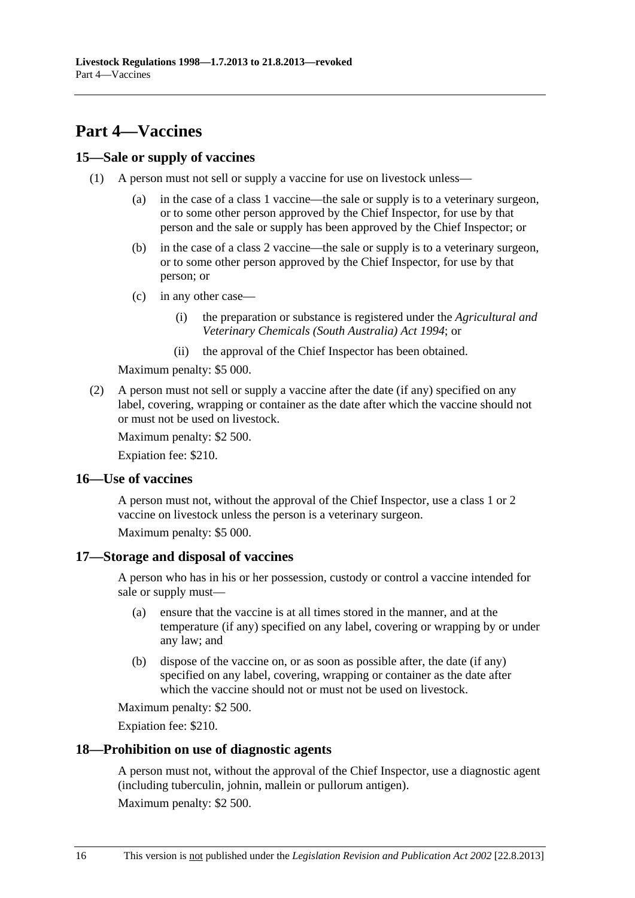# <span id="page-15-0"></span>**Part 4—Vaccines**

## **15—Sale or supply of vaccines**

- (1) A person must not sell or supply a vaccine for use on livestock unless—
	- (a) in the case of a class 1 vaccine—the sale or supply is to a veterinary surgeon, or to some other person approved by the Chief Inspector, for use by that person and the sale or supply has been approved by the Chief Inspector; or
	- (b) in the case of a class 2 vaccine—the sale or supply is to a veterinary surgeon, or to some other person approved by the Chief Inspector, for use by that person; or
	- (c) in any other case—
		- (i) the preparation or substance is registered under the *[Agricultural and](http://www.legislation.sa.gov.au/index.aspx?action=legref&type=act&legtitle=Agricultural%20and%20Veterinary%20Chemicals%20(South%20Australia)%20Act%201994)  [Veterinary Chemicals \(South Australia\) Act 1994](http://www.legislation.sa.gov.au/index.aspx?action=legref&type=act&legtitle=Agricultural%20and%20Veterinary%20Chemicals%20(South%20Australia)%20Act%201994)*; or
		- (ii) the approval of the Chief Inspector has been obtained.

Maximum penalty: \$5 000.

 (2) A person must not sell or supply a vaccine after the date (if any) specified on any label, covering, wrapping or container as the date after which the vaccine should not or must not be used on livestock.

Maximum penalty: \$2 500.

Expiation fee: \$210.

#### **16—Use of vaccines**

A person must not, without the approval of the Chief Inspector, use a class 1 or 2 vaccine on livestock unless the person is a veterinary surgeon.

Maximum penalty: \$5 000.

## **17—Storage and disposal of vaccines**

A person who has in his or her possession, custody or control a vaccine intended for sale or supply must—

- (a) ensure that the vaccine is at all times stored in the manner, and at the temperature (if any) specified on any label, covering or wrapping by or under any law; and
- (b) dispose of the vaccine on, or as soon as possible after, the date (if any) specified on any label, covering, wrapping or container as the date after which the vaccine should not or must not be used on livestock.

Maximum penalty: \$2 500.

Expiation fee: \$210.

## **18—Prohibition on use of diagnostic agents**

A person must not, without the approval of the Chief Inspector, use a diagnostic agent (including tuberculin, johnin, mallein or pullorum antigen).

Maximum penalty: \$2 500.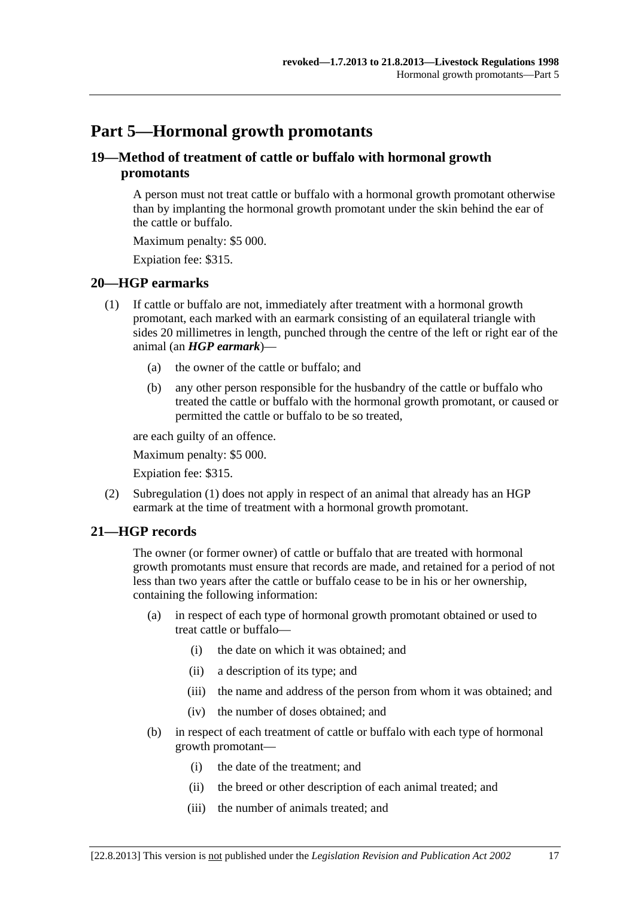# <span id="page-16-0"></span>**Part 5—Hormonal growth promotants**

## **19—Method of treatment of cattle or buffalo with hormonal growth promotants**

A person must not treat cattle or buffalo with a hormonal growth promotant otherwise than by implanting the hormonal growth promotant under the skin behind the ear of the cattle or buffalo.

Maximum penalty: \$5 000.

Expiation fee: \$315.

## **20—HGP earmarks**

- (1) If cattle or buffalo are not, immediately after treatment with a hormonal growth promotant, each marked with an earmark consisting of an equilateral triangle with sides 20 millimetres in length, punched through the centre of the left or right ear of the animal (an *HGP earmark*)—
	- (a) the owner of the cattle or buffalo; and
	- (b) any other person responsible for the husbandry of the cattle or buffalo who treated the cattle or buffalo with the hormonal growth promotant, or caused or permitted the cattle or buffalo to be so treated,

are each guilty of an offence.

Maximum penalty: \$5 000.

Expiation fee: \$315.

 (2) [Subregulation \(1\)](#page-16-0) does not apply in respect of an animal that already has an HGP earmark at the time of treatment with a hormonal growth promotant.

## **21—HGP records**

The owner (or former owner) of cattle or buffalo that are treated with hormonal growth promotants must ensure that records are made, and retained for a period of not less than two years after the cattle or buffalo cease to be in his or her ownership, containing the following information:

- (a) in respect of each type of hormonal growth promotant obtained or used to treat cattle or buffalo—
	- (i) the date on which it was obtained; and
	- (ii) a description of its type; and
	- (iii) the name and address of the person from whom it was obtained; and
	- (iv) the number of doses obtained; and
- (b) in respect of each treatment of cattle or buffalo with each type of hormonal growth promotant—
	- (i) the date of the treatment; and
	- (ii) the breed or other description of each animal treated; and
	- (iii) the number of animals treated; and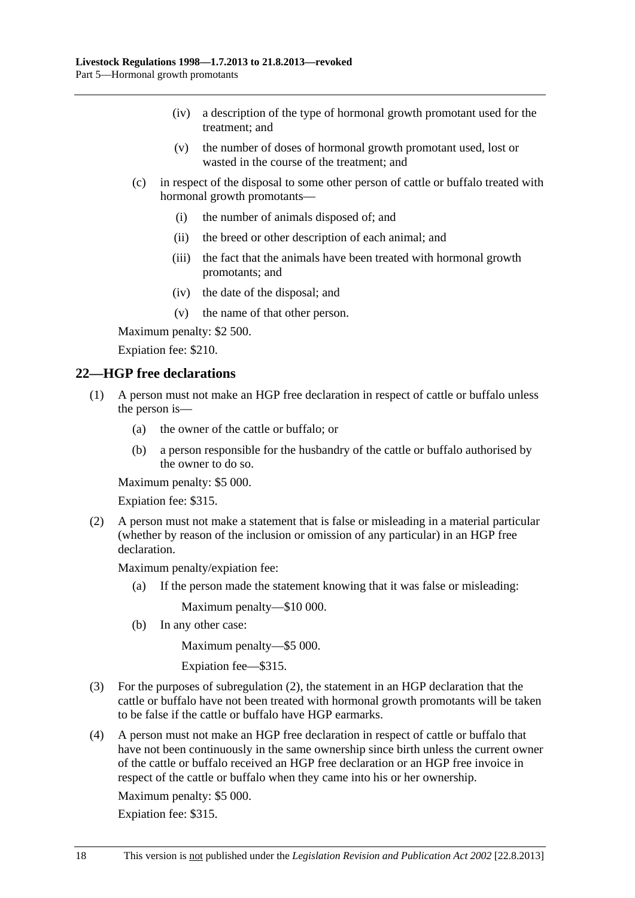- <span id="page-17-0"></span> (iv) a description of the type of hormonal growth promotant used for the treatment; and
- (v) the number of doses of hormonal growth promotant used, lost or wasted in the course of the treatment; and
- (c) in respect of the disposal to some other person of cattle or buffalo treated with hormonal growth promotants—
	- (i) the number of animals disposed of; and
	- (ii) the breed or other description of each animal; and
	- (iii) the fact that the animals have been treated with hormonal growth promotants; and
	- (iv) the date of the disposal; and
	- (v) the name of that other person.

Maximum penalty: \$2 500.

Expiation fee: \$210.

#### **22—HGP free declarations**

- (1) A person must not make an HGP free declaration in respect of cattle or buffalo unless the person is—
	- (a) the owner of the cattle or buffalo; or
	- (b) a person responsible for the husbandry of the cattle or buffalo authorised by the owner to do so.

Maximum penalty: \$5 000.

Expiation fee: \$315.

 (2) A person must not make a statement that is false or misleading in a material particular (whether by reason of the inclusion or omission of any particular) in an HGP free declaration.

Maximum penalty/expiation fee:

(a) If the person made the statement knowing that it was false or misleading:

Maximum penalty—\$10 000.

(b) In any other case:

Maximum penalty—\$5 000.

Expiation fee—\$315.

- (3) For the purposes of [subregulation \(2\),](#page-17-0) the statement in an HGP declaration that the cattle or buffalo have not been treated with hormonal growth promotants will be taken to be false if the cattle or buffalo have HGP earmarks.
- (4) A person must not make an HGP free declaration in respect of cattle or buffalo that have not been continuously in the same ownership since birth unless the current owner of the cattle or buffalo received an HGP free declaration or an HGP free invoice in respect of the cattle or buffalo when they came into his or her ownership.

Maximum penalty: \$5 000.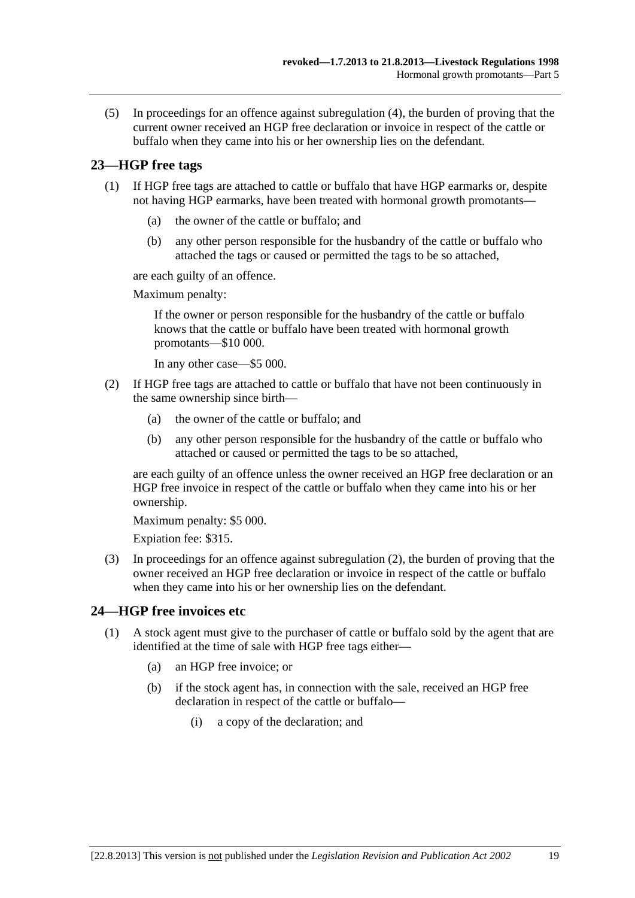<span id="page-18-0"></span> (5) In proceedings for an offence against [subregulation \(4\)](#page-17-0), the burden of proving that the current owner received an HGP free declaration or invoice in respect of the cattle or buffalo when they came into his or her ownership lies on the defendant.

## **23—HGP free tags**

- (1) If HGP free tags are attached to cattle or buffalo that have HGP earmarks or, despite not having HGP earmarks, have been treated with hormonal growth promotants—
	- (a) the owner of the cattle or buffalo; and
	- (b) any other person responsible for the husbandry of the cattle or buffalo who attached the tags or caused or permitted the tags to be so attached,

are each guilty of an offence.

Maximum penalty:

If the owner or person responsible for the husbandry of the cattle or buffalo knows that the cattle or buffalo have been treated with hormonal growth promotants—\$10 000.

In any other case—\$5 000.

- (2) If HGP free tags are attached to cattle or buffalo that have not been continuously in the same ownership since birth—
	- (a) the owner of the cattle or buffalo; and
	- (b) any other person responsible for the husbandry of the cattle or buffalo who attached or caused or permitted the tags to be so attached,

are each guilty of an offence unless the owner received an HGP free declaration or an HGP free invoice in respect of the cattle or buffalo when they came into his or her ownership.

Maximum penalty: \$5 000.

Expiation fee: \$315.

 (3) In proceedings for an offence against [subregulation \(2\)](#page-18-0), the burden of proving that the owner received an HGP free declaration or invoice in respect of the cattle or buffalo when they came into his or her ownership lies on the defendant.

## **24—HGP free invoices etc**

- (1) A stock agent must give to the purchaser of cattle or buffalo sold by the agent that are identified at the time of sale with HGP free tags either—
	- (a) an HGP free invoice; or
	- (b) if the stock agent has, in connection with the sale, received an HGP free declaration in respect of the cattle or buffalo—
		- (i) a copy of the declaration; and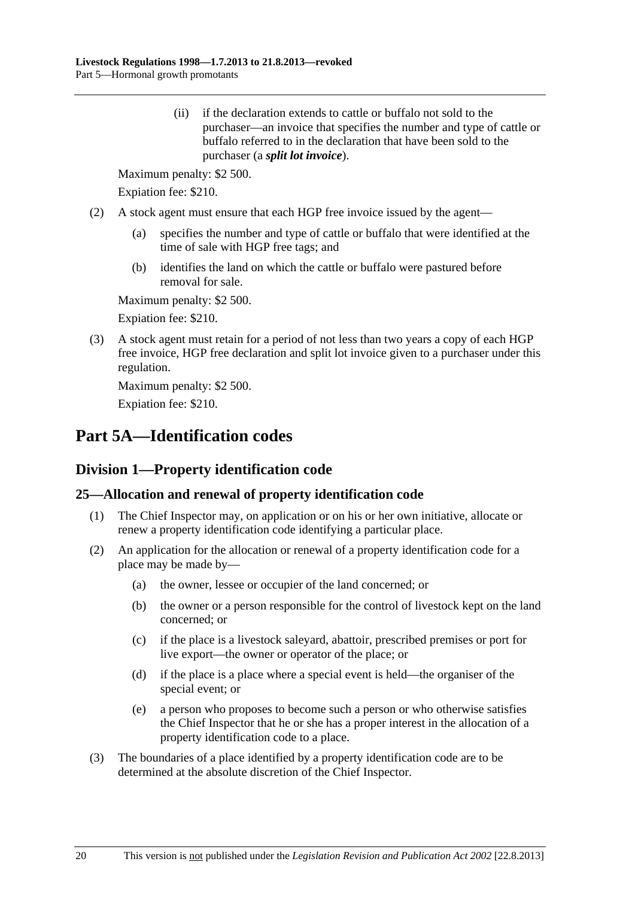<span id="page-19-0"></span> (ii) if the declaration extends to cattle or buffalo not sold to the purchaser—an invoice that specifies the number and type of cattle or buffalo referred to in the declaration that have been sold to the purchaser (a *split lot invoice*).

Maximum penalty: \$2 500.

Expiation fee: \$210.

- (2) A stock agent must ensure that each HGP free invoice issued by the agent—
	- (a) specifies the number and type of cattle or buffalo that were identified at the time of sale with HGP free tags; and
	- (b) identifies the land on which the cattle or buffalo were pastured before removal for sale.

Maximum penalty: \$2 500.

Expiation fee: \$210.

 (3) A stock agent must retain for a period of not less than two years a copy of each HGP free invoice, HGP free declaration and split lot invoice given to a purchaser under this regulation.

Maximum penalty: \$2 500.

Expiation fee: \$210.

# **Part 5A—Identification codes**

## **Division 1—Property identification code**

## **25—Allocation and renewal of property identification code**

- (1) The Chief Inspector may, on application or on his or her own initiative, allocate or renew a property identification code identifying a particular place.
- (2) An application for the allocation or renewal of a property identification code for a place may be made by—
	- (a) the owner, lessee or occupier of the land concerned; or
	- (b) the owner or a person responsible for the control of livestock kept on the land concerned; or
	- (c) if the place is a livestock saleyard, abattoir, prescribed premises or port for live export—the owner or operator of the place; or
	- (d) if the place is a place where a special event is held—the organiser of the special event; or
	- (e) a person who proposes to become such a person or who otherwise satisfies the Chief Inspector that he or she has a proper interest in the allocation of a property identification code to a place.
- (3) The boundaries of a place identified by a property identification code are to be determined at the absolute discretion of the Chief Inspector.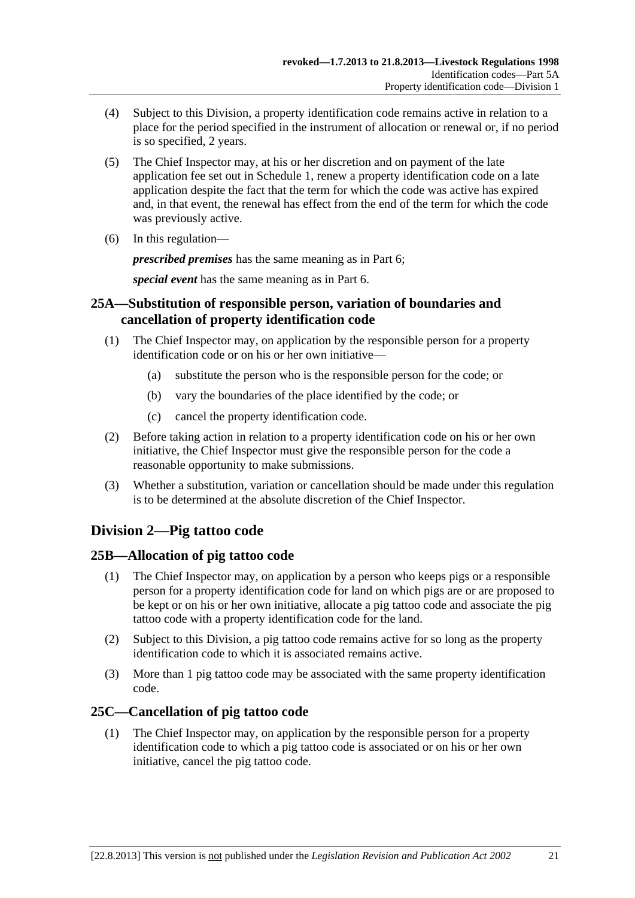- <span id="page-20-0"></span> (4) Subject to this Division, a property identification code remains active in relation to a place for the period specified in the instrument of allocation or renewal or, if no period is so specified, 2 years.
- (5) The Chief Inspector may, at his or her discretion and on payment of the late application fee set out in [Schedule 1,](#page-0-0) renew a property identification code on a late application despite the fact that the term for which the code was active has expired and, in that event, the renewal has effect from the end of the term for which the code was previously active.
- (6) In this regulation—

*prescribed premises* has the same meaning as in [Part 6;](#page-22-0)

*special event* has the same meaning as in [Part 6.](#page-22-0)

## **25A—Substitution of responsible person, variation of boundaries and cancellation of property identification code**

- (1) The Chief Inspector may, on application by the responsible person for a property identification code or on his or her own initiative—
	- (a) substitute the person who is the responsible person for the code; or
	- (b) vary the boundaries of the place identified by the code; or
	- (c) cancel the property identification code.
- (2) Before taking action in relation to a property identification code on his or her own initiative, the Chief Inspector must give the responsible person for the code a reasonable opportunity to make submissions.
- (3) Whether a substitution, variation or cancellation should be made under this regulation is to be determined at the absolute discretion of the Chief Inspector.

## **Division 2—Pig tattoo code**

## **25B—Allocation of pig tattoo code**

- (1) The Chief Inspector may, on application by a person who keeps pigs or a responsible person for a property identification code for land on which pigs are or are proposed to be kept or on his or her own initiative, allocate a pig tattoo code and associate the pig tattoo code with a property identification code for the land.
- (2) Subject to this Division, a pig tattoo code remains active for so long as the property identification code to which it is associated remains active.
- (3) More than 1 pig tattoo code may be associated with the same property identification code.

## **25C—Cancellation of pig tattoo code**

 (1) The Chief Inspector may, on application by the responsible person for a property identification code to which a pig tattoo code is associated or on his or her own initiative, cancel the pig tattoo code.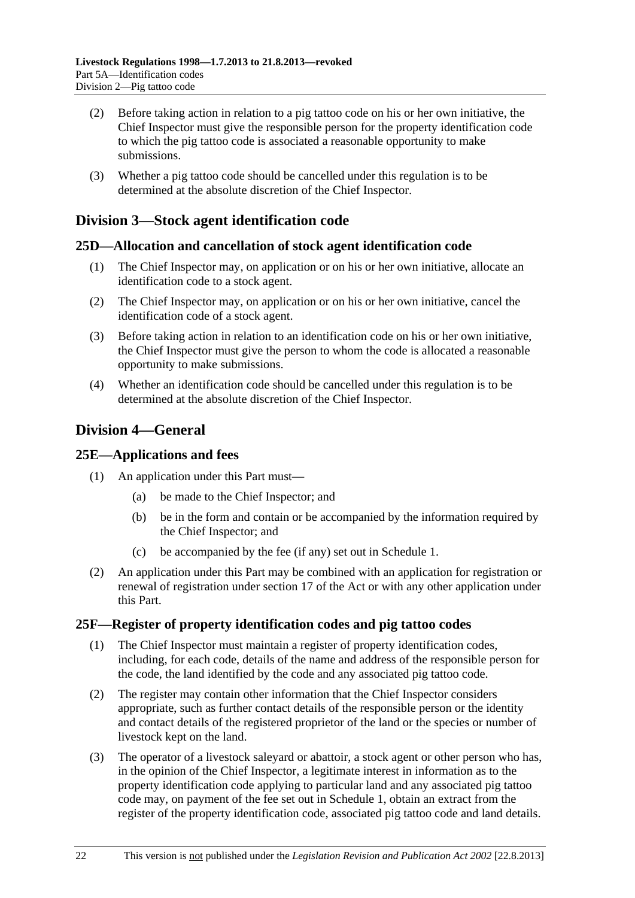- <span id="page-21-0"></span> (2) Before taking action in relation to a pig tattoo code on his or her own initiative, the Chief Inspector must give the responsible person for the property identification code to which the pig tattoo code is associated a reasonable opportunity to make submissions.
- (3) Whether a pig tattoo code should be cancelled under this regulation is to be determined at the absolute discretion of the Chief Inspector.

## **Division 3—Stock agent identification code**

## **25D—Allocation and cancellation of stock agent identification code**

- (1) The Chief Inspector may, on application or on his or her own initiative, allocate an identification code to a stock agent.
- (2) The Chief Inspector may, on application or on his or her own initiative, cancel the identification code of a stock agent.
- (3) Before taking action in relation to an identification code on his or her own initiative, the Chief Inspector must give the person to whom the code is allocated a reasonable opportunity to make submissions.
- (4) Whether an identification code should be cancelled under this regulation is to be determined at the absolute discretion of the Chief Inspector.

## **Division 4—General**

## **25E—Applications and fees**

- (1) An application under this Part must—
	- (a) be made to the Chief Inspector; and
	- (b) be in the form and contain or be accompanied by the information required by the Chief Inspector; and
	- (c) be accompanied by the fee (if any) set out in [Schedule 1.](#page-0-0)
- (2) An application under this Part may be combined with an application for registration or renewal of registration under section 17 of the Act or with any other application under this Part.

## **25F—Register of property identification codes and pig tattoo codes**

- (1) The Chief Inspector must maintain a register of property identification codes, including, for each code, details of the name and address of the responsible person for the code, the land identified by the code and any associated pig tattoo code.
- (2) The register may contain other information that the Chief Inspector considers appropriate, such as further contact details of the responsible person or the identity and contact details of the registered proprietor of the land or the species or number of livestock kept on the land.
- (3) The operator of a livestock saleyard or abattoir, a stock agent or other person who has, in the opinion of the Chief Inspector, a legitimate interest in information as to the property identification code applying to particular land and any associated pig tattoo code may, on payment of the fee set out in [Schedule 1,](#page-0-0) obtain an extract from the register of the property identification code, associated pig tattoo code and land details.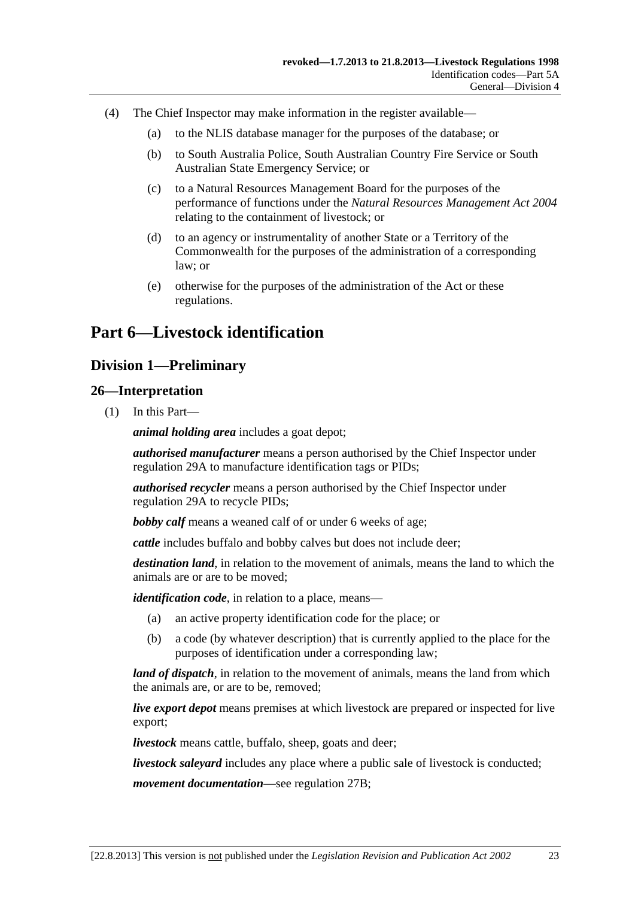- <span id="page-22-0"></span> (4) The Chief Inspector may make information in the register available—
	- (a) to the NLIS database manager for the purposes of the database; or
	- (b) to South Australia Police, South Australian Country Fire Service or South Australian State Emergency Service; or
	- (c) to a Natural Resources Management Board for the purposes of the performance of functions under the *[Natural Resources Management Act 2004](http://www.legislation.sa.gov.au/index.aspx?action=legref&type=act&legtitle=Natural%20Resources%20Management%20Act%202004)* relating to the containment of livestock; or
	- (d) to an agency or instrumentality of another State or a Territory of the Commonwealth for the purposes of the administration of a corresponding law; or
	- (e) otherwise for the purposes of the administration of the Act or these regulations.

## **Part 6—Livestock identification**

## **Division 1—Preliminary**

#### **26—Interpretation**

(1) In this Part—

*animal holding area* includes a goat depot;

*authorised manufacturer* means a person authorised by the Chief Inspector under [regulation 29A](#page-38-0) to manufacture identification tags or PIDs;

*authorised recycler* means a person authorised by the Chief Inspector under [regulation 29A](#page-38-0) to recycle PIDs;

*bobby calf* means a weaned calf of or under 6 weeks of age;

*cattle* includes buffalo and bobby calves but does not include deer;

*destination land*, in relation to the movement of animals, means the land to which the animals are or are to be moved;

*identification code*, in relation to a place, means—

- (a) an active property identification code for the place; or
- (b) a code (by whatever description) that is currently applied to the place for the purposes of identification under a corresponding law;

*land of dispatch*, in relation to the movement of animals, means the land from which the animals are, or are to be, removed;

*live export depot* means premises at which livestock are prepared or inspected for live export;

*livestock* means cattle, buffalo, sheep, goats and deer;

*livestock saleyard* includes any place where a public sale of livestock is conducted;

*movement documentation*—see [regulation 27B;](#page-25-0)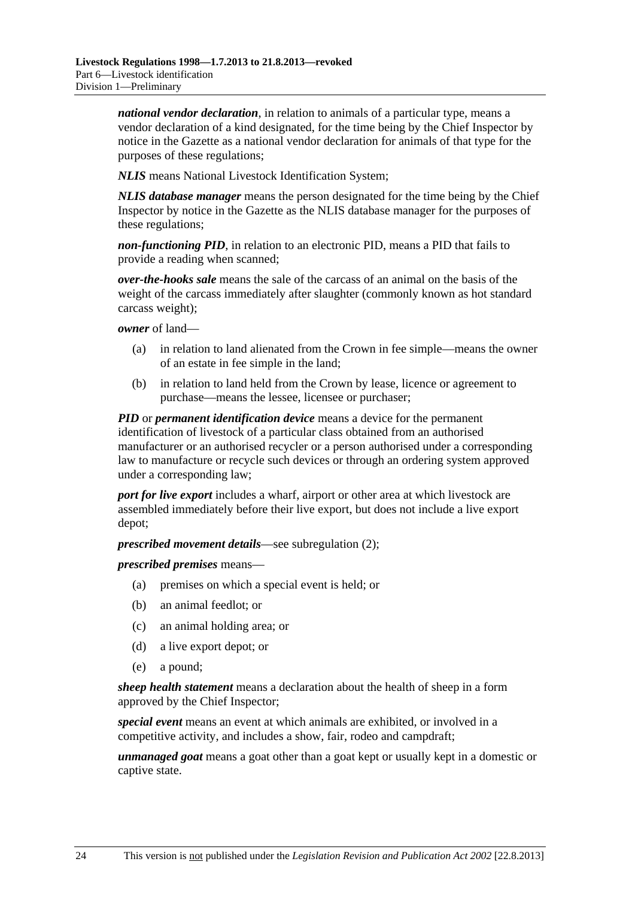*national vendor declaration*, in relation to animals of a particular type, means a vendor declaration of a kind designated, for the time being by the Chief Inspector by notice in the Gazette as a national vendor declaration for animals of that type for the purposes of these regulations;

*NLIS* means National Livestock Identification System;

*NLIS database manager* means the person designated for the time being by the Chief Inspector by notice in the Gazette as the NLIS database manager for the purposes of these regulations;

*non-functioning PID*, in relation to an electronic PID, means a PID that fails to provide a reading when scanned;

*over-the-hooks sale* means the sale of the carcass of an animal on the basis of the weight of the carcass immediately after slaughter (commonly known as hot standard carcass weight);

*owner* of land—

- (a) in relation to land alienated from the Crown in fee simple—means the owner of an estate in fee simple in the land;
- (b) in relation to land held from the Crown by lease, licence or agreement to purchase—means the lessee, licensee or purchaser;

*PID* or *permanent identification device* means a device for the permanent identification of livestock of a particular class obtained from an authorised manufacturer or an authorised recycler or a person authorised under a corresponding law to manufacture or recycle such devices or through an ordering system approved under a corresponding law;

*port for live export* includes a wharf, airport or other area at which livestock are assembled immediately before their live export, but does not include a live export depot;

*prescribed movement details*—see [subregulation \(2\);](#page-24-0)

*prescribed premises* means—

- (a) premises on which a special event is held; or
- (b) an animal feedlot; or
- (c) an animal holding area; or
- (d) a live export depot; or
- (e) a pound;

*sheep health statement* means a declaration about the health of sheep in a form approved by the Chief Inspector;

*special event* means an event at which animals are exhibited, or involved in a competitive activity, and includes a show, fair, rodeo and campdraft;

*unmanaged goat* means a goat other than a goat kept or usually kept in a domestic or captive state.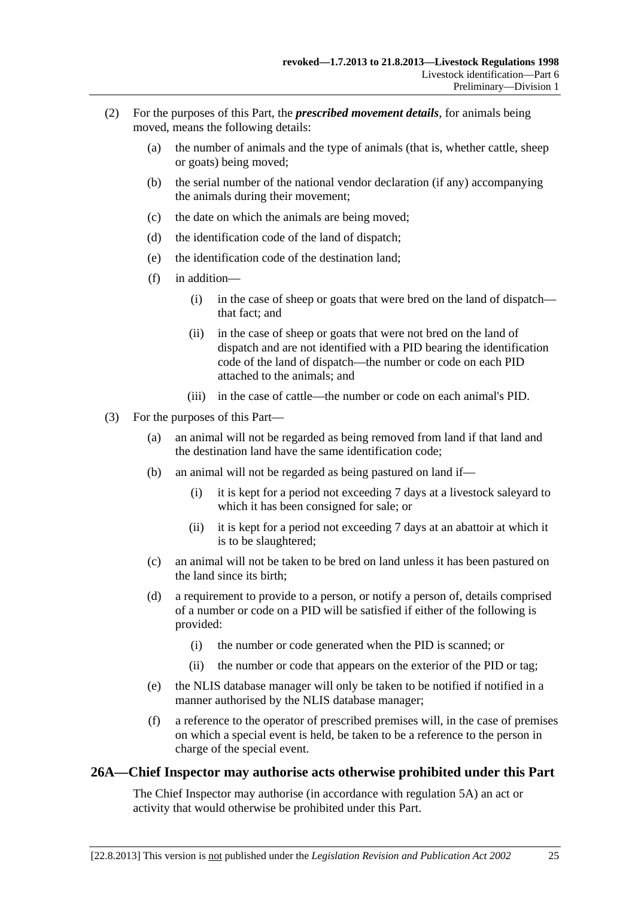- <span id="page-24-0"></span> (2) For the purposes of this Part, the *prescribed movement details*, for animals being moved, means the following details:
	- (a) the number of animals and the type of animals (that is, whether cattle, sheep or goats) being moved;
	- (b) the serial number of the national vendor declaration (if any) accompanying the animals during their movement;
	- (c) the date on which the animals are being moved;
	- (d) the identification code of the land of dispatch;
	- (e) the identification code of the destination land;
	- (f) in addition—
		- (i) in the case of sheep or goats that were bred on the land of dispatch that fact; and
		- (ii) in the case of sheep or goats that were not bred on the land of dispatch and are not identified with a PID bearing the identification code of the land of dispatch—the number or code on each PID attached to the animals; and
		- (iii) in the case of cattle—the number or code on each animal's PID.
- (3) For the purposes of this Part—
	- (a) an animal will not be regarded as being removed from land if that land and the destination land have the same identification code;
	- (b) an animal will not be regarded as being pastured on land if—
		- (i) it is kept for a period not exceeding 7 days at a livestock saleyard to which it has been consigned for sale; or
		- (ii) it is kept for a period not exceeding 7 days at an abattoir at which it is to be slaughtered;
	- (c) an animal will not be taken to be bred on land unless it has been pastured on the land since its birth;
	- (d) a requirement to provide to a person, or notify a person of, details comprised of a number or code on a PID will be satisfied if either of the following is provided:
		- (i) the number or code generated when the PID is scanned; or
		- (ii) the number or code that appears on the exterior of the PID or tag;
	- (e) the NLIS database manager will only be taken to be notified if notified in a manner authorised by the NLIS database manager;
	- (f) a reference to the operator of prescribed premises will, in the case of premises on which a special event is held, be taken to be a reference to the person in charge of the special event.

## **26A—Chief Inspector may authorise acts otherwise prohibited under this Part**

The Chief Inspector may authorise (in accordance with [regulation 5A](#page-5-0)) an act or activity that would otherwise be prohibited under this Part.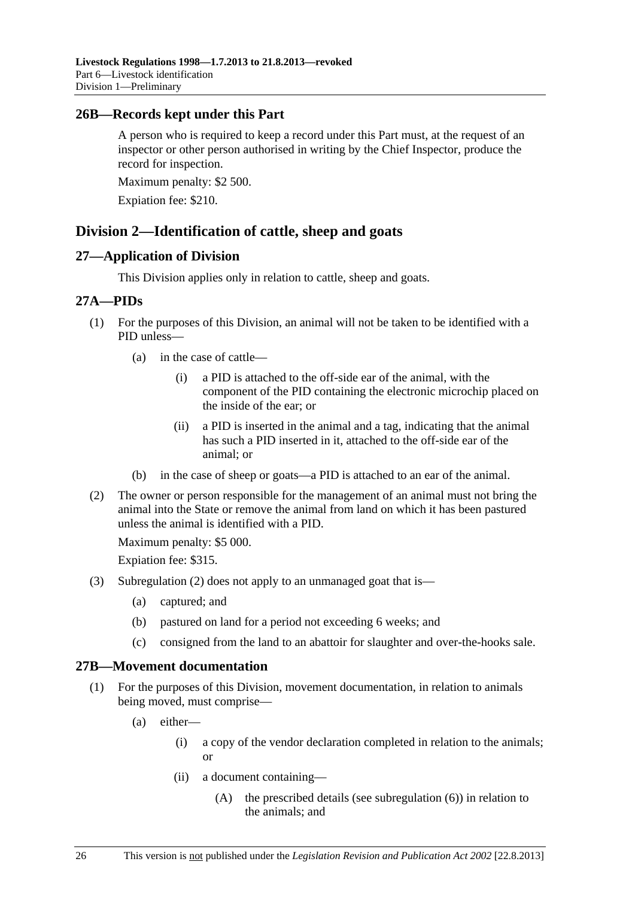### <span id="page-25-0"></span>**26B—Records kept under this Part**

A person who is required to keep a record under this Part must, at the request of an inspector or other person authorised in writing by the Chief Inspector, produce the record for inspection.

Maximum penalty: \$2 500.

Expiation fee: \$210.

## **Division 2—Identification of cattle, sheep and goats**

#### **27—Application of Division**

This Division applies only in relation to cattle, sheep and goats.

#### **27A—PIDs**

- (1) For the purposes of this Division, an animal will not be taken to be identified with a PID unless—
	- (a) in the case of cattle—
		- (i) a PID is attached to the off-side ear of the animal, with the component of the PID containing the electronic microchip placed on the inside of the ear; or
		- (ii) a PID is inserted in the animal and a tag, indicating that the animal has such a PID inserted in it, attached to the off-side ear of the animal; or
	- (b) in the case of sheep or goats—a PID is attached to an ear of the animal.
- (2) The owner or person responsible for the management of an animal must not bring the animal into the State or remove the animal from land on which it has been pastured unless the animal is identified with a PID.

Maximum penalty: \$5 000.

Expiation fee: \$315.

- (3) [Subregulation \(2\)](#page-25-0) does not apply to an unmanaged goat that is—
	- (a) captured; and
	- (b) pastured on land for a period not exceeding 6 weeks; and
	- (c) consigned from the land to an abattoir for slaughter and over-the-hooks sale.

## **27B—Movement documentation**

- (1) For the purposes of this Division, movement documentation, in relation to animals being moved, must comprise—
	- (a) either—
		- (i) a copy of the vendor declaration completed in relation to the animals; or
		- (ii) a document containing—
			- (A) the prescribed details (see [subregulation \(6\)\)](#page-27-0) in relation to the animals; and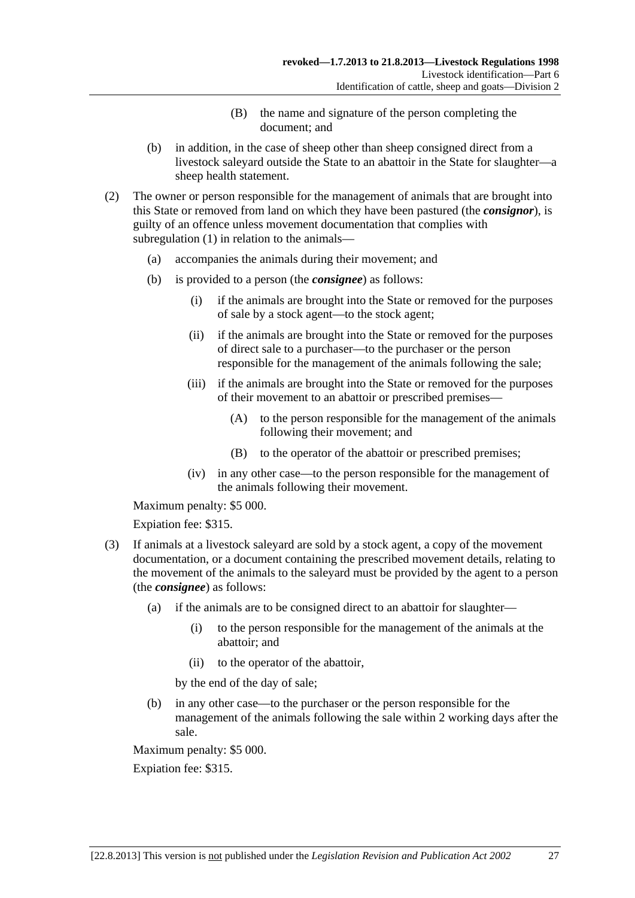- (B) the name and signature of the person completing the document; and
- <span id="page-26-0"></span> (b) in addition, in the case of sheep other than sheep consigned direct from a livestock saleyard outside the State to an abattoir in the State for slaughter—a sheep health statement.
- (2) The owner or person responsible for the management of animals that are brought into this State or removed from land on which they have been pastured (the *consignor*), is guilty of an offence unless movement documentation that complies with [subregulation \(1\)](#page-25-0) in relation to the animals—
	- (a) accompanies the animals during their movement; and
	- (b) is provided to a person (the *consignee*) as follows:
		- (i) if the animals are brought into the State or removed for the purposes of sale by a stock agent—to the stock agent;
		- (ii) if the animals are brought into the State or removed for the purposes of direct sale to a purchaser—to the purchaser or the person responsible for the management of the animals following the sale;
		- (iii) if the animals are brought into the State or removed for the purposes of their movement to an abattoir or prescribed premises—
			- (A) to the person responsible for the management of the animals following their movement; and
			- (B) to the operator of the abattoir or prescribed premises;
		- (iv) in any other case—to the person responsible for the management of the animals following their movement.

Maximum penalty: \$5 000.

Expiation fee: \$315.

- (3) If animals at a livestock saleyard are sold by a stock agent, a copy of the movement documentation, or a document containing the prescribed movement details, relating to the movement of the animals to the saleyard must be provided by the agent to a person (the *consignee*) as follows:
	- (a) if the animals are to be consigned direct to an abattoir for slaughter—
		- (i) to the person responsible for the management of the animals at the abattoir; and
		- (ii) to the operator of the abattoir,

by the end of the day of sale;

 (b) in any other case—to the purchaser or the person responsible for the management of the animals following the sale within 2 working days after the sale.

Maximum penalty: \$5 000.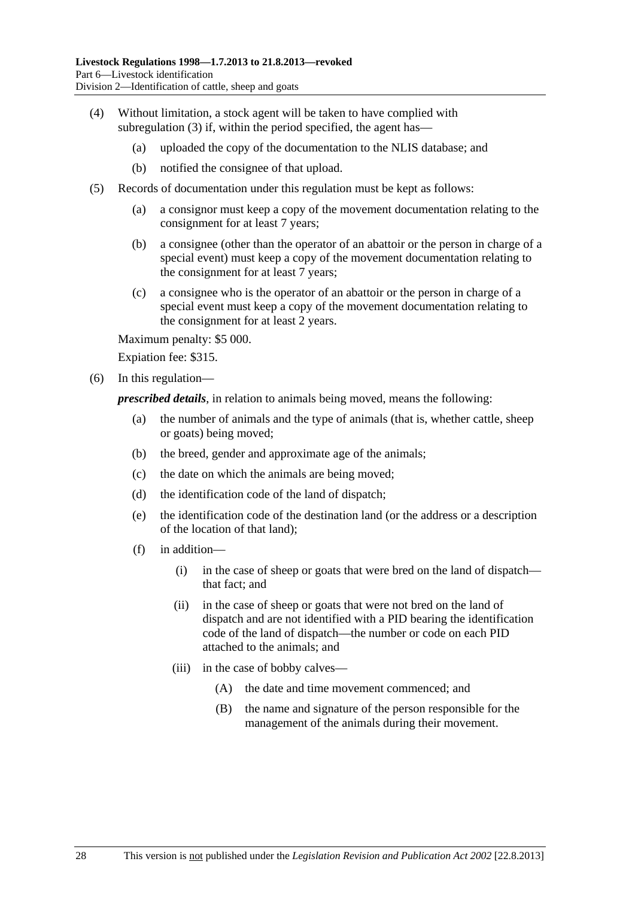- <span id="page-27-0"></span> (4) Without limitation, a stock agent will be taken to have complied with [subregulation \(3\)](#page-26-0) if, within the period specified, the agent has—
	- (a) uploaded the copy of the documentation to the NLIS database; and
	- (b) notified the consignee of that upload.
- (5) Records of documentation under this regulation must be kept as follows:
	- (a) a consignor must keep a copy of the movement documentation relating to the consignment for at least 7 years;
	- (b) a consignee (other than the operator of an abattoir or the person in charge of a special event) must keep a copy of the movement documentation relating to the consignment for at least 7 years;
	- (c) a consignee who is the operator of an abattoir or the person in charge of a special event must keep a copy of the movement documentation relating to the consignment for at least 2 years.

Maximum penalty: \$5 000.

Expiation fee: \$315.

(6) In this regulation—

*prescribed details*, in relation to animals being moved, means the following:

- (a) the number of animals and the type of animals (that is, whether cattle, sheep or goats) being moved;
- (b) the breed, gender and approximate age of the animals;
- (c) the date on which the animals are being moved;
- (d) the identification code of the land of dispatch;
- (e) the identification code of the destination land (or the address or a description of the location of that land);
- (f) in addition—
	- (i) in the case of sheep or goats that were bred on the land of dispatch that fact; and
	- (ii) in the case of sheep or goats that were not bred on the land of dispatch and are not identified with a PID bearing the identification code of the land of dispatch—the number or code on each PID attached to the animals; and
	- (iii) in the case of bobby calves—
		- (A) the date and time movement commenced; and
		- (B) the name and signature of the person responsible for the management of the animals during their movement.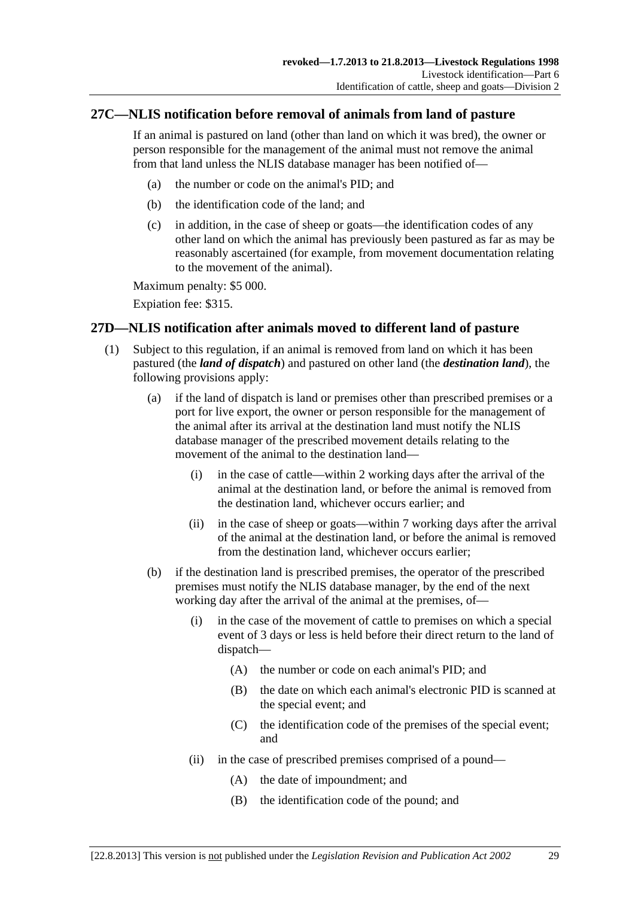## <span id="page-28-0"></span>**27C—NLIS notification before removal of animals from land of pasture**

If an animal is pastured on land (other than land on which it was bred), the owner or person responsible for the management of the animal must not remove the animal from that land unless the NLIS database manager has been notified of—

- (a) the number or code on the animal's PID; and
- (b) the identification code of the land; and
- (c) in addition, in the case of sheep or goats—the identification codes of any other land on which the animal has previously been pastured as far as may be reasonably ascertained (for example, from movement documentation relating to the movement of the animal).

Maximum penalty: \$5 000.

Expiation fee: \$315.

## **27D—NLIS notification after animals moved to different land of pasture**

- (1) Subject to this regulation, if an animal is removed from land on which it has been pastured (the *land of dispatch*) and pastured on other land (the *destination land*), the following provisions apply:
	- (a) if the land of dispatch is land or premises other than prescribed premises or a port for live export, the owner or person responsible for the management of the animal after its arrival at the destination land must notify the NLIS database manager of the prescribed movement details relating to the movement of the animal to the destination land—
		- (i) in the case of cattle—within 2 working days after the arrival of the animal at the destination land, or before the animal is removed from the destination land, whichever occurs earlier; and
		- (ii) in the case of sheep or goats—within 7 working days after the arrival of the animal at the destination land, or before the animal is removed from the destination land, whichever occurs earlier;
	- (b) if the destination land is prescribed premises, the operator of the prescribed premises must notify the NLIS database manager, by the end of the next working day after the arrival of the animal at the premises, of—
		- (i) in the case of the movement of cattle to premises on which a special event of 3 days or less is held before their direct return to the land of dispatch—
			- (A) the number or code on each animal's PID; and
			- (B) the date on which each animal's electronic PID is scanned at the special event; and
			- (C) the identification code of the premises of the special event; and
		- (ii) in the case of prescribed premises comprised of a pound—
			- (A) the date of impoundment; and
			- (B) the identification code of the pound; and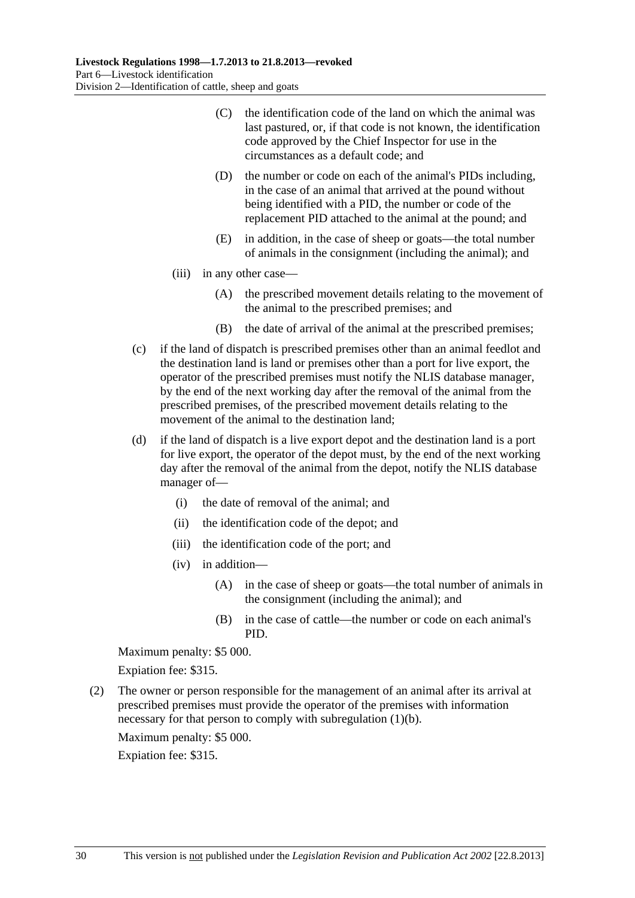- <span id="page-29-0"></span> (C) the identification code of the land on which the animal was last pastured, or, if that code is not known, the identification code approved by the Chief Inspector for use in the circumstances as a default code; and
- (D) the number or code on each of the animal's PIDs including, in the case of an animal that arrived at the pound without being identified with a PID, the number or code of the replacement PID attached to the animal at the pound; and
- (E) in addition, in the case of sheep or goats—the total number of animals in the consignment (including the animal); and
- (iii) in any other case—
	- (A) the prescribed movement details relating to the movement of the animal to the prescribed premises; and
	- (B) the date of arrival of the animal at the prescribed premises;
- (c) if the land of dispatch is prescribed premises other than an animal feedlot and the destination land is land or premises other than a port for live export, the operator of the prescribed premises must notify the NLIS database manager, by the end of the next working day after the removal of the animal from the prescribed premises, of the prescribed movement details relating to the movement of the animal to the destination land;
- (d) if the land of dispatch is a live export depot and the destination land is a port for live export, the operator of the depot must, by the end of the next working day after the removal of the animal from the depot, notify the NLIS database manager of—
	- (i) the date of removal of the animal; and
	- (ii) the identification code of the depot; and
	- (iii) the identification code of the port; and
	- (iv) in addition—
		- (A) in the case of sheep or goats—the total number of animals in the consignment (including the animal); and
		- (B) in the case of cattle—the number or code on each animal's PID.

Maximum penalty: \$5 000.

Expiation fee: \$315.

 (2) The owner or person responsible for the management of an animal after its arrival at prescribed premises must provide the operator of the premises with information necessary for that person to comply with [subregulation \(1\)\(b\).](#page-28-0)

Maximum penalty: \$5 000.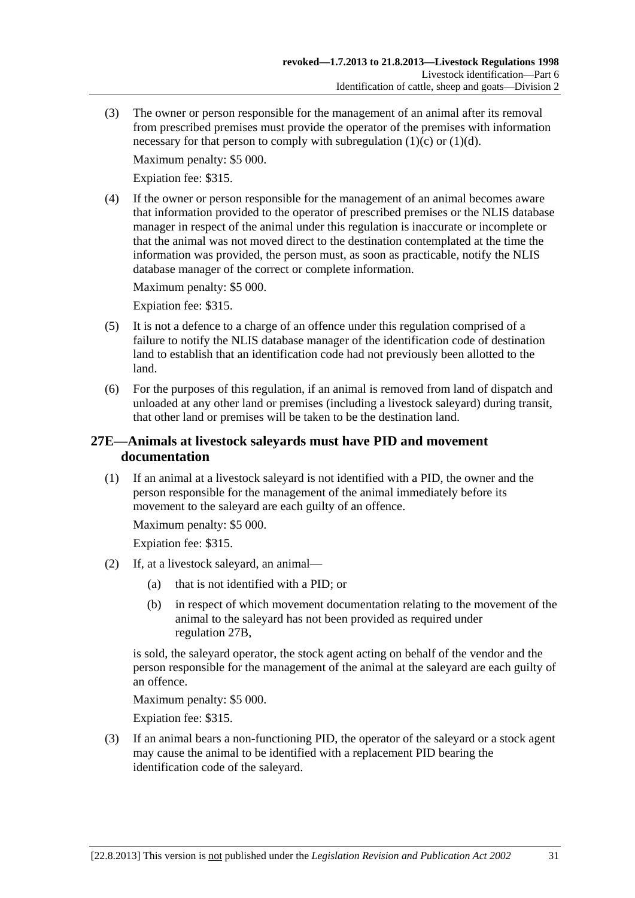<span id="page-30-0"></span> (3) The owner or person responsible for the management of an animal after its removal from prescribed premises must provide the operator of the premises with information necessary for that person to comply with subregulation  $(1)(c)$  or  $(1)(d)$ .

Maximum penalty: \$5 000.

Expiation fee: \$315.

 (4) If the owner or person responsible for the management of an animal becomes aware that information provided to the operator of prescribed premises or the NLIS database manager in respect of the animal under this regulation is inaccurate or incomplete or that the animal was not moved direct to the destination contemplated at the time the information was provided, the person must, as soon as practicable, notify the NLIS database manager of the correct or complete information.

Maximum penalty: \$5 000.

Expiation fee: \$315.

- (5) It is not a defence to a charge of an offence under this regulation comprised of a failure to notify the NLIS database manager of the identification code of destination land to establish that an identification code had not previously been allotted to the land.
- (6) For the purposes of this regulation, if an animal is removed from land of dispatch and unloaded at any other land or premises (including a livestock saleyard) during transit, that other land or premises will be taken to be the destination land.

## **27E—Animals at livestock saleyards must have PID and movement documentation**

 (1) If an animal at a livestock saleyard is not identified with a PID, the owner and the person responsible for the management of the animal immediately before its movement to the saleyard are each guilty of an offence.

Maximum penalty: \$5 000.

Expiation fee: \$315.

- (2) If, at a livestock saleyard, an animal—
	- (a) that is not identified with a PID; or
	- (b) in respect of which movement documentation relating to the movement of the animal to the saleyard has not been provided as required under [regulation 27B](#page-25-0),

is sold, the saleyard operator, the stock agent acting on behalf of the vendor and the person responsible for the management of the animal at the saleyard are each guilty of an offence.

Maximum penalty: \$5 000.

Expiation fee: \$315.

 (3) If an animal bears a non-functioning PID, the operator of the saleyard or a stock agent may cause the animal to be identified with a replacement PID bearing the identification code of the saleyard.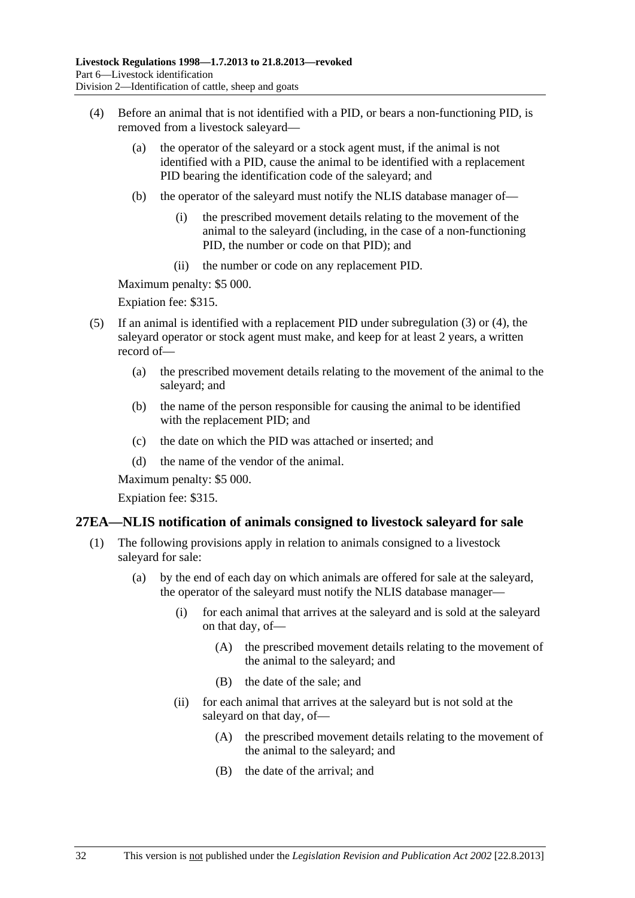- <span id="page-31-0"></span> (4) Before an animal that is not identified with a PID, or bears a non-functioning PID, is removed from a livestock saleyard—
	- (a) the operator of the saleyard or a stock agent must, if the animal is not identified with a PID, cause the animal to be identified with a replacement PID bearing the identification code of the saleyard; and
	- (b) the operator of the saleyard must notify the NLIS database manager of—
		- (i) the prescribed movement details relating to the movement of the animal to the saleyard (including, in the case of a non-functioning PID, the number or code on that PID); and
		- (ii) the number or code on any replacement PID.

Maximum penalty: \$5 000.

Expiation fee: \$315.

- (5) If an animal is identified with a replacement PID under [subregulation \(3\)](#page-30-0) or [\(4\),](#page-31-0) the saleyard operator or stock agent must make, and keep for at least 2 years, a written record of—
	- (a) the prescribed movement details relating to the movement of the animal to the saleyard; and
	- (b) the name of the person responsible for causing the animal to be identified with the replacement PID; and
	- (c) the date on which the PID was attached or inserted; and
	- (d) the name of the vendor of the animal.

Maximum penalty: \$5 000.

Expiation fee: \$315.

#### **27EA—NLIS notification of animals consigned to livestock saleyard for sale**

- (1) The following provisions apply in relation to animals consigned to a livestock saleyard for sale:
	- (a) by the end of each day on which animals are offered for sale at the saleyard, the operator of the saleyard must notify the NLIS database manager—
		- (i) for each animal that arrives at the saleyard and is sold at the saleyard on that day, of—
			- (A) the prescribed movement details relating to the movement of the animal to the saleyard; and
			- (B) the date of the sale; and
		- (ii) for each animal that arrives at the saleyard but is not sold at the saleyard on that day, of—
			- (A) the prescribed movement details relating to the movement of the animal to the saleyard; and
			- (B) the date of the arrival; and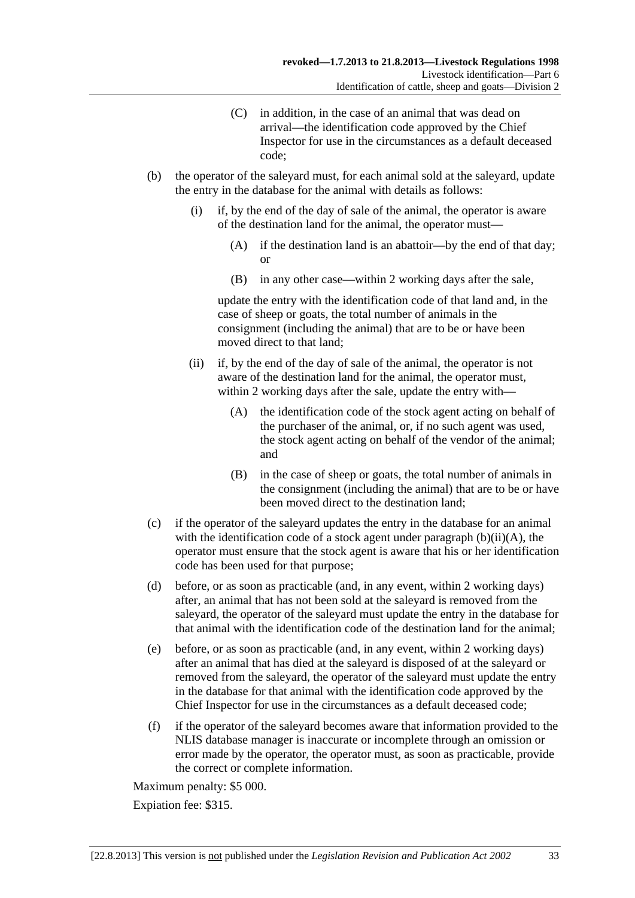- (C) in addition, in the case of an animal that was dead on arrival—the identification code approved by the Chief Inspector for use in the circumstances as a default deceased code;
- <span id="page-32-0"></span> (b) the operator of the saleyard must, for each animal sold at the saleyard, update the entry in the database for the animal with details as follows:
	- (i) if, by the end of the day of sale of the animal, the operator is aware of the destination land for the animal, the operator must—
		- (A) if the destination land is an abattoir—by the end of that day; or
		- (B) in any other case—within 2 working days after the sale,

update the entry with the identification code of that land and, in the case of sheep or goats, the total number of animals in the consignment (including the animal) that are to be or have been moved direct to that land;

- (ii) if, by the end of the day of sale of the animal, the operator is not aware of the destination land for the animal, the operator must, within 2 working days after the sale, update the entry with—
	- (A) the identification code of the stock agent acting on behalf of the purchaser of the animal, or, if no such agent was used, the stock agent acting on behalf of the vendor of the animal; and
	- (B) in the case of sheep or goats, the total number of animals in the consignment (including the animal) that are to be or have been moved direct to the destination land;
- (c) if the operator of the saleyard updates the entry in the database for an animal with the identification code of a stock agent under paragraph  $(b)(ii)(A)$ , the operator must ensure that the stock agent is aware that his or her identification code has been used for that purpose;
- (d) before, or as soon as practicable (and, in any event, within 2 working days) after, an animal that has not been sold at the saleyard is removed from the saleyard, the operator of the saleyard must update the entry in the database for that animal with the identification code of the destination land for the animal;
- (e) before, or as soon as practicable (and, in any event, within 2 working days) after an animal that has died at the saleyard is disposed of at the saleyard or removed from the saleyard, the operator of the saleyard must update the entry in the database for that animal with the identification code approved by the Chief Inspector for use in the circumstances as a default deceased code;
- (f) if the operator of the saleyard becomes aware that information provided to the NLIS database manager is inaccurate or incomplete through an omission or error made by the operator, the operator must, as soon as practicable, provide the correct or complete information.

Maximum penalty: \$5 000.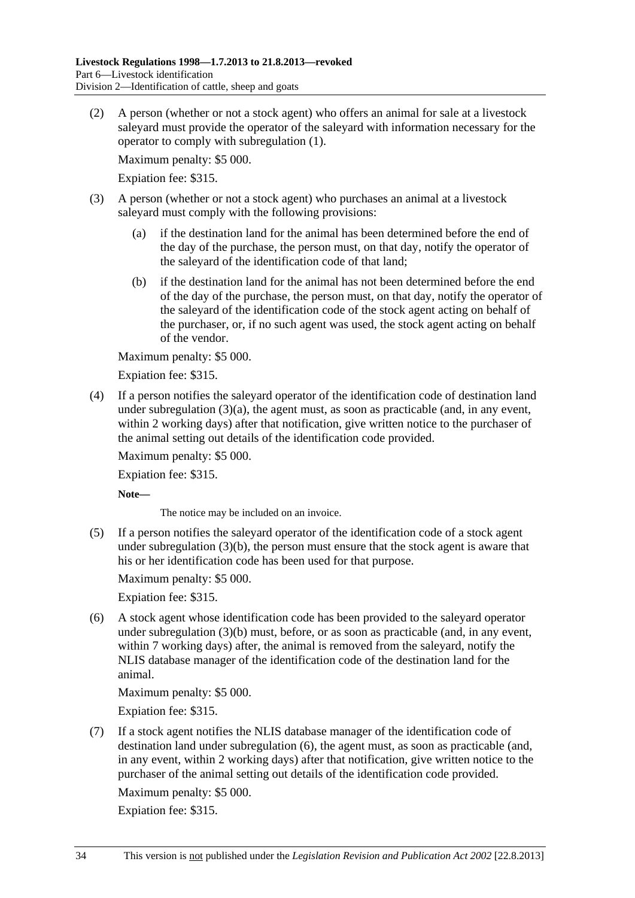<span id="page-33-0"></span> (2) A person (whether or not a stock agent) who offers an animal for sale at a livestock saleyard must provide the operator of the saleyard with information necessary for the operator to comply with [subregulation \(1\)](#page-31-0).

Maximum penalty: \$5 000.

Expiation fee: \$315.

- (3) A person (whether or not a stock agent) who purchases an animal at a livestock saleyard must comply with the following provisions:
	- (a) if the destination land for the animal has been determined before the end of the day of the purchase, the person must, on that day, notify the operator of the saleyard of the identification code of that land;
	- (b) if the destination land for the animal has not been determined before the end of the day of the purchase, the person must, on that day, notify the operator of the saleyard of the identification code of the stock agent acting on behalf of the purchaser, or, if no such agent was used, the stock agent acting on behalf of the vendor.

Maximum penalty: \$5 000.

Expiation fee: \$315.

 (4) If a person notifies the saleyard operator of the identification code of destination land under subregulation  $(3)(a)$ , the agent must, as soon as practicable (and, in any event, within 2 working days) after that notification, give written notice to the purchaser of the animal setting out details of the identification code provided.

Maximum penalty: \$5 000.

Expiation fee: \$315.

**Note—** 

The notice may be included on an invoice.

 (5) If a person notifies the saleyard operator of the identification code of a stock agent under [subregulation \(3\)\(b\),](#page-33-0) the person must ensure that the stock agent is aware that his or her identification code has been used for that purpose.

Maximum penalty: \$5 000.

Expiation fee: \$315.

 (6) A stock agent whose identification code has been provided to the saleyard operator under [subregulation \(3\)\(b\)](#page-33-0) must, before, or as soon as practicable (and, in any event, within 7 working days) after, the animal is removed from the saleyard, notify the NLIS database manager of the identification code of the destination land for the animal.

Maximum penalty: \$5 000.

Expiation fee: \$315.

 (7) If a stock agent notifies the NLIS database manager of the identification code of destination land under [subregulation \(6\),](#page-33-0) the agent must, as soon as practicable (and, in any event, within 2 working days) after that notification, give written notice to the purchaser of the animal setting out details of the identification code provided.

Maximum penalty: \$5 000.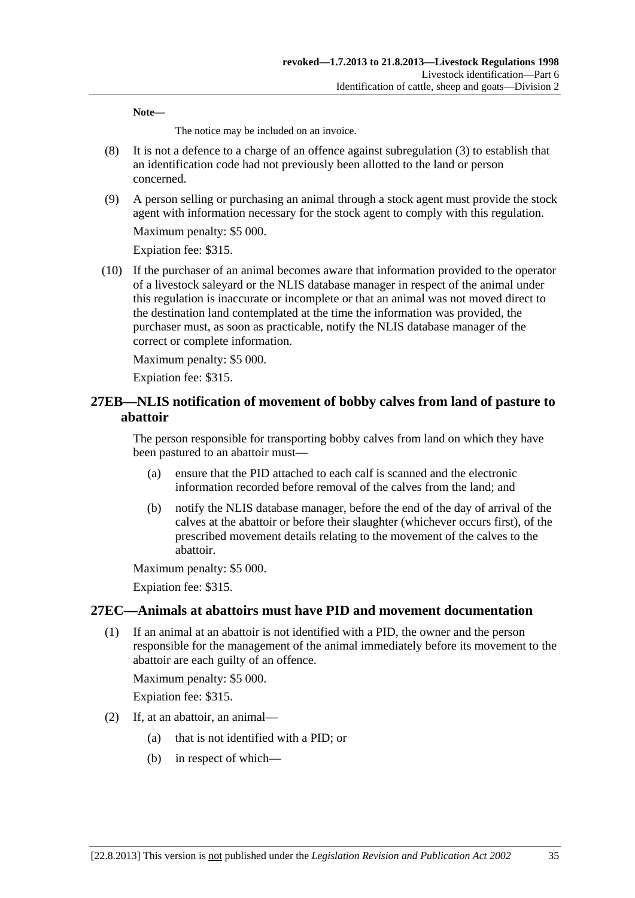<span id="page-34-0"></span>**Note—** 

The notice may be included on an invoice.

- (8) It is not a defence to a charge of an offence against [subregulation \(3\)](#page-33-0) to establish that an identification code had not previously been allotted to the land or person concerned.
- (9) A person selling or purchasing an animal through a stock agent must provide the stock agent with information necessary for the stock agent to comply with this regulation.

Maximum penalty: \$5 000.

Expiation fee: \$315.

 (10) If the purchaser of an animal becomes aware that information provided to the operator of a livestock saleyard or the NLIS database manager in respect of the animal under this regulation is inaccurate or incomplete or that an animal was not moved direct to the destination land contemplated at the time the information was provided, the purchaser must, as soon as practicable, notify the NLIS database manager of the correct or complete information.

Maximum penalty: \$5 000.

Expiation fee: \$315.

## **27EB—NLIS notification of movement of bobby calves from land of pasture to abattoir**

The person responsible for transporting bobby calves from land on which they have been pastured to an abattoir must—

- (a) ensure that the PID attached to each calf is scanned and the electronic information recorded before removal of the calves from the land; and
- (b) notify the NLIS database manager, before the end of the day of arrival of the calves at the abattoir or before their slaughter (whichever occurs first), of the prescribed movement details relating to the movement of the calves to the abattoir.

Maximum penalty: \$5 000.

Expiation fee: \$315.

## **27EC—Animals at abattoirs must have PID and movement documentation**

 (1) If an animal at an abattoir is not identified with a PID, the owner and the person responsible for the management of the animal immediately before its movement to the abattoir are each guilty of an offence.

Maximum penalty: \$5 000.

- (2) If, at an abattoir, an animal—
	- (a) that is not identified with a PID; or
	- (b) in respect of which—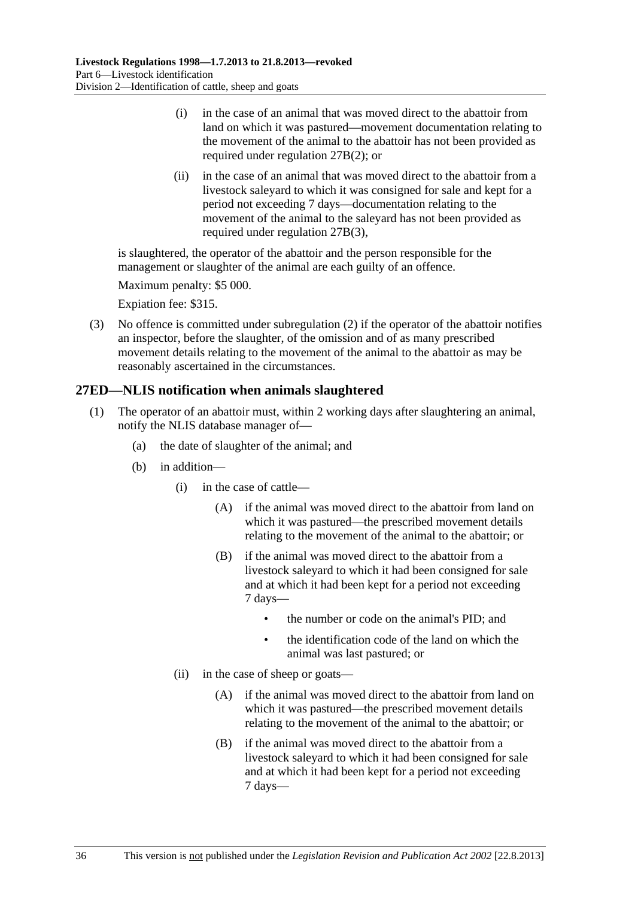- <span id="page-35-0"></span> (i) in the case of an animal that was moved direct to the abattoir from land on which it was pastured—movement documentation relating to the movement of the animal to the abattoir has not been provided as required under [regulation 27B\(2\)](#page-26-0); or
- (ii) in the case of an animal that was moved direct to the abattoir from a livestock saleyard to which it was consigned for sale and kept for a period not exceeding 7 days—documentation relating to the movement of the animal to the saleyard has not been provided as required under [regulation 27B\(3\)](#page-26-0),

is slaughtered, the operator of the abattoir and the person responsible for the management or slaughter of the animal are each guilty of an offence.

Maximum penalty: \$5 000.

Expiation fee: \$315.

 (3) No offence is committed under [subregulation \(2\)](#page-34-0) if the operator of the abattoir notifies an inspector, before the slaughter, of the omission and of as many prescribed movement details relating to the movement of the animal to the abattoir as may be reasonably ascertained in the circumstances.

## **27ED—NLIS notification when animals slaughtered**

- (1) The operator of an abattoir must, within 2 working days after slaughtering an animal, notify the NLIS database manager of—
	- (a) the date of slaughter of the animal; and
	- (b) in addition—
		- (i) in the case of cattle—
			- (A) if the animal was moved direct to the abattoir from land on which it was pastured—the prescribed movement details relating to the movement of the animal to the abattoir; or
			- (B) if the animal was moved direct to the abattoir from a livestock saleyard to which it had been consigned for sale and at which it had been kept for a period not exceeding 7 days—
				- the number or code on the animal's PID; and
				- the identification code of the land on which the animal was last pastured; or
		- (ii) in the case of sheep or goats—
			- (A) if the animal was moved direct to the abattoir from land on which it was pastured—the prescribed movement details relating to the movement of the animal to the abattoir; or
			- (B) if the animal was moved direct to the abattoir from a livestock saleyard to which it had been consigned for sale and at which it had been kept for a period not exceeding 7 days—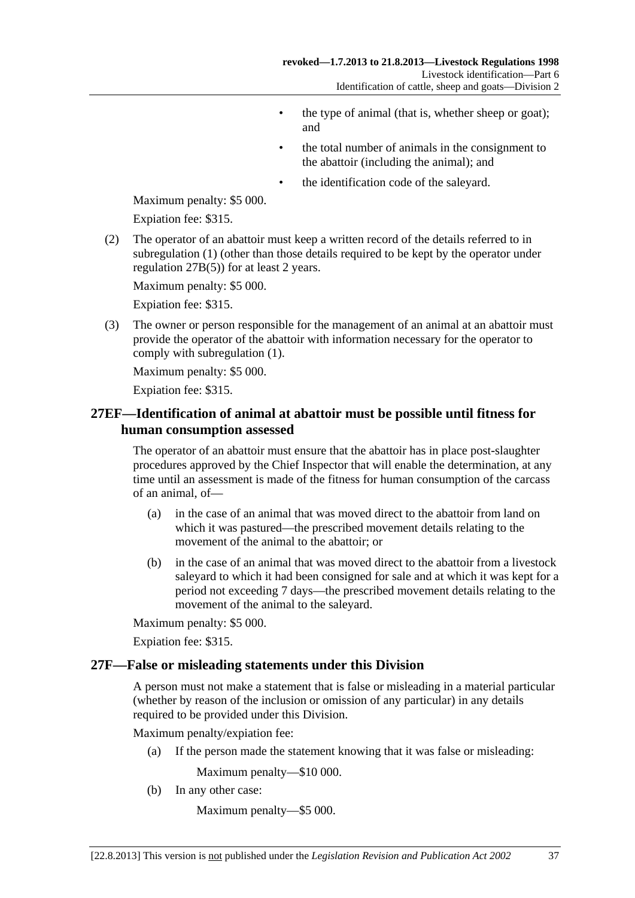- the type of animal (that is, whether sheep or goat); and
- the total number of animals in the consignment to the abattoir (including the animal); and
- the identification code of the saleyard.

<span id="page-36-0"></span>Maximum penalty: \$5 000.

Expiation fee: \$315.

 (2) The operator of an abattoir must keep a written record of the details referred to in [subregulation \(1\)](#page-35-0) (other than those details required to be kept by the operator under [regulation 27B\(5\)\)](#page-27-0) for at least 2 years.

Maximum penalty: \$5 000.

Expiation fee: \$315.

 (3) The owner or person responsible for the management of an animal at an abattoir must provide the operator of the abattoir with information necessary for the operator to comply with [subregulation \(1\)](#page-35-0).

Maximum penalty: \$5 000.

Expiation fee: \$315.

## **27EF—Identification of animal at abattoir must be possible until fitness for human consumption assessed**

The operator of an abattoir must ensure that the abattoir has in place post-slaughter procedures approved by the Chief Inspector that will enable the determination, at any time until an assessment is made of the fitness for human consumption of the carcass of an animal, of—

- (a) in the case of an animal that was moved direct to the abattoir from land on which it was pastured—the prescribed movement details relating to the movement of the animal to the abattoir; or
- (b) in the case of an animal that was moved direct to the abattoir from a livestock saleyard to which it had been consigned for sale and at which it was kept for a period not exceeding 7 days—the prescribed movement details relating to the movement of the animal to the saleyard.

Maximum penalty: \$5 000.

Expiation fee: \$315.

#### **27F—False or misleading statements under this Division**

A person must not make a statement that is false or misleading in a material particular (whether by reason of the inclusion or omission of any particular) in any details required to be provided under this Division.

Maximum penalty/expiation fee:

(a) If the person made the statement knowing that it was false or misleading:

Maximum penalty—\$10 000.

(b) In any other case:

Maximum penalty—\$5 000.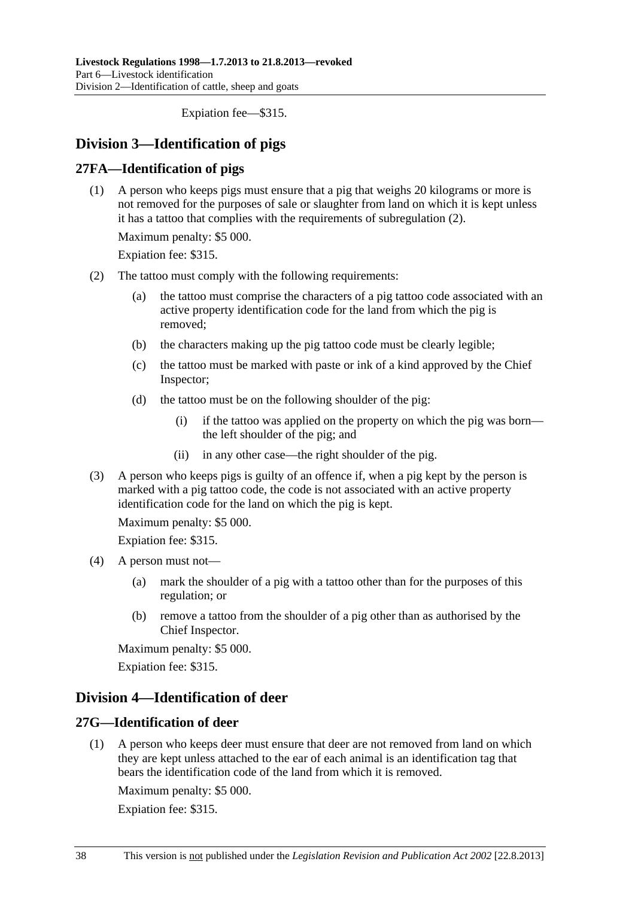Expiation fee—\$315.

## <span id="page-37-0"></span>**Division 3—Identification of pigs**

## **27FA—Identification of pigs**

 (1) A person who keeps pigs must ensure that a pig that weighs 20 kilograms or more is not removed for the purposes of sale or slaughter from land on which it is kept unless it has a tattoo that complies with the requirements of [subregulation \(2\)](#page-37-0).

Maximum penalty: \$5 000.

Expiation fee: \$315.

- (2) The tattoo must comply with the following requirements:
	- (a) the tattoo must comprise the characters of a pig tattoo code associated with an active property identification code for the land from which the pig is removed;
	- (b) the characters making up the pig tattoo code must be clearly legible;
	- (c) the tattoo must be marked with paste or ink of a kind approved by the Chief Inspector;
	- (d) the tattoo must be on the following shoulder of the pig:
		- (i) if the tattoo was applied on the property on which the pig was born the left shoulder of the pig; and
		- (ii) in any other case—the right shoulder of the pig.
- (3) A person who keeps pigs is guilty of an offence if, when a pig kept by the person is marked with a pig tattoo code, the code is not associated with an active property identification code for the land on which the pig is kept.

Maximum penalty: \$5 000.

Expiation fee: \$315.

- (4) A person must not—
	- (a) mark the shoulder of a pig with a tattoo other than for the purposes of this regulation; or
	- (b) remove a tattoo from the shoulder of a pig other than as authorised by the Chief Inspector.

Maximum penalty: \$5 000.

Expiation fee: \$315.

## **Division 4—Identification of deer**

## **27G—Identification of deer**

 (1) A person who keeps deer must ensure that deer are not removed from land on which they are kept unless attached to the ear of each animal is an identification tag that bears the identification code of the land from which it is removed.

Maximum penalty: \$5 000.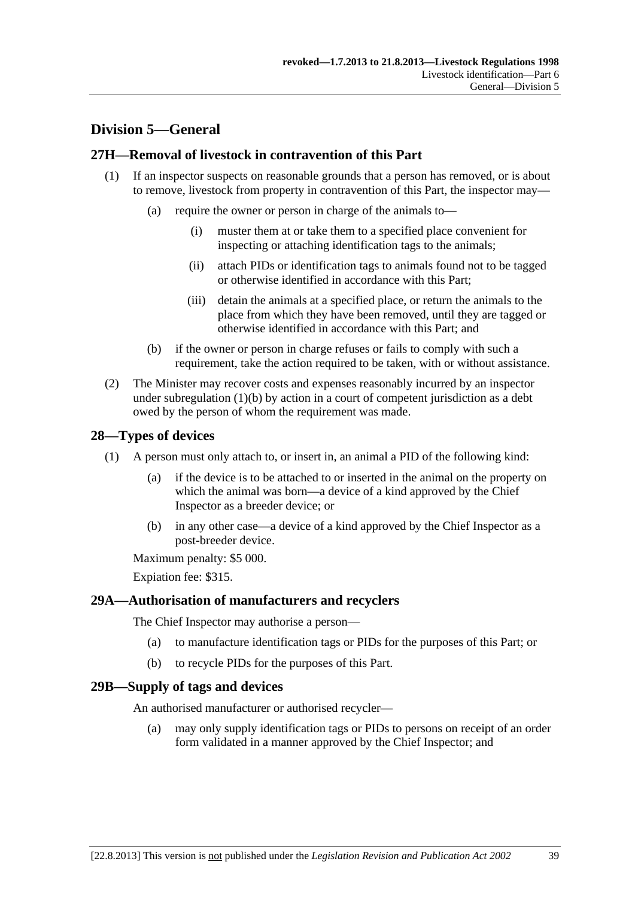## <span id="page-38-0"></span>**Division 5—General**

## **27H—Removal of livestock in contravention of this Part**

- (1) If an inspector suspects on reasonable grounds that a person has removed, or is about to remove, livestock from property in contravention of this Part, the inspector may—
	- (a) require the owner or person in charge of the animals to—
		- (i) muster them at or take them to a specified place convenient for inspecting or attaching identification tags to the animals;
		- (ii) attach PIDs or identification tags to animals found not to be tagged or otherwise identified in accordance with this Part;
		- (iii) detain the animals at a specified place, or return the animals to the place from which they have been removed, until they are tagged or otherwise identified in accordance with this Part; and
	- (b) if the owner or person in charge refuses or fails to comply with such a requirement, take the action required to be taken, with or without assistance.
- (2) The Minister may recover costs and expenses reasonably incurred by an inspector under subregulation  $(1)(b)$  by action in a court of competent jurisdiction as a debt owed by the person of whom the requirement was made.

## **28—Types of devices**

- (1) A person must only attach to, or insert in, an animal a PID of the following kind:
	- (a) if the device is to be attached to or inserted in the animal on the property on which the animal was born—a device of a kind approved by the Chief Inspector as a breeder device; or
	- (b) in any other case—a device of a kind approved by the Chief Inspector as a post-breeder device.

Maximum penalty: \$5 000.

Expiation fee: \$315.

## **29A—Authorisation of manufacturers and recyclers**

The Chief Inspector may authorise a person—

- (a) to manufacture identification tags or PIDs for the purposes of this Part; or
- (b) to recycle PIDs for the purposes of this Part.

## **29B—Supply of tags and devices**

An authorised manufacturer or authorised recycler—

 (a) may only supply identification tags or PIDs to persons on receipt of an order form validated in a manner approved by the Chief Inspector; and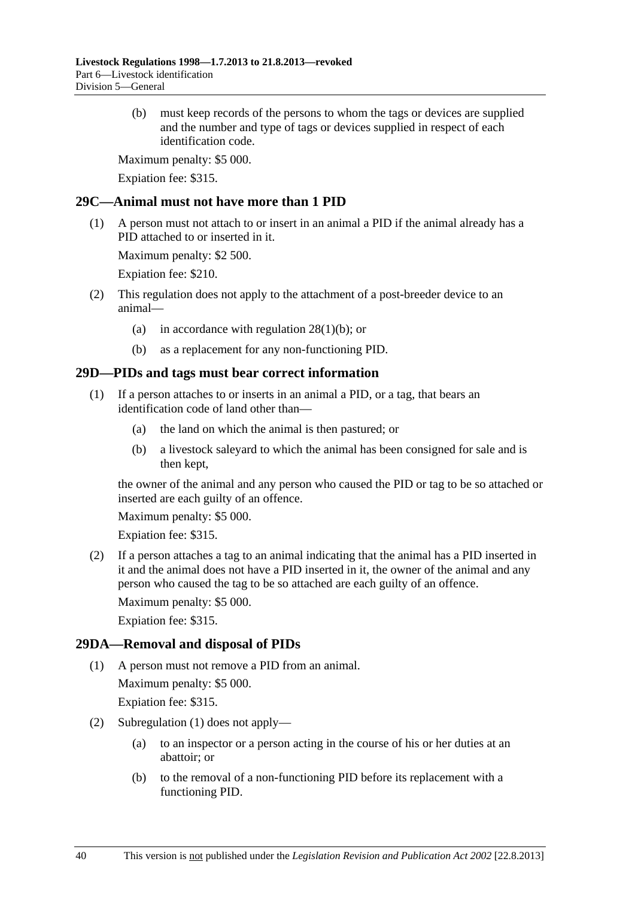<span id="page-39-0"></span> (b) must keep records of the persons to whom the tags or devices are supplied and the number and type of tags or devices supplied in respect of each identification code.

Maximum penalty: \$5 000.

Expiation fee: \$315.

## **29C—Animal must not have more than 1 PID**

 (1) A person must not attach to or insert in an animal a PID if the animal already has a PID attached to or inserted in it.

Maximum penalty: \$2 500.

Expiation fee: \$210.

- (2) This regulation does not apply to the attachment of a post-breeder device to an animal—
	- (a) in accordance with regulation  $28(1)(b)$ ; or
	- (b) as a replacement for any non-functioning PID.

## **29D—PIDs and tags must bear correct information**

- (1) If a person attaches to or inserts in an animal a PID, or a tag, that bears an identification code of land other than—
	- (a) the land on which the animal is then pastured; or
	- (b) a livestock saleyard to which the animal has been consigned for sale and is then kept,

the owner of the animal and any person who caused the PID or tag to be so attached or inserted are each guilty of an offence.

Maximum penalty: \$5 000.

Expiation fee: \$315.

 (2) If a person attaches a tag to an animal indicating that the animal has a PID inserted in it and the animal does not have a PID inserted in it, the owner of the animal and any person who caused the tag to be so attached are each guilty of an offence.

Maximum penalty: \$5 000.

Expiation fee: \$315.

## **29DA—Removal and disposal of PIDs**

(1) A person must not remove a PID from an animal.

Maximum penalty: \$5 000.

- (2) [Subregulation \(1\)](#page-39-0) does not apply—
	- (a) to an inspector or a person acting in the course of his or her duties at an abattoir; or
	- (b) to the removal of a non-functioning PID before its replacement with a functioning PID.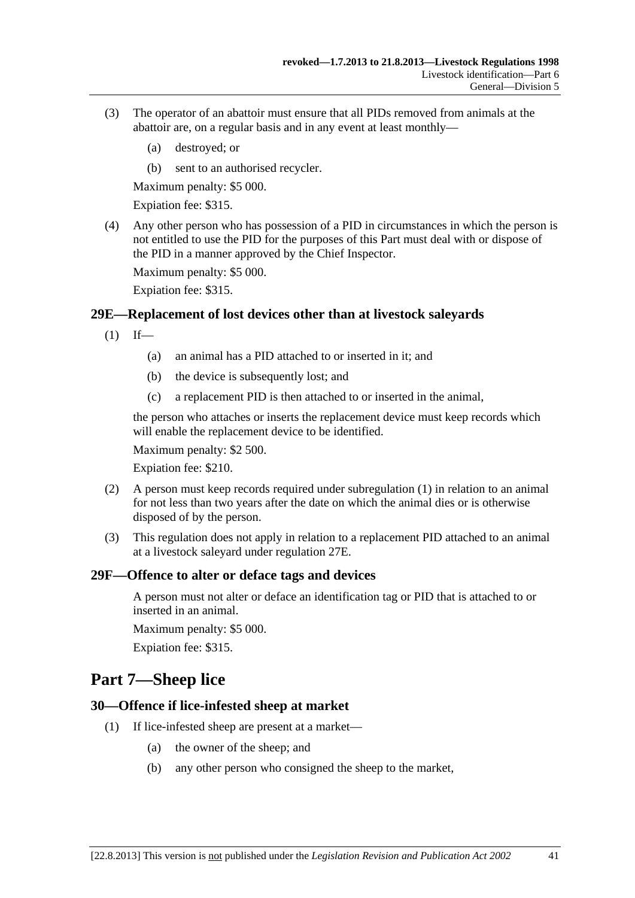- <span id="page-40-0"></span> (3) The operator of an abattoir must ensure that all PIDs removed from animals at the abattoir are, on a regular basis and in any event at least monthly—
	- (a) destroyed; or
	- (b) sent to an authorised recycler.

Maximum penalty: \$5 000.

Expiation fee: \$315.

 (4) Any other person who has possession of a PID in circumstances in which the person is not entitled to use the PID for the purposes of this Part must deal with or dispose of the PID in a manner approved by the Chief Inspector.

Maximum penalty: \$5 000.

Expiation fee: \$315.

#### **29E—Replacement of lost devices other than at livestock saleyards**

- $(1)$  If—
	- (a) an animal has a PID attached to or inserted in it; and
	- (b) the device is subsequently lost; and
	- (c) a replacement PID is then attached to or inserted in the animal,

the person who attaches or inserts the replacement device must keep records which will enable the replacement device to be identified.

Maximum penalty: \$2 500.

Expiation fee: \$210.

- (2) A person must keep records required under [subregulation \(1\)](#page-40-0) in relation to an animal for not less than two years after the date on which the animal dies or is otherwise disposed of by the person.
- (3) This regulation does not apply in relation to a replacement PID attached to an animal at a livestock saleyard under [regulation 27E.](#page-30-0)

#### **29F—Offence to alter or deface tags and devices**

A person must not alter or deface an identification tag or PID that is attached to or inserted in an animal.

Maximum penalty: \$5 000.

Expiation fee: \$315.

## **Part 7—Sheep lice**

#### **30—Offence if lice-infested sheep at market**

- (1) If lice-infested sheep are present at a market—
	- (a) the owner of the sheep; and
	- (b) any other person who consigned the sheep to the market,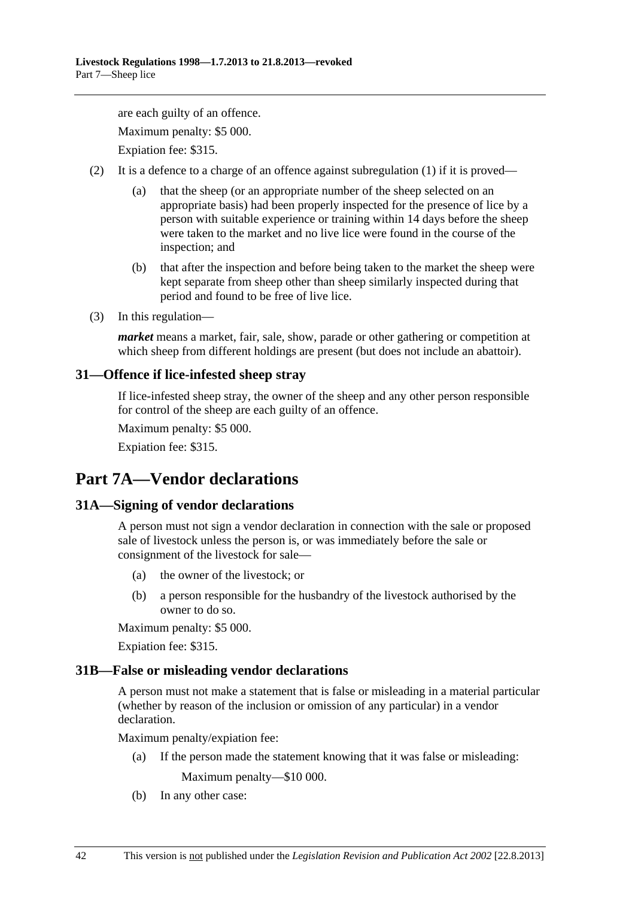<span id="page-41-0"></span>are each guilty of an offence. Maximum penalty: \$5 000.

Expiation fee: \$315.

- (2) It is a defence to a charge of an offence against [subregulation \(1\)](#page-40-0) if it is proved—
	- (a) that the sheep (or an appropriate number of the sheep selected on an appropriate basis) had been properly inspected for the presence of lice by a person with suitable experience or training within 14 days before the sheep were taken to the market and no live lice were found in the course of the inspection; and
	- (b) that after the inspection and before being taken to the market the sheep were kept separate from sheep other than sheep similarly inspected during that period and found to be free of live lice.
- (3) In this regulation—

*market* means a market, fair, sale, show, parade or other gathering or competition at which sheep from different holdings are present (but does not include an abattoir).

## **31—Offence if lice-infested sheep stray**

If lice-infested sheep stray, the owner of the sheep and any other person responsible for control of the sheep are each guilty of an offence.

Maximum penalty: \$5 000.

Expiation fee: \$315.

# **Part 7A—Vendor declarations**

## **31A—Signing of vendor declarations**

A person must not sign a vendor declaration in connection with the sale or proposed sale of livestock unless the person is, or was immediately before the sale or consignment of the livestock for sale—

- (a) the owner of the livestock; or
- (b) a person responsible for the husbandry of the livestock authorised by the owner to do so.

Maximum penalty: \$5 000.

Expiation fee: \$315.

## **31B—False or misleading vendor declarations**

A person must not make a statement that is false or misleading in a material particular (whether by reason of the inclusion or omission of any particular) in a vendor declaration.

Maximum penalty/expiation fee:

(a) If the person made the statement knowing that it was false or misleading:

Maximum penalty—\$10 000.

(b) In any other case: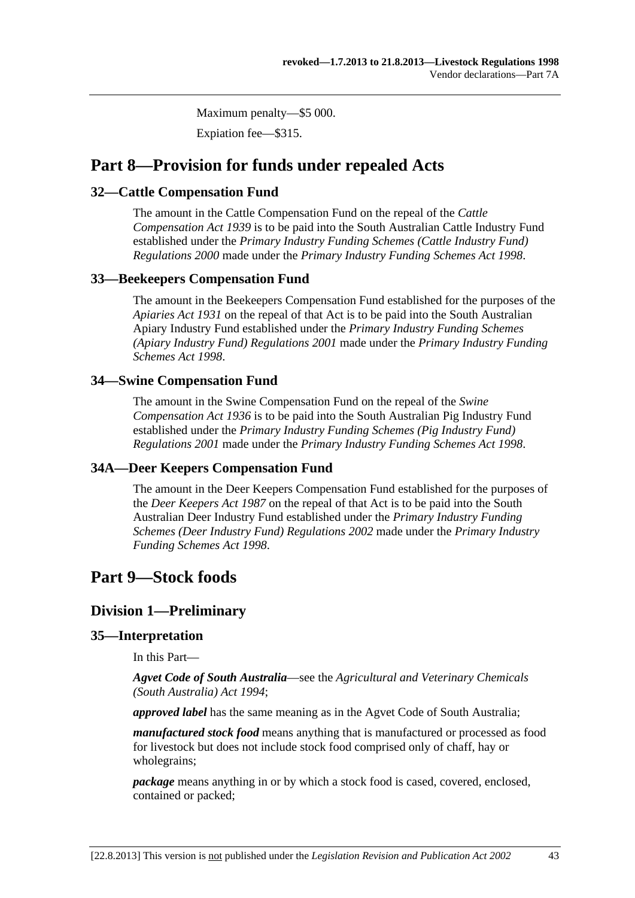Maximum penalty—\$5 000.

Expiation fee—\$315.

# <span id="page-42-0"></span>**Part 8—Provision for funds under repealed Acts**

## **32—Cattle Compensation Fund**

The amount in the Cattle Compensation Fund on the repeal of the *[Cattle](http://www.legislation.sa.gov.au/index.aspx?action=legref&type=act&legtitle=Cattle%20Compensation%20Act%201939)  [Compensation Act 1939](http://www.legislation.sa.gov.au/index.aspx?action=legref&type=act&legtitle=Cattle%20Compensation%20Act%201939)* is to be paid into the South Australian Cattle Industry Fund established under the *[Primary Industry Funding Schemes \(Cattle Industry Fund\)](http://www.legislation.sa.gov.au/index.aspx?action=legref&type=subordleg&legtitle=Primary%20Industry%20Funding%20Schemes%20(Cattle%20Industry%20Fund)%20Regulations%202000)  [Regulations 2000](http://www.legislation.sa.gov.au/index.aspx?action=legref&type=subordleg&legtitle=Primary%20Industry%20Funding%20Schemes%20(Cattle%20Industry%20Fund)%20Regulations%202000)* made under the *[Primary Industry Funding Schemes Act 1998](http://www.legislation.sa.gov.au/index.aspx?action=legref&type=act&legtitle=Primary%20Industry%20Funding%20Schemes%20Act%201998)*.

## **33—Beekeepers Compensation Fund**

The amount in the Beekeepers Compensation Fund established for the purposes of the *[Apiaries Act 1931](http://www.legislation.sa.gov.au/index.aspx?action=legref&type=act&legtitle=Apiaries%20Act%201931)* on the repeal of that Act is to be paid into the South Australian Apiary Industry Fund established under the *[Primary Industry Funding Schemes](http://www.legislation.sa.gov.au/index.aspx?action=legref&type=subordleg&legtitle=Primary%20Industry%20Funding%20Schemes%20(Apiary%20Industry%20Fund)%20Regulations%202001)  [\(Apiary Industry Fund\) Regulations 2001](http://www.legislation.sa.gov.au/index.aspx?action=legref&type=subordleg&legtitle=Primary%20Industry%20Funding%20Schemes%20(Apiary%20Industry%20Fund)%20Regulations%202001)* made under the *[Primary Industry Funding](http://www.legislation.sa.gov.au/index.aspx?action=legref&type=act&legtitle=Primary%20Industry%20Funding%20Schemes%20Act%201998)  [Schemes Act 1998](http://www.legislation.sa.gov.au/index.aspx?action=legref&type=act&legtitle=Primary%20Industry%20Funding%20Schemes%20Act%201998)*.

## **34—Swine Compensation Fund**

The amount in the Swine Compensation Fund on the repeal of the *[Swine](http://www.legislation.sa.gov.au/index.aspx?action=legref&type=act&legtitle=Swine%20Compensation%20Act%201936)  [Compensation Act 1936](http://www.legislation.sa.gov.au/index.aspx?action=legref&type=act&legtitle=Swine%20Compensation%20Act%201936)* is to be paid into the South Australian Pig Industry Fund established under the *[Primary Industry Funding Schemes \(Pig Industry Fund\)](http://www.legislation.sa.gov.au/index.aspx?action=legref&type=subordleg&legtitle=Primary%20Industry%20Funding%20Schemes%20(Pig%20Industry%20Fund)%20Regulations%202001)  [Regulations 2001](http://www.legislation.sa.gov.au/index.aspx?action=legref&type=subordleg&legtitle=Primary%20Industry%20Funding%20Schemes%20(Pig%20Industry%20Fund)%20Regulations%202001)* made under the *[Primary Industry Funding Schemes Act 1998](http://www.legislation.sa.gov.au/index.aspx?action=legref&type=act&legtitle=Primary%20Industry%20Funding%20Schemes%20Act%201998)*.

## **34A—Deer Keepers Compensation Fund**

The amount in the Deer Keepers Compensation Fund established for the purposes of the *[Deer Keepers Act 1987](http://www.legislation.sa.gov.au/index.aspx?action=legref&type=act&legtitle=Deer%20Keepers%20Act%201987)* on the repeal of that Act is to be paid into the South Australian Deer Industry Fund established under the *[Primary Industry Funding](http://www.legislation.sa.gov.au/index.aspx?action=legref&type=subordleg&legtitle=Primary%20Industry%20Funding%20Schemes%20(Deer%20Industry%20Fund)%20Regulations%202002)  [Schemes \(Deer Industry Fund\) Regulations 2002](http://www.legislation.sa.gov.au/index.aspx?action=legref&type=subordleg&legtitle=Primary%20Industry%20Funding%20Schemes%20(Deer%20Industry%20Fund)%20Regulations%202002)* made under the *[Primary Industry](http://www.legislation.sa.gov.au/index.aspx?action=legref&type=act&legtitle=Primary%20Industry%20Funding%20Schemes%20Act%201998)  [Funding Schemes Act 1998](http://www.legislation.sa.gov.au/index.aspx?action=legref&type=act&legtitle=Primary%20Industry%20Funding%20Schemes%20Act%201998)*.

# **Part 9—Stock foods**

## **Division 1—Preliminary**

## **35—Interpretation**

In this Part—

*Agvet Code of South Australia*—see the *[Agricultural and Veterinary Chemicals](http://www.legislation.sa.gov.au/index.aspx?action=legref&type=act&legtitle=Agricultural%20and%20Veterinary%20Chemicals%20(South%20Australia)%20Act%201994)  [\(South Australia\) Act 1994](http://www.legislation.sa.gov.au/index.aspx?action=legref&type=act&legtitle=Agricultural%20and%20Veterinary%20Chemicals%20(South%20Australia)%20Act%201994)*;

*approved label* has the same meaning as in the Agvet Code of South Australia;

*manufactured stock food* means anything that is manufactured or processed as food for livestock but does not include stock food comprised only of chaff, hay or wholegrains;

*package* means anything in or by which a stock food is cased, covered, enclosed, contained or packed;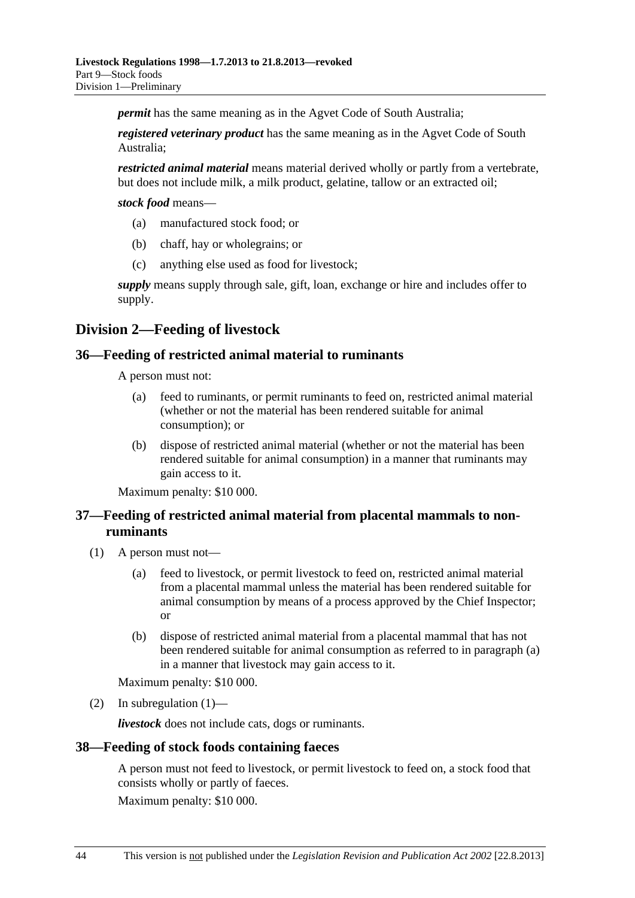<span id="page-43-0"></span>*permit* has the same meaning as in the Agvet Code of South Australia;

*registered veterinary product* has the same meaning as in the Agvet Code of South Australia;

*restricted animal material* means material derived wholly or partly from a vertebrate, but does not include milk, a milk product, gelatine, tallow or an extracted oil;

*stock food* means—

- (a) manufactured stock food; or
- (b) chaff, hay or wholegrains; or
- (c) anything else used as food for livestock;

*supply* means supply through sale, gift, loan, exchange or hire and includes offer to supply.

## **Division 2—Feeding of livestock**

#### **36—Feeding of restricted animal material to ruminants**

A person must not:

- (a) feed to ruminants, or permit ruminants to feed on, restricted animal material (whether or not the material has been rendered suitable for animal consumption); or
- (b) dispose of restricted animal material (whether or not the material has been rendered suitable for animal consumption) in a manner that ruminants may gain access to it.

Maximum penalty: \$10 000.

## **37—Feeding of restricted animal material from placental mammals to nonruminants**

- (1) A person must not—
	- (a) feed to livestock, or permit livestock to feed on, restricted animal material from a placental mammal unless the material has been rendered suitable for animal consumption by means of a process approved by the Chief Inspector; or
	- (b) dispose of restricted animal material from a placental mammal that has not been rendered suitable for animal consumption as referred to in [paragraph \(a\)](#page-43-0) in a manner that livestock may gain access to it.

Maximum penalty: \$10 000.

(2) In subregulation  $(1)$ —

*livestock* does not include cats, dogs or ruminants.

## **38—Feeding of stock foods containing faeces**

A person must not feed to livestock, or permit livestock to feed on, a stock food that consists wholly or partly of faeces.

Maximum penalty: \$10 000.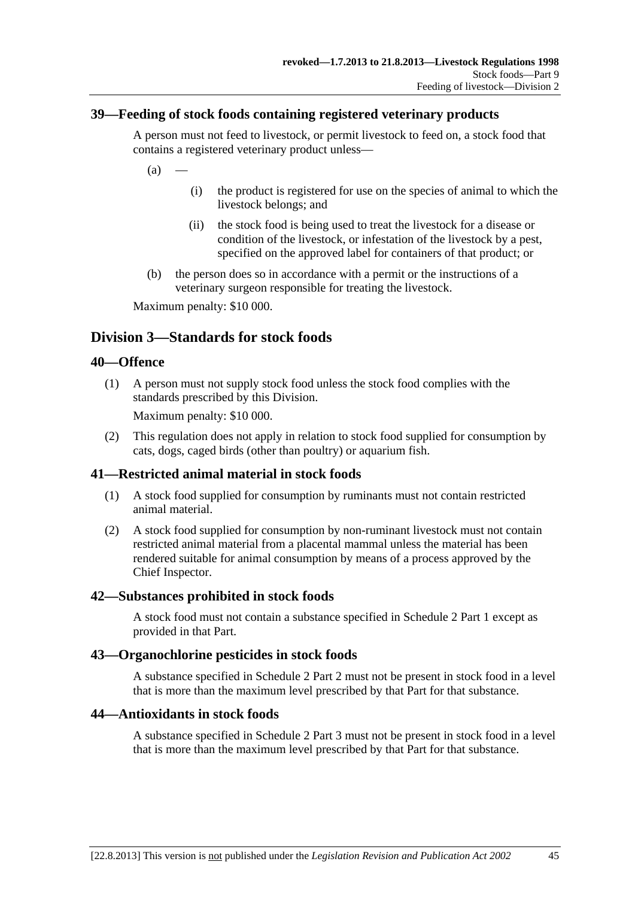## <span id="page-44-0"></span>**39—Feeding of stock foods containing registered veterinary products**

A person must not feed to livestock, or permit livestock to feed on, a stock food that contains a registered veterinary product unless—

 $(a)$ 

- (i) the product is registered for use on the species of animal to which the livestock belongs; and
- (ii) the stock food is being used to treat the livestock for a disease or condition of the livestock, or infestation of the livestock by a pest, specified on the approved label for containers of that product; or
- (b) the person does so in accordance with a permit or the instructions of a veterinary surgeon responsible for treating the livestock.

Maximum penalty: \$10 000.

## **Division 3—Standards for stock foods**

#### **40—Offence**

 (1) A person must not supply stock food unless the stock food complies with the standards prescribed by this Division.

Maximum penalty: \$10 000.

 (2) This regulation does not apply in relation to stock food supplied for consumption by cats, dogs, caged birds (other than poultry) or aquarium fish.

## **41—Restricted animal material in stock foods**

- (1) A stock food supplied for consumption by ruminants must not contain restricted animal material.
- (2) A stock food supplied for consumption by non-ruminant livestock must not contain restricted animal material from a placental mammal unless the material has been rendered suitable for animal consumption by means of a process approved by the Chief Inspector.

#### **42—Substances prohibited in stock foods**

A stock food must not contain a substance specified in [Schedule 2 Part 1](#page-0-0) except as provided in that Part.

#### **43—Organochlorine pesticides in stock foods**

A substance specified in [Schedule 2 Part 2](#page-0-0) must not be present in stock food in a level that is more than the maximum level prescribed by that Part for that substance.

#### **44—Antioxidants in stock foods**

A substance specified in [Schedule 2 Part 3](#page-0-0) must not be present in stock food in a level that is more than the maximum level prescribed by that Part for that substance.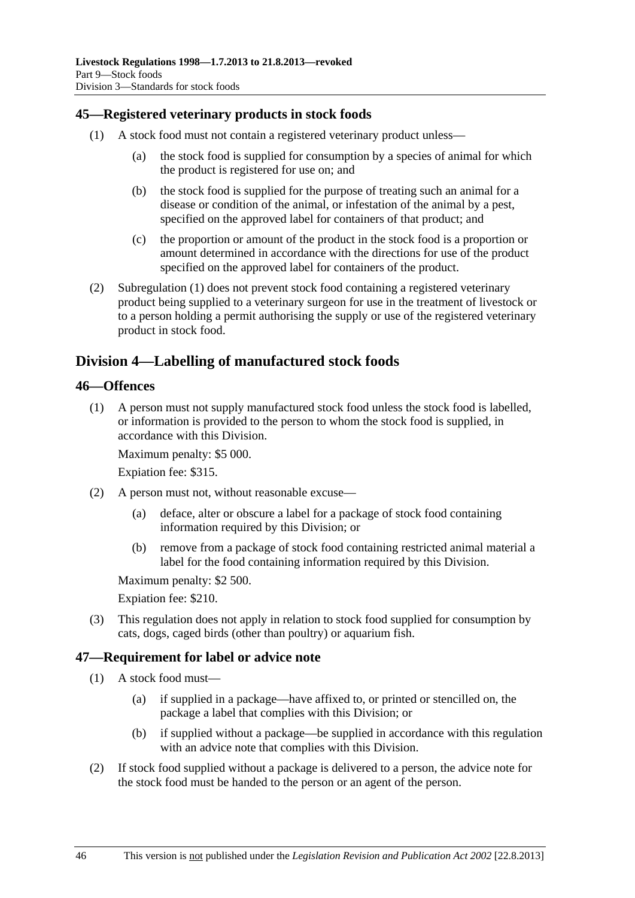## <span id="page-45-0"></span>**45—Registered veterinary products in stock foods**

- (1) A stock food must not contain a registered veterinary product unless—
	- (a) the stock food is supplied for consumption by a species of animal for which the product is registered for use on; and
	- (b) the stock food is supplied for the purpose of treating such an animal for a disease or condition of the animal, or infestation of the animal by a pest, specified on the approved label for containers of that product; and
	- (c) the proportion or amount of the product in the stock food is a proportion or amount determined in accordance with the directions for use of the product specified on the approved label for containers of the product.
- (2) [Subregulation \(1\)](#page-45-0) does not prevent stock food containing a registered veterinary product being supplied to a veterinary surgeon for use in the treatment of livestock or to a person holding a permit authorising the supply or use of the registered veterinary product in stock food.

## **Division 4—Labelling of manufactured stock foods**

#### **46—Offences**

 (1) A person must not supply manufactured stock food unless the stock food is labelled, or information is provided to the person to whom the stock food is supplied, in accordance with this Division.

Maximum penalty: \$5 000.

Expiation fee: \$315.

- (2) A person must not, without reasonable excuse—
	- (a) deface, alter or obscure a label for a package of stock food containing information required by this Division; or
	- (b) remove from a package of stock food containing restricted animal material a label for the food containing information required by this Division.

Maximum penalty: \$2 500.

Expiation fee: \$210.

 (3) This regulation does not apply in relation to stock food supplied for consumption by cats, dogs, caged birds (other than poultry) or aquarium fish.

## **47—Requirement for label or advice note**

- (1) A stock food must—
	- (a) if supplied in a package—have affixed to, or printed or stencilled on, the package a label that complies with this Division; or
	- (b) if supplied without a package—be supplied in accordance with this regulation with an advice note that complies with this Division.
- (2) If stock food supplied without a package is delivered to a person, the advice note for the stock food must be handed to the person or an agent of the person.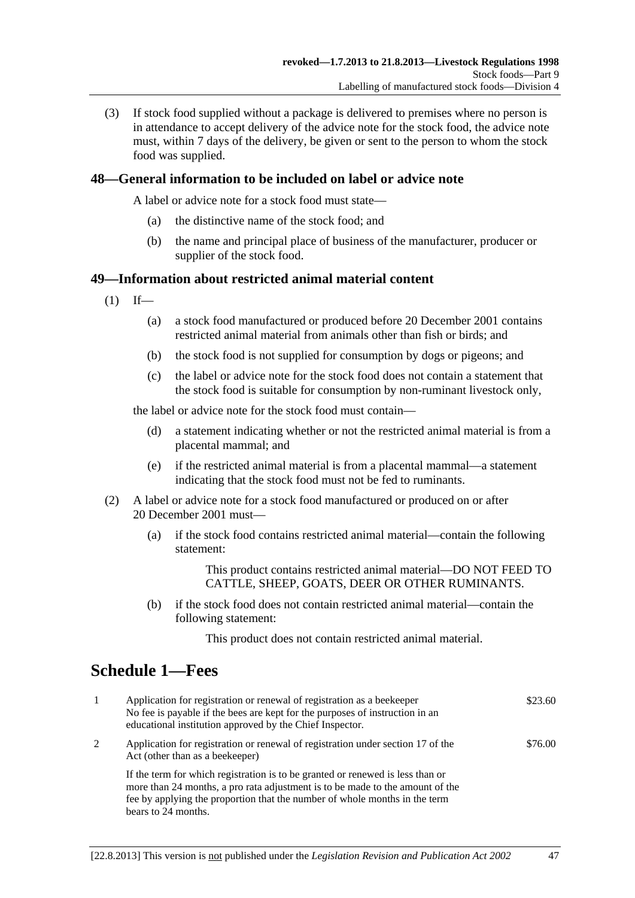<span id="page-46-0"></span> (3) If stock food supplied without a package is delivered to premises where no person is in attendance to accept delivery of the advice note for the stock food, the advice note must, within 7 days of the delivery, be given or sent to the person to whom the stock food was supplied.

## **48—General information to be included on label or advice note**

A label or advice note for a stock food must state—

- (a) the distinctive name of the stock food; and
- (b) the name and principal place of business of the manufacturer, producer or supplier of the stock food.

#### **49—Information about restricted animal material content**

- $(1)$  If—
	- (a) a stock food manufactured or produced before 20 December 2001 contains restricted animal material from animals other than fish or birds; and
	- (b) the stock food is not supplied for consumption by dogs or pigeons; and
	- (c) the label or advice note for the stock food does not contain a statement that the stock food is suitable for consumption by non-ruminant livestock only,

the label or advice note for the stock food must contain—

- (d) a statement indicating whether or not the restricted animal material is from a placental mammal; and
- (e) if the restricted animal material is from a placental mammal—a statement indicating that the stock food must not be fed to ruminants.
- (2) A label or advice note for a stock food manufactured or produced on or after 20 December 2001 must—
	- (a) if the stock food contains restricted animal material—contain the following statement:

This product contains restricted animal material—DO NOT FEED TO CATTLE, SHEEP, GOATS, DEER OR OTHER RUMINANTS.

 (b) if the stock food does not contain restricted animal material—contain the following statement:

This product does not contain restricted animal material.

# **Schedule 1—Fees**

| -1 | Application for registration or renewal of registration as a beekeeper<br>No fee is payable if the bees are kept for the purposes of instruction in an<br>educational institution approved by the Chief Inspector.                                                   | \$23.60 |
|----|----------------------------------------------------------------------------------------------------------------------------------------------------------------------------------------------------------------------------------------------------------------------|---------|
| 2  | Application for registration or renewal of registration under section 17 of the<br>Act (other than as a beekeeper)                                                                                                                                                   | \$76.00 |
|    | If the term for which registration is to be granted or renewed is less than or<br>more than 24 months, a pro rata adjustment is to be made to the amount of the<br>fee by applying the proportion that the number of whole months in the term<br>bears to 24 months. |         |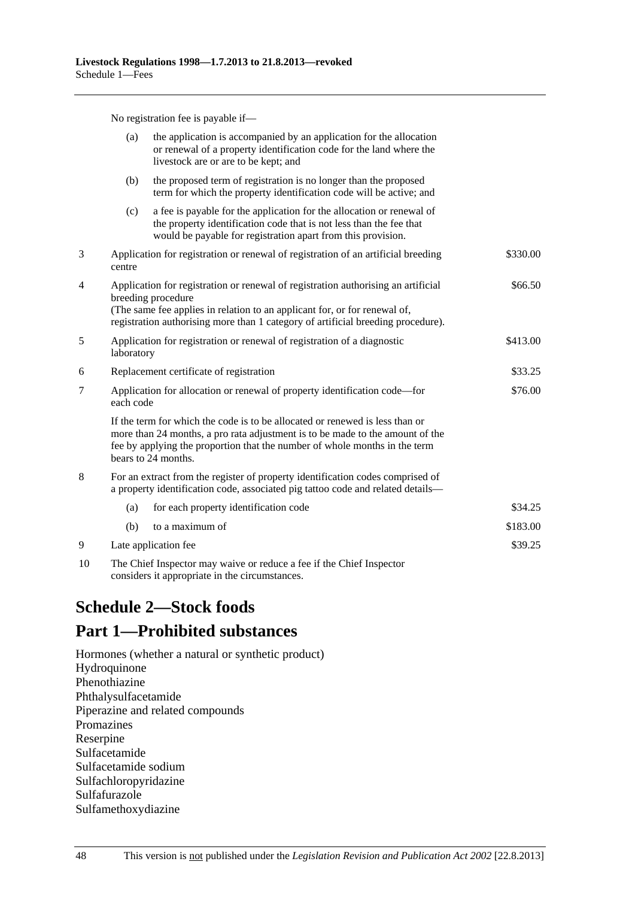No registration fee is payable if—

<span id="page-47-0"></span>

|    | (a)                                                                                   | the application is accompanied by an application for the allocation<br>or renewal of a property identification code for the land where the<br>livestock are or are to be kept; and                                                                                       |          |
|----|---------------------------------------------------------------------------------------|--------------------------------------------------------------------------------------------------------------------------------------------------------------------------------------------------------------------------------------------------------------------------|----------|
|    | (b)                                                                                   | the proposed term of registration is no longer than the proposed<br>term for which the property identification code will be active; and                                                                                                                                  |          |
|    | (c)                                                                                   | a fee is payable for the application for the allocation or renewal of<br>the property identification code that is not less than the fee that<br>would be payable for registration apart from this provision.                                                             |          |
| 3  | centre                                                                                | Application for registration or renewal of registration of an artificial breeding                                                                                                                                                                                        | \$330.00 |
| 4  |                                                                                       | Application for registration or renewal of registration authorising an artificial<br>breeding procedure<br>(The same fee applies in relation to an applicant for, or for renewal of,<br>registration authorising more than 1 category of artificial breeding procedure). | \$66.50  |
| 5  | Application for registration or renewal of registration of a diagnostic<br>laboratory |                                                                                                                                                                                                                                                                          | \$413.00 |
| 6  |                                                                                       | Replacement certificate of registration                                                                                                                                                                                                                                  | \$33.25  |
| 7  | each code                                                                             | Application for allocation or renewal of property identification code—for                                                                                                                                                                                                | \$76.00  |
|    |                                                                                       | If the term for which the code is to be allocated or renewed is less than or<br>more than 24 months, a pro rata adjustment is to be made to the amount of the<br>fee by applying the proportion that the number of whole months in the term<br>bears to 24 months.       |          |
| 8  |                                                                                       | For an extract from the register of property identification codes comprised of<br>a property identification code, associated pig tattoo code and related details-                                                                                                        |          |
|    | (a)                                                                                   | for each property identification code                                                                                                                                                                                                                                    | \$34.25  |
|    | (b)                                                                                   | to a maximum of                                                                                                                                                                                                                                                          | \$183.00 |
| 9  |                                                                                       | Late application fee                                                                                                                                                                                                                                                     | \$39.25  |
| 10 |                                                                                       | The Chief Inspector may waive or reduce a fee if the Chief Inspector                                                                                                                                                                                                     |          |

considers it appropriate in the circumstances.

# **Schedule 2—Stock foods**

## **Part 1—Prohibited substances**

Hormones (whether a natural or synthetic product) Hydroquinone Phenothiazine Phthalysulfacetamide Piperazine and related compounds Promazines Reserpine Sulfacetamide Sulfacetamide sodium Sulfachloropyridazine Sulfafurazole Sulfamethoxydiazine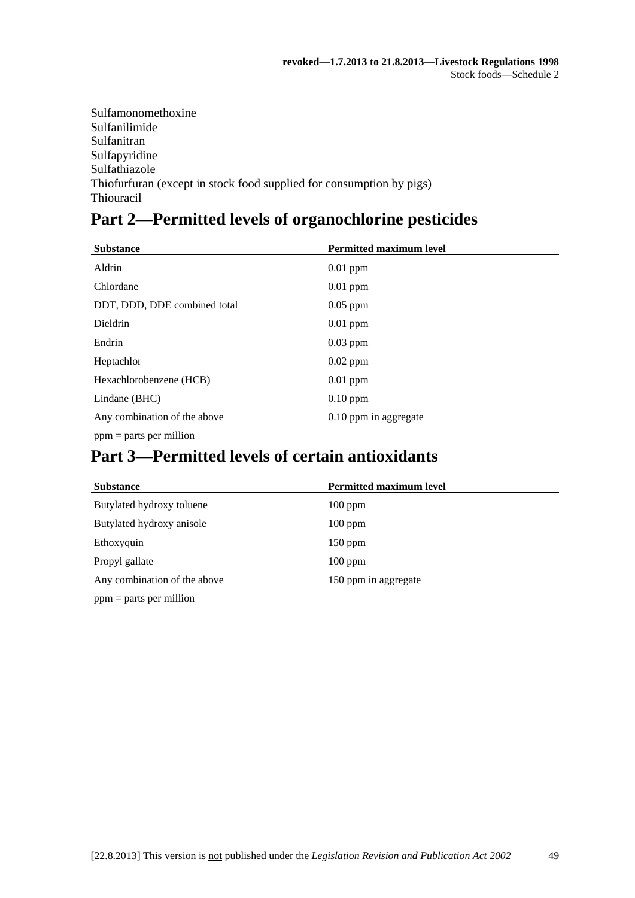| Sulfamonomethoxine                                                   |
|----------------------------------------------------------------------|
| Sulfanilimide                                                        |
| Sulfanitran                                                          |
| Sulfapyridine                                                        |
| Sulfathiazole                                                        |
| Thiofurfuran (except in stock food supplied for consumption by pigs) |
| <b>Thiouracil</b>                                                    |

# **Part 2—Permitted levels of organochlorine pesticides**

| <b>Substance</b>             | <b>Permitted maximum level</b> |
|------------------------------|--------------------------------|
| Aldrin                       | $0.01$ ppm                     |
| Chlordane                    | $0.01$ ppm                     |
| DDT, DDD, DDE combined total | $0.05$ ppm                     |
| Dieldrin                     | $0.01$ ppm                     |
| Endrin                       | $0.03$ ppm                     |
| Heptachlor                   | $0.02$ ppm                     |
| Hexachlorobenzene (HCB)      | $0.01$ ppm                     |
| Lindane (BHC)                | $0.10$ ppm                     |
| Any combination of the above | 0.10 ppm in aggregate          |
| $ppm =$ parts per million    |                                |

# **Part 3—Permitted levels of certain antioxidants**

| <b>Substance</b>             | <b>Permitted maximum level</b> |
|------------------------------|--------------------------------|
| Butylated hydroxy toluene    | $100$ ppm                      |
| Butylated hydroxy anisole    | $100$ ppm                      |
| Ethoxyquin                   | $150$ ppm                      |
| Propyl gallate               | $100$ ppm                      |
| Any combination of the above | 150 ppm in aggregate           |
| $ppm =$ parts per million    |                                |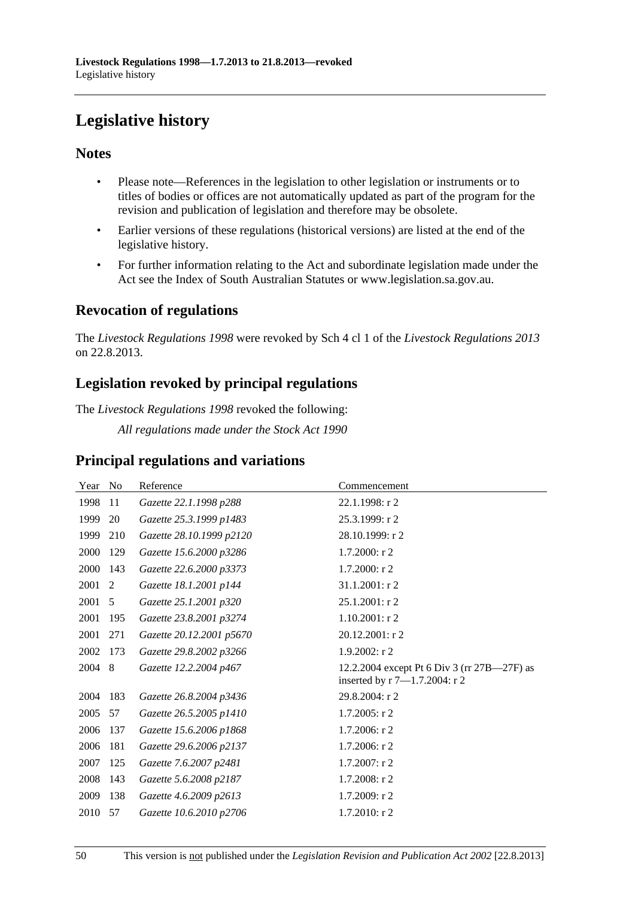# <span id="page-49-0"></span>**Legislative history**

## **Notes**

- Please note—References in the legislation to other legislation or instruments or to titles of bodies or offices are not automatically updated as part of the program for the revision and publication of legislation and therefore may be obsolete.
- Earlier versions of these regulations (historical versions) are listed at the end of the legislative history.
- For further information relating to the Act and subordinate legislation made under the Act see the Index of South Australian Statutes or www.legislation.sa.gov.au.

## **Revocation of regulations**

The *Livestock Regulations 1998* were revoked by Sch 4 cl 1 of the *Livestock Regulations 2013* on 22.8.2013.

## **Legislation revoked by principal regulations**

The *Livestock Regulations 1998* revoked the following:

*All regulations made under the Stock Act 1990*

## **Principal regulations and variations**

| Year | N <sub>0</sub> | Reference                | Commencement                                                                 |
|------|----------------|--------------------------|------------------------------------------------------------------------------|
| 1998 | 11             | Gazette 22.1.1998 p288   | $22.1.1998:$ r 2                                                             |
| 1999 | 20             | Gazette 25.3.1999 p1483  | 25.3.1999: r 2                                                               |
| 1999 | 210            | Gazette 28.10.1999 p2120 | 28.10.1999: r 2                                                              |
| 2000 | 129            | Gazette 15.6.2000 p3286  | $1.7.2000:$ r 2                                                              |
| 2000 | 143            | Gazette 22.6.2000 p3373  | 1.7.2000: r 2                                                                |
| 2001 | 2              | Gazette 18.1.2001 p144   | 31.1.2001: r 2                                                               |
| 2001 | 5              | Gazette 25.1.2001 p320   | 25.1.2001: r 2                                                               |
| 2001 | 195            | Gazette 23.8.2001 p3274  | $1.10.2001:$ r 2                                                             |
| 2001 | 271            | Gazette 20.12.2001 p5670 | 20.12.2001: r 2                                                              |
| 2002 | 173            | Gazette 29.8.2002 p3266  | $1.9.2002:$ r 2                                                              |
| 2004 | 8              | Gazette 12.2.2004 p467   | 12.2.2004 except Pt 6 Div 3 (rr 27B—27F) as<br>inserted by r 7-1.7.2004: r 2 |
| 2004 | 183            | Gazette 26.8.2004 p3436  | 29.8.2004: r 2                                                               |
| 2005 | 57             | Gazette 26.5.2005 p1410  | $1.7.2005:$ r 2                                                              |
| 2006 | 137            | Gazette 15.6.2006 p1868  | $1.7.2006$ : r 2                                                             |
| 2006 | 181            | Gazette 29.6.2006 p2137  | $1.7.2006$ : r 2                                                             |
| 2007 | 125            | Gazette 7.6.2007 p2481   | 1.7.2007: r 2                                                                |
| 2008 | 143            | Gazette 5.6.2008 p2187   | 1.7.2008: r 2                                                                |
| 2009 | 138            | Gazette 4.6.2009 p2613   | 1.7.2009: r 2                                                                |
| 2010 | 57             | Gazette 10.6.2010 p2706  | 1.7.2010: r 2                                                                |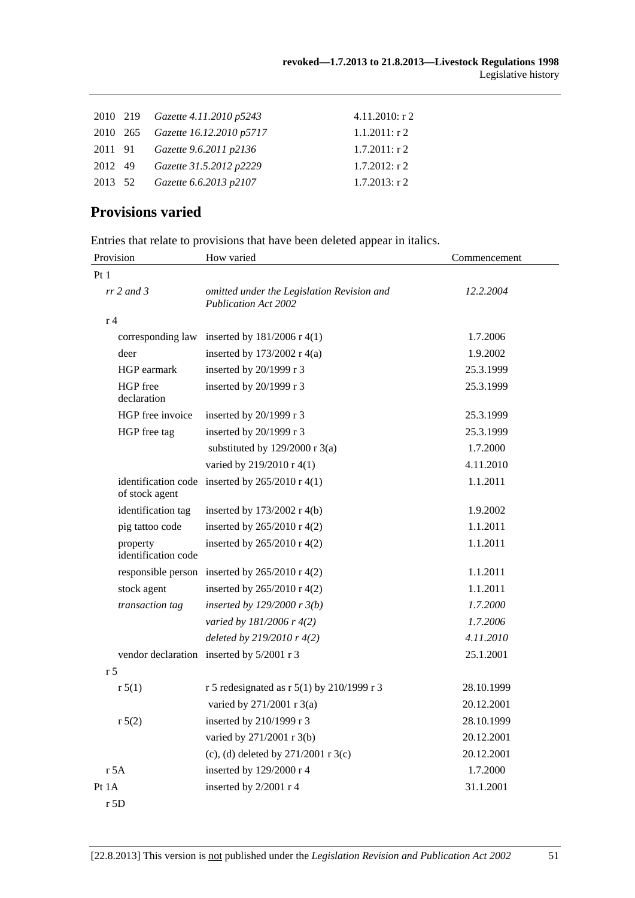|         | 2010 219 Gazette 4.11.2010 p5243  | $4.11.2010:$ r 2 |
|---------|-----------------------------------|------------------|
|         | 2010 265 Gazette 16.12.2010 p5717 | $1.1.2011:$ r 2  |
|         | 2011 91 Gazette 9.6.2011 p2136    | $1.7.2011:$ r 2  |
| 2012 49 | Gazette 31.5.2012 p2229           | $1.7.2012$ : r 2 |
| 2013 52 | Gazette 6.6.2013 p2107            | $1.7.2013$ : r 2 |
|         |                                   |                  |

## **Provisions varied**

|  |  | Entries that relate to provisions that have been deleted appear in italics. |
|--|--|-----------------------------------------------------------------------------|
|  |  |                                                                             |

| Provision                       | How varied                                                                | Commencement |
|---------------------------------|---------------------------------------------------------------------------|--------------|
| Pt <sub>1</sub>                 |                                                                           |              |
| $rr$ 2 and 3                    | omitted under the Legislation Revision and<br><b>Publication Act 2002</b> | 12.2.2004    |
| r <sub>4</sub>                  |                                                                           |              |
| corresponding law               | inserted by $181/2006$ r 4(1)                                             | 1.7.2006     |
| deer                            | inserted by $173/2002$ r 4(a)                                             | 1.9.2002     |
| HGP earmark                     | inserted by 20/1999 r 3                                                   | 25.3.1999    |
| HGP free<br>declaration         | inserted by 20/1999 r 3                                                   | 25.3.1999    |
| HGP free invoice                | inserted by 20/1999 r 3                                                   | 25.3.1999    |
| HGP free tag                    | inserted by 20/1999 r 3                                                   | 25.3.1999    |
|                                 | substituted by $129/2000$ r 3(a)                                          | 1.7.2000     |
|                                 | varied by 219/2010 r 4(1)                                                 | 4.11.2010    |
| of stock agent                  | identification code inserted by $265/2010$ r 4(1)                         | 1.1.2011     |
| identification tag              | inserted by 173/2002 r 4(b)                                               | 1.9.2002     |
| pig tattoo code                 | inserted by 265/2010 r 4(2)                                               | 1.1.2011     |
| property<br>identification code | inserted by 265/2010 r 4(2)                                               | 1.1.2011     |
|                                 | responsible person inserted by $265/2010$ r 4(2)                          | 1.1.2011     |
| stock agent                     | inserted by 265/2010 r 4(2)                                               | 1.1.2011     |
| transaction tag                 | inserted by $129/2000r3(b)$                                               | 1.7.2000     |
|                                 | varied by 181/2006 r 4(2)                                                 | 1.7.2006     |
|                                 | deleted by $219/2010r$ 4(2)                                               | 4.11.2010    |
|                                 | vendor declaration inserted by 5/2001 r 3                                 | 25.1.2001    |
| r <sub>5</sub>                  |                                                                           |              |
| r 5(1)                          | r 5 redesignated as r 5(1) by 210/1999 r 3                                | 28.10.1999   |
|                                 | varied by 271/2001 r 3(a)                                                 | 20.12.2001   |
| r 5(2)                          | inserted by 210/1999 r 3                                                  | 28.10.1999   |
|                                 | varied by 271/2001 r 3(b)                                                 | 20.12.2001   |
|                                 | (c), (d) deleted by $271/2001$ r 3(c)                                     | 20.12.2001   |
| $r$ 5A                          | inserted by 129/2000 r 4                                                  | 1.7.2000     |
| Pt 1A                           | inserted by 2/2001 r 4                                                    | 31.1.2001    |
| r 5D                            |                                                                           |              |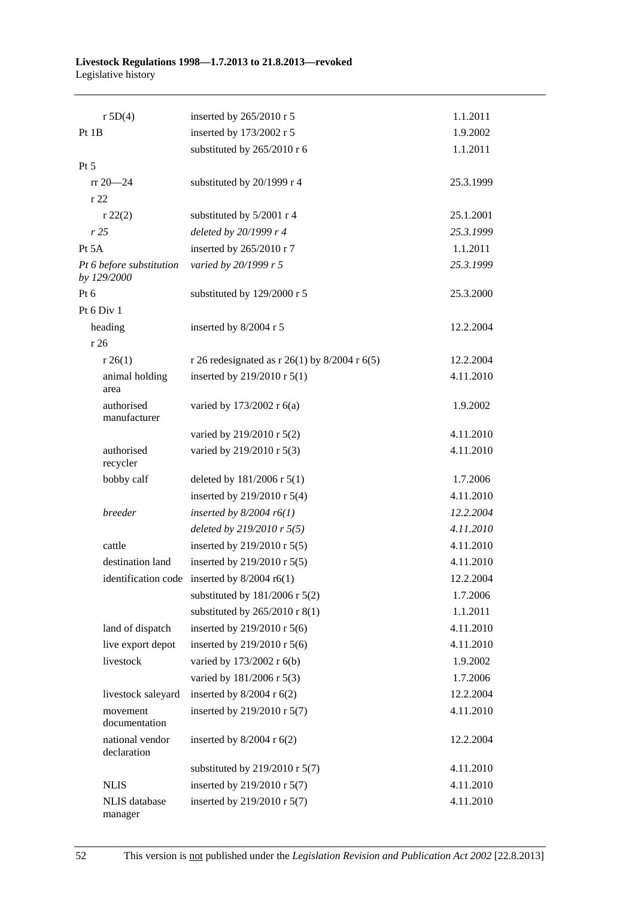#### **Livestock Regulations 1998—1.7.2013 to 21.8.2013—revoked**  Legislative history

| r 5D(4)                                 | inserted by 265/2010 r 5                       | 1.1.2011  |
|-----------------------------------------|------------------------------------------------|-----------|
| Pt 1B                                   | inserted by 173/2002 r 5                       | 1.9.2002  |
|                                         | substituted by 265/2010 r 6                    | 1.1.2011  |
| Pt 5                                    |                                                |           |
| $rr 20 - 24$                            | substituted by 20/1999 r 4                     | 25.3.1999 |
| r 22                                    |                                                |           |
| r 22(2)                                 | substituted by 5/2001 r 4                      | 25.1.2001 |
| r25                                     | deleted by 20/1999 r 4                         | 25.3.1999 |
| Pt 5A                                   | inserted by 265/2010 r 7                       | 1.1.2011  |
| Pt 6 before substitution<br>by 129/2000 | varied by 20/1999 r 5                          | 25.3.1999 |
| Pt 6                                    | substituted by 129/2000 r 5                    | 25.3.2000 |
| Pt 6 Div 1                              |                                                |           |
| heading                                 | inserted by 8/2004 r 5                         | 12.2.2004 |
| r 26                                    |                                                |           |
| r 26(1)                                 | r 26 redesignated as r 26(1) by 8/2004 r 6(5)  | 12.2.2004 |
| animal holding<br>area                  | inserted by 219/2010 r 5(1)                    | 4.11.2010 |
| authorised<br>manufacturer              | varied by 173/2002 r 6(a)                      | 1.9.2002  |
|                                         | varied by 219/2010 r 5(2)                      | 4.11.2010 |
| authorised<br>recycler                  | varied by 219/2010 r 5(3)                      | 4.11.2010 |
| bobby calf                              | deleted by $181/2006$ r $5(1)$                 | 1.7.2006  |
|                                         | inserted by 219/2010 r 5(4)                    | 4.11.2010 |
| breeder                                 | inserted by $8/2004$ r6(1)                     | 12.2.2004 |
|                                         | deleted by $219/2010$ r $5(5)$                 | 4.11.2010 |
| cattle                                  | inserted by 219/2010 r 5(5)                    | 4.11.2010 |
| destination land                        | inserted by 219/2010 r 5(5)                    | 4.11.2010 |
|                                         | identification code inserted by $8/2004$ r6(1) | 12.2.2004 |
|                                         | substituted by $181/2006$ r $5(2)$             | 1.7.2006  |
|                                         | substituted by $265/2010$ r 8(1)               | 1.1.2011  |
| land of dispatch                        | inserted by 219/2010 r 5(6)                    | 4.11.2010 |
| live export depot                       | inserted by 219/2010 r 5(6)                    | 4.11.2010 |
| livestock                               | varied by 173/2002 r 6(b)                      | 1.9.2002  |
|                                         | varied by 181/2006 r 5(3)                      | 1.7.2006  |
| livestock saleyard                      | inserted by $8/2004$ r $6(2)$                  | 12.2.2004 |
| movement<br>documentation               | inserted by 219/2010 r 5(7)                    | 4.11.2010 |
| national vendor<br>declaration          | inserted by $8/2004$ r $6(2)$                  | 12.2.2004 |
|                                         | substituted by $219/2010$ r 5(7)               | 4.11.2010 |
| <b>NLIS</b>                             | inserted by 219/2010 r 5(7)                    | 4.11.2010 |
| <b>NLIS</b> database<br>manager         | inserted by 219/2010 r 5(7)                    | 4.11.2010 |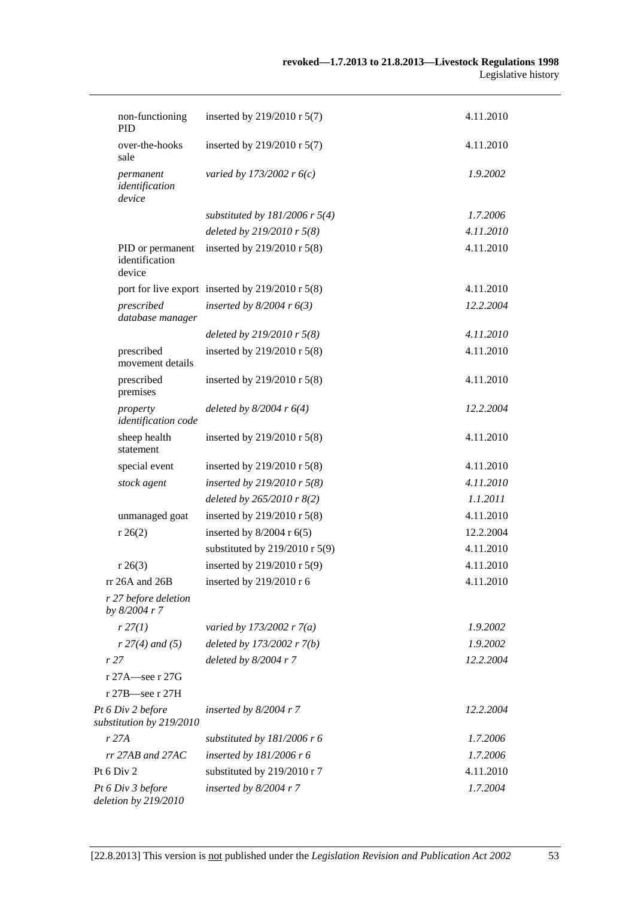| non-functioning<br><b>PID</b>                 | inserted by 219/2010 r 5(7)                      | 4.11.2010 |  |
|-----------------------------------------------|--------------------------------------------------|-----------|--|
| over-the-hooks<br>sale                        | inserted by 219/2010 r 5(7)                      | 4.11.2010 |  |
| permanent<br>identification<br>device         | varied by 173/2002 r $6(c)$                      | 1.9.2002  |  |
|                                               | substituted by $181/2006$ r 5(4)                 | 1.7.2006  |  |
|                                               | deleted by 219/2010 r 5(8)                       | 4.11.2010 |  |
| PID or permanent<br>identification<br>device  | inserted by 219/2010 r 5(8)                      | 4.11.2010 |  |
|                                               | port for live export inserted by 219/2010 r 5(8) | 4.11.2010 |  |
| prescribed<br>database manager                | inserted by $8/2004$ r $6(3)$                    | 12.2.2004 |  |
|                                               | deleted by 219/2010 r 5(8)                       | 4.11.2010 |  |
| prescribed<br>movement details                | inserted by 219/2010 r 5(8)                      | 4.11.2010 |  |
| prescribed<br>premises                        | inserted by 219/2010 r 5(8)                      | 4.11.2010 |  |
| property<br>identification code               | deleted by $8/2004$ r $6(4)$                     | 12.2.2004 |  |
| sheep health<br>statement                     | inserted by 219/2010 r 5(8)                      | 4.11.2010 |  |
| special event                                 | inserted by 219/2010 r 5(8)                      | 4.11.2010 |  |
| stock agent                                   | inserted by 219/2010 r $5(8)$                    | 4.11.2010 |  |
|                                               | deleted by 265/2010 r 8(2)                       | 1.1.2011  |  |
| unmanaged goat                                | inserted by $219/2010$ r $5(8)$                  | 4.11.2010 |  |
| r 26(2)                                       | inserted by $8/2004$ r $6(5)$                    | 12.2.2004 |  |
|                                               | substituted by 219/2010 r 5(9)                   | 4.11.2010 |  |
| r 26(3)                                       | inserted by 219/2010 r 5(9)                      | 4.11.2010 |  |
| rr 26A and 26B                                | inserted by 219/2010 r 6                         | 4.11.2010 |  |
| r 27 before deletion<br>by 8/2004 r 7         |                                                  |           |  |
| r 27(1)                                       | varied by 173/2002 r $7(a)$                      | 1.9.2002  |  |
| $r 27(4)$ and (5)                             | deleted by $173/2002 r 7(b)$                     | 1.9.2002  |  |
| r 27                                          | deleted by $8/2004$ r 7                          | 12.2.2004 |  |
| r 27A—see r 27G                               |                                                  |           |  |
| $r 27B$ -see r 27H                            |                                                  |           |  |
| Pt 6 Div 2 before<br>substitution by 219/2010 | inserted by $8/2004$ r 7                         | 12.2.2004 |  |
| r 27A                                         | substituted by $181/2006$ r 6                    | 1.7.2006  |  |
| $rr$ 27AB and 27AC                            | inserted by $181/2006$ r 6                       | 1.7.2006  |  |
| Pt $6$ Div $2$                                | substituted by 219/2010 r 7                      | 4.11.2010 |  |
| Pt 6 Div 3 before<br>deletion by 219/2010     | inserted by $8/2004$ r 7                         | 1.7.2004  |  |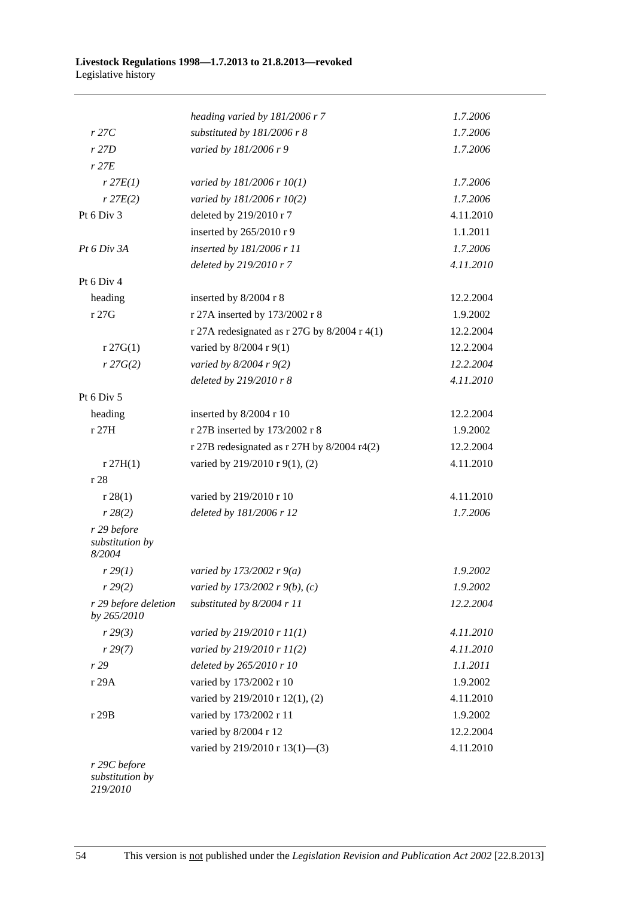|                                          | heading varied by $181/2006$ r 7               | 1.7.2006  |
|------------------------------------------|------------------------------------------------|-----------|
| $r$ 27 $C$                               | substituted by 181/2006 r 8                    | 1.7.2006  |
| r27D                                     | varied by 181/2006 r 9                         | 1.7.2006  |
| $r$ 27 $E$                               |                                                |           |
| $r$ 27 $E(1)$                            | varied by 181/2006 r 10(1)                     | 1.7.2006  |
| $r$ 27 $E(2)$                            | varied by 181/2006 r 10(2)                     | 1.7.2006  |
| Pt 6 Div 3                               | deleted by 219/2010 r 7                        | 4.11.2010 |
|                                          | inserted by 265/2010 r 9                       | 1.1.2011  |
| Pt 6 Div 3A                              | inserted by 181/2006 r 11                      | 1.7.2006  |
|                                          | deleted by 219/2010 r 7                        | 4.11.2010 |
| Pt 6 Div 4                               |                                                |           |
| heading                                  | inserted by 8/2004 r 8                         | 12.2.2004 |
| r 27G                                    | r 27A inserted by 173/2002 r 8                 | 1.9.2002  |
|                                          | r 27A redesignated as r 27G by $8/2004$ r 4(1) | 12.2.2004 |
| $r \, 27G(1)$                            | varied by 8/2004 r 9(1)                        | 12.2.2004 |
| r 27G(2)                                 | varied by $8/2004$ r $9(2)$                    | 12.2.2004 |
|                                          | deleted by 219/2010 r 8                        | 4.11.2010 |
| Pt 6 Div 5                               |                                                |           |
| heading                                  | inserted by 8/2004 r 10                        | 12.2.2004 |
| r 27H                                    | r 27B inserted by 173/2002 r 8                 | 1.9.2002  |
|                                          | r 27B redesignated as r 27H by 8/2004 r4(2)    | 12.2.2004 |
| r 27H(1)                                 | varied by 219/2010 r 9(1), (2)                 | 4.11.2010 |
| r 28                                     |                                                |           |
| r 28(1)                                  | varied by 219/2010 r 10                        | 4.11.2010 |
| r 28(2)                                  | deleted by 181/2006 r 12                       | 1.7.2006  |
| r 29 before<br>substitution by<br>8/2004 |                                                |           |
| r 29(1)                                  | varied by 173/2002 r $9(a)$                    | 1.9.2002  |
| r 29(2)                                  | varied by 173/2002 r 9(b), (c)                 | 1.9.2002  |
| r 29 before deletion<br>by 265/2010      | substituted by 8/2004 r 11                     | 12.2.2004 |
| r 29(3)                                  | varied by $219/2010$ r $11(1)$                 | 4.11.2010 |
| r 29(7)                                  | varied by 219/2010 r 11(2)                     | 4.11.2010 |
| r 29                                     | deleted by 265/2010 r 10                       | 1.1.2011  |
| r 29A                                    | varied by 173/2002 r 10                        | 1.9.2002  |
|                                          | varied by 219/2010 r 12(1), (2)                | 4.11.2010 |
| r 29B                                    | varied by 173/2002 r 11                        | 1.9.2002  |
|                                          | varied by 8/2004 r 12                          | 12.2.2004 |
|                                          | varied by 219/2010 r 13(1)-(3)                 | 4.11.2010 |
| r 29C before<br>substitution by          |                                                |           |

*219/2010*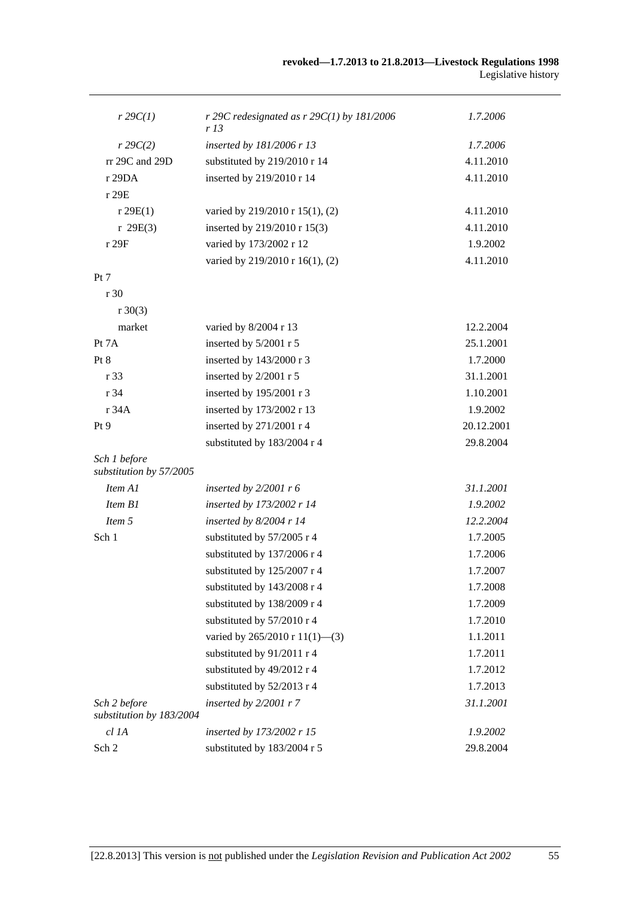| $r \, 29C(1)$                            | r 29C redesignated as $r$ 29C(1) by 181/2006<br>r 13 | 1.7.2006   |
|------------------------------------------|------------------------------------------------------|------------|
| r 29C(2)                                 | inserted by 181/2006 r 13                            | 1.7.2006   |
| rr 29C and 29D                           | substituted by 219/2010 r 14                         | 4.11.2010  |
| r 29DA                                   | inserted by 219/2010 r 14                            | 4.11.2010  |
| r 29E                                    |                                                      |            |
| r 29E(1)                                 | varied by 219/2010 r 15(1), (2)                      | 4.11.2010  |
| r 29E(3)                                 | inserted by 219/2010 r 15(3)                         | 4.11.2010  |
| r 29F                                    | varied by 173/2002 r 12                              | 1.9.2002   |
|                                          | varied by 219/2010 r 16(1), (2)                      | 4.11.2010  |
| Pt 7                                     |                                                      |            |
| r30                                      |                                                      |            |
| $r \ 30(3)$                              |                                                      |            |
| market                                   | varied by 8/2004 r 13                                | 12.2.2004  |
| Pt $7A$                                  | inserted by 5/2001 r 5                               | 25.1.2001  |
| Pt 8                                     | inserted by 143/2000 r 3                             | 1.7.2000   |
| r 33                                     | inserted by 2/2001 r 5                               | 31.1.2001  |
| r 34                                     | inserted by 195/2001 r 3                             | 1.10.2001  |
| r 34A                                    | inserted by 173/2002 r 13                            | 1.9.2002   |
| Pt 9                                     | inserted by 271/2001 r 4                             | 20.12.2001 |
|                                          | substituted by 183/2004 r 4                          | 29.8.2004  |
| Sch 1 before<br>substitution by 57/2005  |                                                      |            |
| Item A1                                  | inserted by $2/2001$ r 6                             | 31.1.2001  |
| Item B1                                  | inserted by 173/2002 r 14                            | 1.9.2002   |
| Item 5                                   | inserted by $8/2004$ r 14                            | 12.2.2004  |
| Sch 1                                    | substituted by 57/2005 r 4                           | 1.7.2005   |
|                                          | substituted by 137/2006 r 4                          | 1.7.2006   |
|                                          | substituted by 125/2007 r 4                          | 1.7.2007   |
|                                          | substituted by 143/2008 r 4                          | 1.7.2008   |
|                                          | substituted by 138/2009 r 4                          | 1.7.2009   |
|                                          | substituted by 57/2010 r 4                           | 1.7.2010   |
|                                          | varied by $265/2010 \text{ r } 11(1)$ —(3)           | 1.1.2011   |
|                                          | substituted by 91/2011 r 4                           | 1.7.2011   |
|                                          | substituted by 49/2012 r 4                           | 1.7.2012   |
|                                          | substituted by 52/2013 r 4                           | 1.7.2013   |
| Sch 2 before<br>substitution by 183/2004 | inserted by $2/2001$ r 7                             | 31.1.2001  |
| $cl$ $IA$                                | inserted by 173/2002 r 15                            | 1.9.2002   |
| Sch 2                                    | substituted by 183/2004 r 5                          | 29.8.2004  |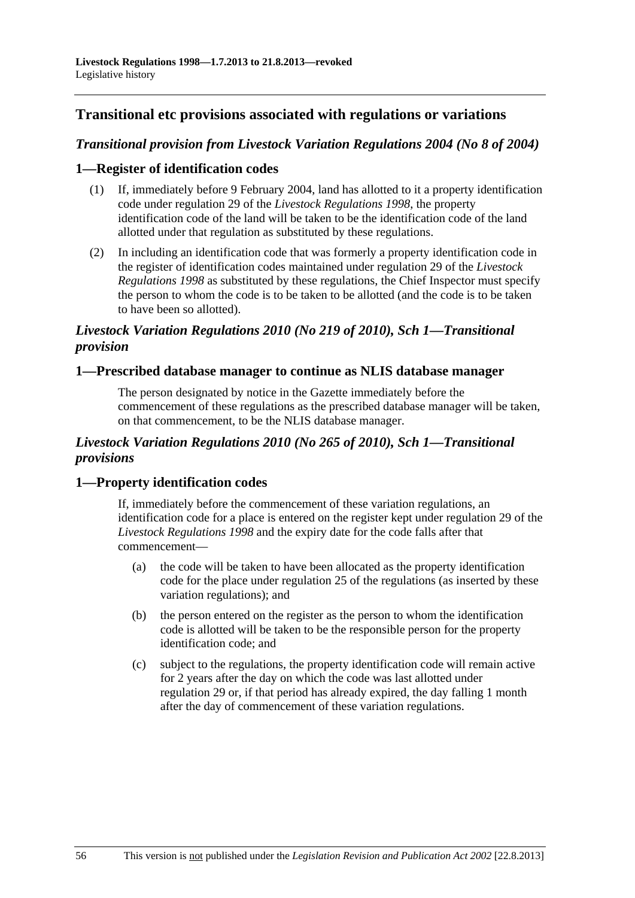## **Transitional etc provisions associated with regulations or variations**

## *Transitional provision from Livestock Variation Regulations 2004 (No 8 of 2004)*

#### **1—Register of identification codes**

- (1) If, immediately before 9 February 2004, land has allotted to it a property identification code under regulation 29 of the *[Livestock Regulations 1998](http://www.legislation.sa.gov.au/index.aspx?action=legref&type=act&legtitle=Livestock%20Regulations%201998)*, the property identification code of the land will be taken to be the identification code of the land allotted under that regulation as substituted by these regulations.
- (2) In including an identification code that was formerly a property identification code in the register of identification codes maintained under regulation 29 of the *[Livestock](http://www.legislation.sa.gov.au/index.aspx?action=legref&type=act&legtitle=Livestock%20Regulations%201998)  [Regulations 1998](http://www.legislation.sa.gov.au/index.aspx?action=legref&type=act&legtitle=Livestock%20Regulations%201998)* as substituted by these regulations, the Chief Inspector must specify the person to whom the code is to be taken to be allotted (and the code is to be taken to have been so allotted).

## *Livestock Variation Regulations 2010 (No 219 of 2010), Sch 1—Transitional provision*

#### **1—Prescribed database manager to continue as NLIS database manager**

The person designated by notice in the Gazette immediately before the commencement of these regulations as the prescribed database manager will be taken, on that commencement, to be the NLIS database manager.

## *Livestock Variation Regulations 2010 (No 265 of 2010), Sch 1—Transitional provisions*

## **1—Property identification codes**

If, immediately before the commencement of these variation regulations, an identification code for a place is entered on the register kept under regulation 29 of the *[Livestock Regulations 1998](http://www.legislation.sa.gov.au/index.aspx?action=legref&type=subordleg&legtitle=Livestock%20Regulations%201998)* and the expiry date for the code falls after that commencement—

- (a) the code will be taken to have been allocated as the property identification code for the place under regulation 25 of the regulations (as inserted by these variation regulations); and
- (b) the person entered on the register as the person to whom the identification code is allotted will be taken to be the responsible person for the property identification code; and
- (c) subject to the regulations, the property identification code will remain active for 2 years after the day on which the code was last allotted under regulation 29 or, if that period has already expired, the day falling 1 month after the day of commencement of these variation regulations.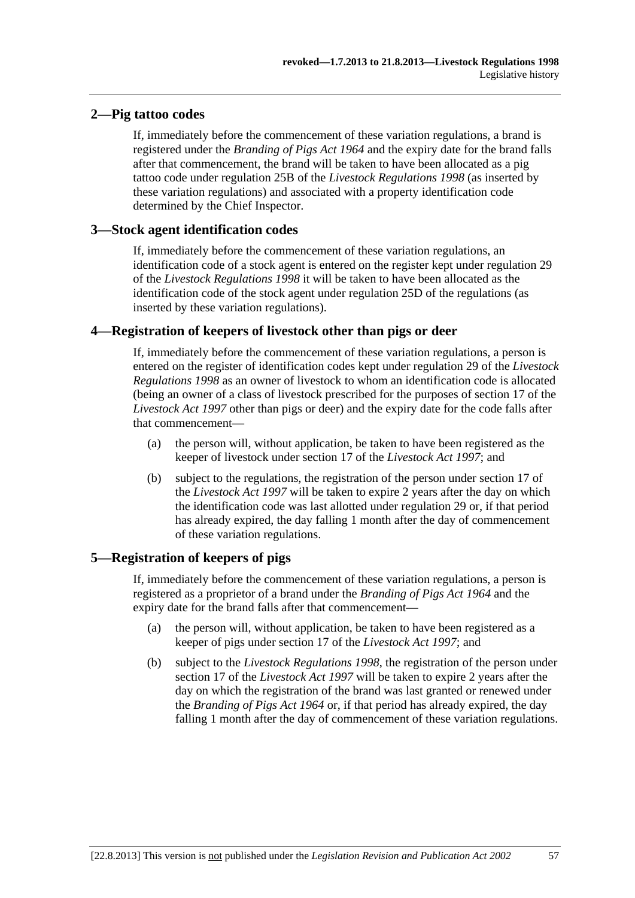## **2—Pig tattoo codes**

If, immediately before the commencement of these variation regulations, a brand is registered under the *[Branding of Pigs Act 1964](http://www.legislation.sa.gov.au/index.aspx?action=legref&type=act&legtitle=Branding%20of%20Pigs%20Act%201964)* and the expiry date for the brand falls after that commencement, the brand will be taken to have been allocated as a pig tattoo code under regulation 25B of the *[Livestock Regulations 1998](http://www.legislation.sa.gov.au/index.aspx?action=legref&type=subordleg&legtitle=Livestock%20Regulations%201998)* (as inserted by these variation regulations) and associated with a property identification code determined by the Chief Inspector.

## **3—Stock agent identification codes**

If, immediately before the commencement of these variation regulations, an identification code of a stock agent is entered on the register kept under regulation 29 of the *[Livestock Regulations 1998](http://www.legislation.sa.gov.au/index.aspx?action=legref&type=subordleg&legtitle=Livestock%20Regulations%201998)* it will be taken to have been allocated as the identification code of the stock agent under regulation 25D of the regulations (as inserted by these variation regulations).

## **4—Registration of keepers of livestock other than pigs or deer**

If, immediately before the commencement of these variation regulations, a person is entered on the register of identification codes kept under regulation 29 of the *[Livestock](http://www.legislation.sa.gov.au/index.aspx?action=legref&type=subordleg&legtitle=Livestock%20Regulations%201998)  [Regulations 1998](http://www.legislation.sa.gov.au/index.aspx?action=legref&type=subordleg&legtitle=Livestock%20Regulations%201998)* as an owner of livestock to whom an identification code is allocated (being an owner of a class of livestock prescribed for the purposes of section 17 of the *[Livestock Act 1997](http://www.legislation.sa.gov.au/index.aspx?action=legref&type=act&legtitle=Livestock%20Act%201997)* other than pigs or deer) and the expiry date for the code falls after that commencement—

- (a) the person will, without application, be taken to have been registered as the keeper of livestock under section 17 of the *[Livestock Act 1997](http://www.legislation.sa.gov.au/index.aspx?action=legref&type=act&legtitle=Livestock%20Act%201997)*; and
- (b) subject to the regulations, the registration of the person under section 17 of the *[Livestock Act 1997](http://www.legislation.sa.gov.au/index.aspx?action=legref&type=act&legtitle=Livestock%20Act%201997)* will be taken to expire 2 years after the day on which the identification code was last allotted under regulation 29 or, if that period has already expired, the day falling 1 month after the day of commencement of these variation regulations.

## **5—Registration of keepers of pigs**

If, immediately before the commencement of these variation regulations, a person is registered as a proprietor of a brand under the *[Branding of Pigs Act 1964](http://www.legislation.sa.gov.au/index.aspx?action=legref&type=act&legtitle=Branding%20of%20Pigs%20Act%201964)* and the expiry date for the brand falls after that commencement—

- (a) the person will, without application, be taken to have been registered as a keeper of pigs under section 17 of the *[Livestock Act 1997](http://www.legislation.sa.gov.au/index.aspx?action=legref&type=act&legtitle=Livestock%20Act%201997)*; and
- (b) subject to the *[Livestock Regulations 1998](http://www.legislation.sa.gov.au/index.aspx?action=legref&type=subordleg&legtitle=Livestock%20Regulations%201998)*, the registration of the person under section 17 of the *[Livestock Act 1997](http://www.legislation.sa.gov.au/index.aspx?action=legref&type=act&legtitle=Livestock%20Act%201997)* will be taken to expire 2 years after the day on which the registration of the brand was last granted or renewed under the *[Branding of Pigs Act 1964](http://www.legislation.sa.gov.au/index.aspx?action=legref&type=act&legtitle=Branding%20of%20Pigs%20Act%201964)* or, if that period has already expired, the day falling 1 month after the day of commencement of these variation regulations.